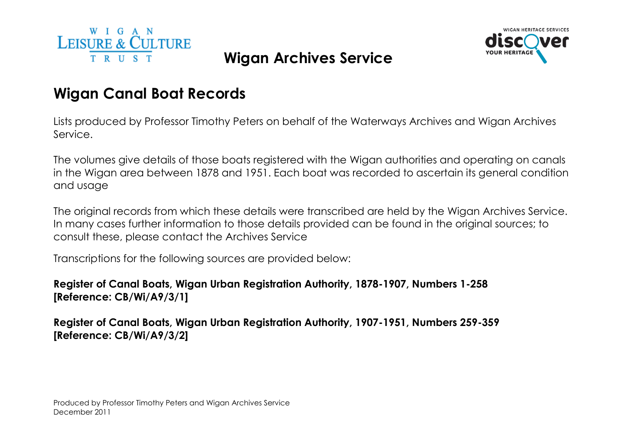



# Wigan Canal Boat Records

Lists produced by Professor Timothy Peters on behalf of the Waterways Archives and Wigan Archives Service.

The volumes give details of those boats registered with the Wigan authorities and operating on canals in the Wigan area between 1878 and 1951. Each boat was recorded to ascertain its general condition and usage

The original records from which these details were transcribed are held by the Wigan Archives Service.In many cases further information to those details provided can be found in the original sources; to consult these, please contact the Archives Service

Transcriptions for the following sources are provided below:

# Register of Canal Boats, Wigan Urban Registration Authority, 1878-1907, Numbers 1-258 [Reference: CB/Wi/A9/3/1]

Register of Canal Boats, Wigan Urban Registration Authority, 1907-1951, Numbers 259-359 [Reference: CB/Wi/A9/3/2]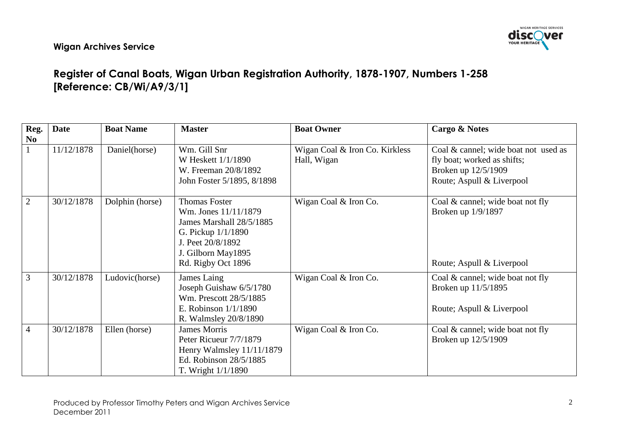

# Register of Canal Boats, Wigan Urban Registration Authority, 1878-1907, Numbers 1-258 [Reference: CB/Wi/A9/3/1]

| Reg.                   | <b>Date</b> | <b>Boat Name</b> | <b>Master</b>                                                                                                                                                     | <b>Boat Owner</b>                             | Cargo & Notes                                                                                                           |
|------------------------|-------------|------------------|-------------------------------------------------------------------------------------------------------------------------------------------------------------------|-----------------------------------------------|-------------------------------------------------------------------------------------------------------------------------|
| $\mathbf{N}\mathbf{0}$ |             |                  |                                                                                                                                                                   |                                               |                                                                                                                         |
|                        | 11/12/1878  | Daniel(horse)    | Wm. Gill Snr<br>W Heskett $1/1/1890$<br>W. Freeman 20/8/1892<br>John Foster 5/1895, 8/1898                                                                        | Wigan Coal & Iron Co. Kirkless<br>Hall, Wigan | Coal & cannel; wide boat not used as<br>fly boat; worked as shifts;<br>Broken up 12/5/1909<br>Route; Aspull & Liverpool |
| $\overline{2}$         | 30/12/1878  | Dolphin (horse)  | <b>Thomas Foster</b><br>Wm. Jones 11/11/1879<br>James Marshall 28/5/1885<br>G. Pickup $1/1/1890$<br>J. Peet 20/8/1892<br>J. Gilborn May1895<br>Rd. Rigby Oct 1896 | Wigan Coal & Iron Co.                         | Coal & cannel; wide boat not fly<br>Broken up 1/9/1897<br>Route; Aspull & Liverpool                                     |
| 3                      | 30/12/1878  | Ludovic(horse)   | James Laing<br>Joseph Guishaw 6/5/1780<br>Wm. Prescott 28/5/1885<br>E. Robinson $1/1/1890$<br>R. Walmsley 20/8/1890                                               | Wigan Coal & Iron Co.                         | Coal & cannel; wide boat not fly<br>Broken up 11/5/1895<br>Route; Aspull & Liverpool                                    |
| $\overline{4}$         | 30/12/1878  | Ellen (horse)    | <b>James Morris</b><br>Peter Ricueur 7/7/1879<br>Henry Walmsley 11/11/1879<br>Ed. Robinson 28/5/1885<br>T. Wright $1/1/1890$                                      | Wigan Coal & Iron Co.                         | Coal & cannel; wide boat not fly<br>Broken up 12/5/1909                                                                 |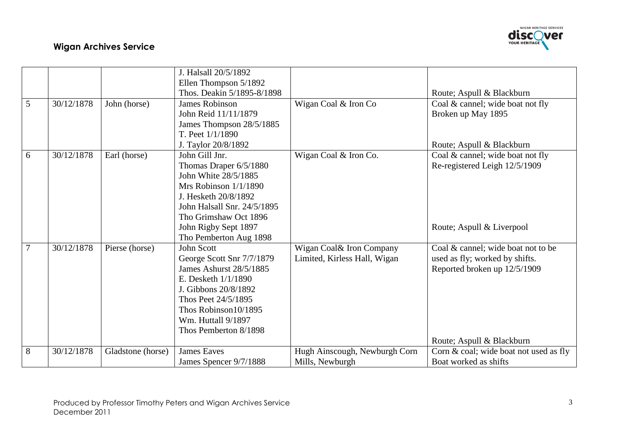

|   |            |                   | J. Halsall 20/5/1892        |                               |                                        |
|---|------------|-------------------|-----------------------------|-------------------------------|----------------------------------------|
|   |            |                   | Ellen Thompson 5/1892       |                               |                                        |
|   |            |                   | Thos. Deakin 5/1895-8/1898  |                               | Route; Aspull & Blackburn              |
| 5 | 30/12/1878 | John (horse)      | <b>James Robinson</b>       | Wigan Coal & Iron Co          | Coal & cannel; wide boat not fly       |
|   |            |                   | John Reid 11/11/1879        |                               | Broken up May 1895                     |
|   |            |                   | James Thompson 28/5/1885    |                               |                                        |
|   |            |                   | T. Peet $1/1/1890$          |                               |                                        |
|   |            |                   | J. Taylor 20/8/1892         |                               | Route; Aspull & Blackburn              |
| 6 | 30/12/1878 | Earl (horse)      | John Gill Jnr.              | Wigan Coal & Iron Co.         | Coal & cannel; wide boat not fly       |
|   |            |                   | Thomas Draper 6/5/1880      |                               | Re-registered Leigh 12/5/1909          |
|   |            |                   | John White 28/5/1885        |                               |                                        |
|   |            |                   | Mrs Robinson 1/1/1890       |                               |                                        |
|   |            |                   | J. Hesketh 20/8/1892        |                               |                                        |
|   |            |                   | John Halsall Snr. 24/5/1895 |                               |                                        |
|   |            |                   | Tho Grimshaw Oct 1896       |                               |                                        |
|   |            |                   | John Rigby Sept 1897        |                               | Route; Aspull & Liverpool              |
|   |            |                   | Tho Pemberton Aug 1898      |                               |                                        |
| 7 | 30/12/1878 | Pierse (horse)    | <b>John Scott</b>           | Wigan Coal& Iron Company      | Coal & cannel; wide boat not to be     |
|   |            |                   | George Scott Snr 7/7/1879   | Limited, Kirless Hall, Wigan  | used as fly; worked by shifts.         |
|   |            |                   | James Ashurst 28/5/1885     |                               | Reported broken up 12/5/1909           |
|   |            |                   | E. Desketh $1/1/1890$       |                               |                                        |
|   |            |                   | J. Gibbons 20/8/1892        |                               |                                        |
|   |            |                   | Thos Peet 24/5/1895         |                               |                                        |
|   |            |                   | Thos Robinson10/1895        |                               |                                        |
|   |            |                   | Wm. Huttall 9/1897          |                               |                                        |
|   |            |                   | Thos Pemberton 8/1898       |                               |                                        |
|   |            |                   |                             |                               | Route; Aspull & Blackburn              |
| 8 | 30/12/1878 | Gladstone (horse) | <b>James Eaves</b>          | Hugh Ainscough, Newburgh Corn | Corn & coal; wide boat not used as fly |
|   |            |                   | James Spencer 9/7/1888      | Mills, Newburgh               | Boat worked as shifts                  |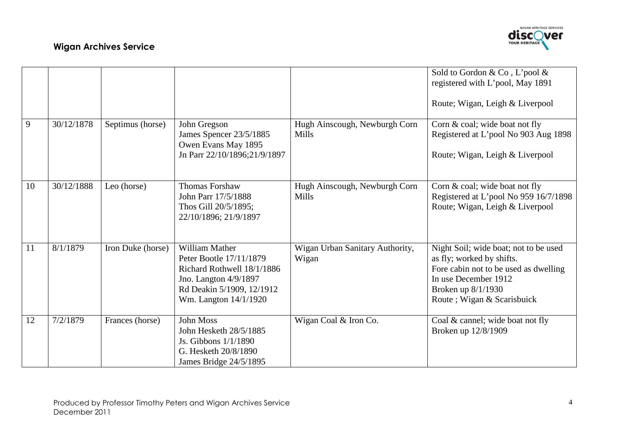

|    |            |                   |                                                                                                                                                               |                                               | Sold to Gordon & Co, L'pool &<br>registered with L'pool, May 1891<br>Route; Wigan, Leigh & Liverpool                                                                                     |
|----|------------|-------------------|---------------------------------------------------------------------------------------------------------------------------------------------------------------|-----------------------------------------------|------------------------------------------------------------------------------------------------------------------------------------------------------------------------------------------|
| 9  | 30/12/1878 | Septimus (horse)  | John Gregson<br>James Spencer 23/5/1885<br>Owen Evans May 1895<br>Jn Parr 22/10/1896;21/9/1897                                                                | Hugh Ainscough, Newburgh Corn<br><b>Mills</b> | Corn & coal; wide boat not fly<br>Registered at L'pool No 903 Aug 1898<br>Route; Wigan, Leigh & Liverpool                                                                                |
| 10 | 30/12/1888 | Leo (horse)       | <b>Thomas Forshaw</b><br>John Parr 17/5/1888<br>Thos Gill 20/5/1895;<br>22/10/1896; 21/9/1897                                                                 | Hugh Ainscough, Newburgh Corn<br>Mills        | Corn & coal; wide boat not fly<br>Registered at L'pool No 959 16/7/1898<br>Route; Wigan, Leigh & Liverpool                                                                               |
| 11 | 8/1/1879   | Iron Duke (horse) | <b>William Mather</b><br>Peter Bootle 17/11/1879<br>Richard Rothwell 18/1/1886<br>Jno. Langton 4/9/1897<br>Rd Deakin 5/1909, 12/1912<br>Wm. Langton 14/1/1920 | Wigan Urban Sanitary Authority,<br>Wigan      | Night Soil; wide boat; not to be used<br>as fly; worked by shifts.<br>Fore cabin not to be used as dwelling<br>In use December 1912<br>Broken up 8/1/1930<br>Route ; Wigan & Scarisbuick |
| 12 | 7/2/1879   | Frances (horse)   | <b>John Moss</b><br>John Hesketh 28/5/1885<br>Js. Gibbons 1/1/1890<br>G. Hesketh 20/8/1890<br>James Bridge 24/5/1895                                          | Wigan Coal & Iron Co.                         | Coal & cannel; wide boat not fly<br>Broken up 12/8/1909                                                                                                                                  |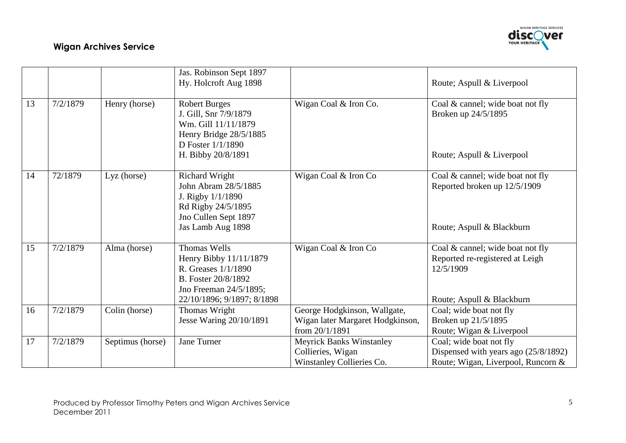

|    |          |                  | Jas. Robinson Sept 1897<br>Hy. Holcroft Aug 1898                                                                                                    |                                                                                    | Route; Aspull & Liverpool                                                                                     |
|----|----------|------------------|-----------------------------------------------------------------------------------------------------------------------------------------------------|------------------------------------------------------------------------------------|---------------------------------------------------------------------------------------------------------------|
| 13 | 7/2/1879 | Henry (horse)    | <b>Robert Burges</b><br>J. Gill, Snr 7/9/1879<br>Wm. Gill 11/11/1879<br>Henry Bridge 28/5/1885<br>D Foster 1/1/1890<br>H. Bibby 20/8/1891           | Wigan Coal & Iron Co.                                                              | Coal $\&$ cannel; wide boat not fly<br>Broken up 24/5/1895<br>Route; Aspull & Liverpool                       |
| 14 | 72/1879  | Lyz (horse)      | <b>Richard Wright</b><br>John Abram 28/5/1885<br>J. Rigby $1/1/1890$<br>Rd Rigby 24/5/1895<br>Jno Cullen Sept 1897<br>Jas Lamb Aug 1898             | Wigan Coal & Iron Co                                                               | Coal & cannel; wide boat not fly<br>Reported broken up 12/5/1909<br>Route; Aspull & Blackburn                 |
| 15 | 7/2/1879 | Alma (horse)     | <b>Thomas Wells</b><br>Henry Bibby 11/11/1879<br>R. Greases 1/1/1890<br>B. Foster 20/8/1892<br>Jno Freeman 24/5/1895;<br>22/10/1896; 9/1897; 8/1898 | Wigan Coal & Iron Co                                                               | Coal & cannel; wide boat not fly<br>Reported re-registered at Leigh<br>12/5/1909<br>Route; Aspull & Blackburn |
| 16 | 7/2/1879 | Colin (horse)    | Thomas Wright<br>Jesse Waring 20/10/1891                                                                                                            | George Hodgkinson, Wallgate,<br>Wigan later Margaret Hodgkinson,<br>from 20/1/1891 | Coal; wide boat not fly<br>Broken up 21/5/1895<br>Route; Wigan & Liverpool                                    |
| 17 | 7/2/1879 | Septimus (horse) | Jane Turner                                                                                                                                         | <b>Meyrick Banks Winstanley</b><br>Collieries, Wigan<br>Winstanley Collieries Co.  | Coal; wide boat not fly<br>Dispensed with years ago (25/8/1892)<br>Route; Wigan, Liverpool, Runcorn &         |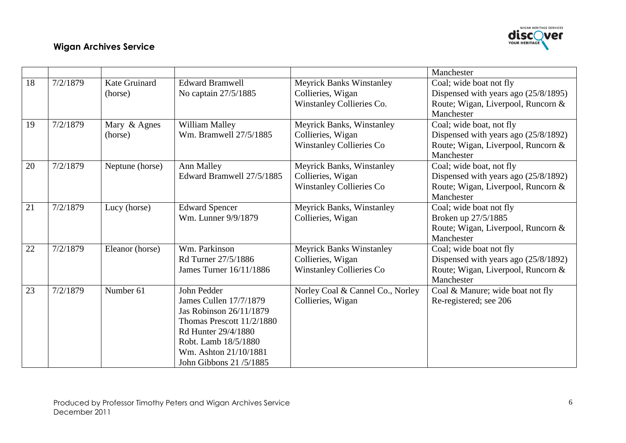

|    |          |                          |                                                                                                                                                                                                 |                                                                                          | Manchester                                                                                                           |
|----|----------|--------------------------|-------------------------------------------------------------------------------------------------------------------------------------------------------------------------------------------------|------------------------------------------------------------------------------------------|----------------------------------------------------------------------------------------------------------------------|
| 18 | 7/2/1879 | Kate Gruinard<br>(horse) | <b>Edward Bramwell</b><br>No captain 27/5/1885                                                                                                                                                  | <b>Meyrick Banks Winstanley</b><br>Collieries, Wigan<br>Winstanley Collieries Co.        | Coal; wide boat not fly<br>Dispensed with years ago (25/8/1895)<br>Route; Wigan, Liverpool, Runcorn &<br>Manchester  |
| 19 | 7/2/1879 | Mary & Agnes<br>(horse)  | William Malley<br>Wm. Bramwell 27/5/1885                                                                                                                                                        | <b>Meyrick Banks, Winstanley</b><br>Collieries, Wigan<br><b>Winstanley Collieries Co</b> | Coal; wide boat, not fly<br>Dispensed with years ago (25/8/1892)<br>Route; Wigan, Liverpool, Runcorn &<br>Manchester |
| 20 | 7/2/1879 | Neptune (horse)          | Ann Malley<br>Edward Bramwell 27/5/1885                                                                                                                                                         | <b>Meyrick Banks, Winstanley</b><br>Collieries, Wigan<br><b>Winstanley Collieries Co</b> | Coal; wide boat, not fly<br>Dispensed with years ago (25/8/1892)<br>Route; Wigan, Liverpool, Runcorn &<br>Manchester |
| 21 | 7/2/1879 | Lucy (horse)             | <b>Edward Spencer</b><br>Wm. Lunner 9/9/1879                                                                                                                                                    | <b>Meyrick Banks, Winstanley</b><br>Collieries, Wigan                                    | Coal; wide boat not fly<br>Broken up 27/5/1885<br>Route; Wigan, Liverpool, Runcorn &<br>Manchester                   |
| 22 | 7/2/1879 | Eleanor (horse)          | Wm. Parkinson<br>Rd Turner 27/5/1886<br>James Turner 16/11/1886                                                                                                                                 | <b>Meyrick Banks Winstanley</b><br>Collieries, Wigan<br><b>Winstanley Collieries Co</b>  | Coal; wide boat not fly<br>Dispensed with years ago (25/8/1892)<br>Route; Wigan, Liverpool, Runcorn &<br>Manchester  |
| 23 | 7/2/1879 | Number 61                | John Pedder<br>James Cullen 17/7/1879<br>Jas Robinson 26/11/1879<br>Thomas Prescott 11/2/1880<br>Rd Hunter 29/4/1880<br>Robt. Lamb 18/5/1880<br>Wm. Ashton 21/10/1881<br>John Gibbons 21/5/1885 | Norley Coal & Cannel Co., Norley<br>Collieries, Wigan                                    | Coal & Manure; wide boat not fly<br>Re-registered; see 206                                                           |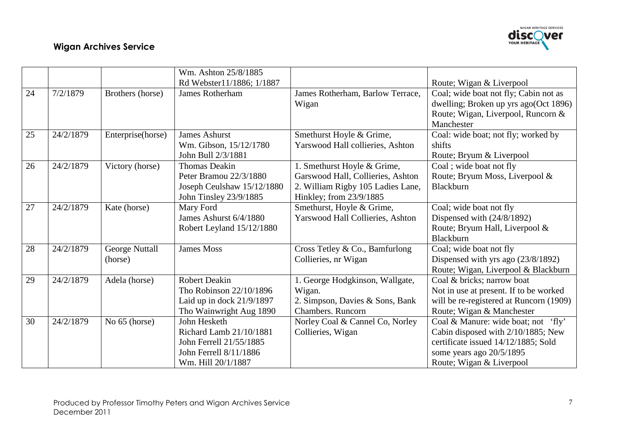

|    |           |                   | Wm. Ashton 25/8/1885        |                                   |                                         |
|----|-----------|-------------------|-----------------------------|-----------------------------------|-----------------------------------------|
|    |           |                   | Rd Webster11/1886; 1/1887   |                                   | Route; Wigan & Liverpool                |
| 24 | 7/2/1879  | Brothers (horse)  | James Rotherham             | James Rotherham, Barlow Terrace,  | Coal; wide boat not fly; Cabin not as   |
|    |           |                   |                             | Wigan                             | dwelling; Broken up yrs ago(Oct 1896)   |
|    |           |                   |                             |                                   | Route; Wigan, Liverpool, Runcorn &      |
|    |           |                   |                             |                                   | Manchester                              |
| 25 | 24/2/1879 | Enterprise(horse) | <b>James Ashurst</b>        | Smethurst Hoyle & Grime,          | Coal: wide boat; not fly; worked by     |
|    |           |                   | Wm. Gibson, 15/12/1780      | Yarswood Hall collieries, Ashton  | shifts                                  |
|    |           |                   | John Bull 2/3/1881          |                                   | Route; Bryum & Liverpool                |
| 26 | 24/2/1879 | Victory (horse)   | <b>Thomas Deakin</b>        | 1. Smethurst Hoyle & Grime,       | Coal; wide boat not fly                 |
|    |           |                   | Peter Bramou 22/3/1880      | Garswood Hall, Collieries, Ashton | Route; Bryum Moss, Liverpool &          |
|    |           |                   | Joseph Ceulshaw 15/12/1880  | 2. William Rigby 105 Ladies Lane, | Blackburn                               |
|    |           |                   | John Tinsley 23/9/1885      | Hinkley; from 23/9/1885           |                                         |
| 27 | 24/2/1879 | Kate (horse)      | Mary Ford                   | Smethurst, Hoyle & Grime,         | Coal; wide boat not fly                 |
|    |           |                   | James Ashurst 6/4/1880      | Yarswood Hall Collieries, Ashton  | Dispensed with $(24/8/1892)$            |
|    |           |                   | Robert Leyland 15/12/1880   |                                   | Route; Bryum Hall, Liverpool &          |
|    |           |                   |                             |                                   | Blackburn                               |
| 28 | 24/2/1879 | George Nuttall    | James Moss                  | Cross Tetley & Co., Bamfurlong    | Coal; wide boat not fly                 |
|    |           | (horse)           |                             | Collieries, nr Wigan              | Dispensed with yrs ago (23/8/1892)      |
|    |           |                   |                             |                                   | Route; Wigan, Liverpool & Blackburn     |
| 29 | 24/2/1879 | Adela (horse)     | <b>Robert Deakin</b>        | 1. George Hodgkinson, Wallgate,   | Coal & bricks; narrow boat              |
|    |           |                   | Tho Robinson 22/10/1896     | Wigan.                            | Not in use at present. If to be worked  |
|    |           |                   | Laid up in dock $21/9/1897$ | 2. Simpson, Davies & Sons, Bank   | will be re-registered at Runcorn (1909) |
|    |           |                   | Tho Wainwright Aug 1890     | Chambers. Runcorn                 | Route; Wigan & Manchester               |
| 30 | 24/2/1879 | No 65 (horse)     | John Hesketh                | Norley Coal & Cannel Co, Norley   | Coal & Manure: wide boat; not 'fly'     |
|    |           |                   | Richard Lamb 21/10/1881     | Collieries, Wigan                 | Cabin disposed with 2/10/1885; New      |
|    |           |                   | John Ferrell 21/55/1885     |                                   | certificate issued 14/12/1885; Sold     |
|    |           |                   | John Ferrell 8/11/1886      |                                   | some years ago 20/5/1895                |
|    |           |                   | Wm. Hill 20/1/1887          |                                   | Route; Wigan & Liverpool                |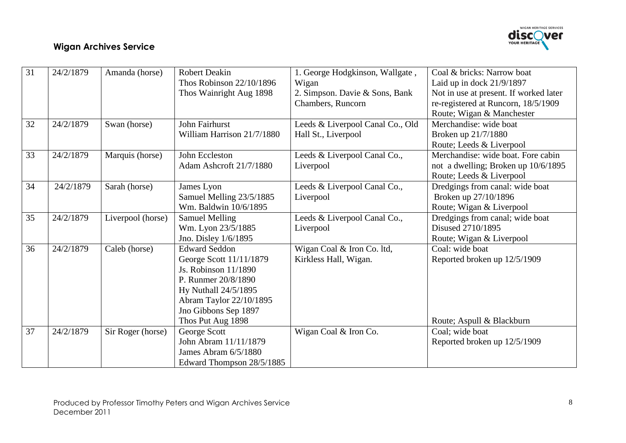

| 31 | 24/2/1879 | Amanda (horse)    | <b>Robert Deakin</b>       | 1. George Hodgkinson, Wallgate,  | Coal & bricks: Narrow boat             |
|----|-----------|-------------------|----------------------------|----------------------------------|----------------------------------------|
|    |           |                   | Thos Robinson 22/10/1896   | Wigan                            | Laid up in dock 21/9/1897              |
|    |           |                   | Thos Wainright Aug 1898    | 2. Simpson. Davie & Sons, Bank   | Not in use at present. If worked later |
|    |           |                   |                            | Chambers, Runcorn                | re-registered at Runcorn, 18/5/1909    |
|    |           |                   |                            |                                  | Route; Wigan & Manchester              |
| 32 | 24/2/1879 | Swan (horse)      | John Fairhurst             | Leeds & Liverpool Canal Co., Old | Merchandise: wide boat                 |
|    |           |                   | William Harrison 21/7/1880 | Hall St., Liverpool              | Broken up 21/7/1880                    |
|    |           |                   |                            |                                  | Route; Leeds & Liverpool               |
| 33 | 24/2/1879 | Marquis (horse)   | John Eccleston             | Leeds & Liverpool Canal Co.,     | Merchandise: wide boat. Fore cabin     |
|    |           |                   | Adam Ashcroft 21/7/1880    | Liverpool                        | not a dwelling; Broken up 10/6/1895    |
|    |           |                   |                            |                                  | Route; Leeds & Liverpool               |
| 34 | 24/2/1879 | Sarah (horse)     | James Lyon                 | Leeds & Liverpool Canal Co.,     | Dredgings from canal: wide boat        |
|    |           |                   | Samuel Melling 23/5/1885   | Liverpool                        | Broken up 27/10/1896                   |
|    |           |                   | Wm. Baldwin 10/6/1895      |                                  | Route; Wigan & Liverpool               |
| 35 | 24/2/1879 | Liverpool (horse) | <b>Samuel Melling</b>      | Leeds & Liverpool Canal Co.,     | Dredgings from canal; wide boat        |
|    |           |                   | Wm. Lyon 23/5/1885         | Liverpool                        | Disused 2710/1895                      |
|    |           |                   | Jno. Disley 1/6/1895       |                                  | Route; Wigan & Liverpool               |
| 36 | 24/2/1879 | Caleb (horse)     | <b>Edward Seddon</b>       | Wigan Coal & Iron Co. ltd,       | Coal: wide boat                        |
|    |           |                   | George Scott 11/11/1879    | Kirkless Hall, Wigan.            | Reported broken up 12/5/1909           |
|    |           |                   | Js. Robinson 11/1890       |                                  |                                        |
|    |           |                   | P. Runmer 20/8/1890        |                                  |                                        |
|    |           |                   | Hy Nuthall 24/5/1895       |                                  |                                        |
|    |           |                   | Abram Taylor 22/10/1895    |                                  |                                        |
|    |           |                   | Jno Gibbons Sep 1897       |                                  |                                        |
|    |           |                   | Thos Put Aug 1898          |                                  | Route; Aspull & Blackburn              |
| 37 | 24/2/1879 | Sir Roger (horse) | George Scott               | Wigan Coal & Iron Co.            | Coal; wide boat                        |
|    |           |                   | John Abram 11/11/1879      |                                  | Reported broken up 12/5/1909           |
|    |           |                   | James Abram 6/5/1880       |                                  |                                        |
|    |           |                   | Edward Thompson 28/5/1885  |                                  |                                        |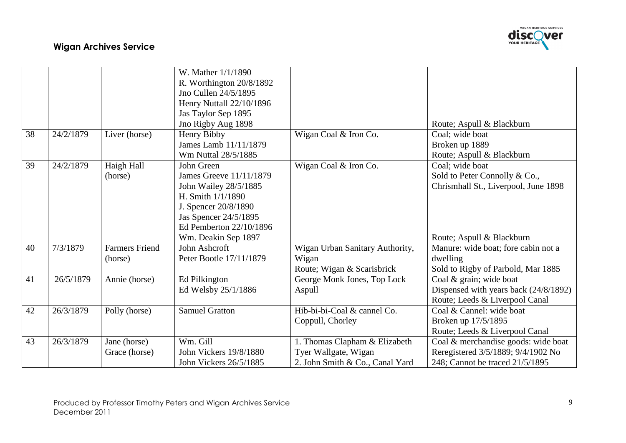

|    |           |                       | W. Mather 1/1/1890       |                                 |                                       |
|----|-----------|-----------------------|--------------------------|---------------------------------|---------------------------------------|
|    |           |                       | R. Worthington 20/8/1892 |                                 |                                       |
|    |           |                       | Jno Cullen 24/5/1895     |                                 |                                       |
|    |           |                       | Henry Nuttall 22/10/1896 |                                 |                                       |
|    |           |                       | Jas Taylor Sep 1895      |                                 |                                       |
|    |           |                       | Jno Rigby Aug 1898       |                                 | Route; Aspull & Blackburn             |
| 38 | 24/2/1879 | Liver (horse)         | Henry Bibby              | Wigan Coal & Iron Co.           | Coal; wide boat                       |
|    |           |                       | James Lamb 11/11/1879    |                                 | Broken up 1889                        |
|    |           |                       | Wm Nuttal 28/5/1885      |                                 | Route; Aspull & Blackburn             |
| 39 | 24/2/1879 | Haigh Hall            | John Green               | Wigan Coal & Iron Co.           | Coal; wide boat                       |
|    |           | (horse)               | James Greeve 11/11/1879  |                                 | Sold to Peter Connolly & Co.,         |
|    |           |                       | John Wailey 28/5/1885    |                                 | Chrismhall St., Liverpool, June 1898  |
|    |           |                       | H. Smith $1/1/1890$      |                                 |                                       |
|    |           |                       | J. Spencer 20/8/1890     |                                 |                                       |
|    |           |                       | Jas Spencer 24/5/1895    |                                 |                                       |
|    |           |                       | Ed Pemberton 22/10/1896  |                                 |                                       |
|    |           |                       | Wm. Deakin Sep 1897      |                                 | Route; Aspull & Blackburn             |
| 40 | 7/3/1879  | <b>Farmers Friend</b> | John Ashcroft            | Wigan Urban Sanitary Authority, | Manure: wide boat; fore cabin not a   |
|    |           | (horse)               | Peter Bootle 17/11/1879  | Wigan                           | dwelling                              |
|    |           |                       |                          | Route; Wigan & Scarisbrick      | Sold to Rigby of Parbold, Mar 1885    |
| 41 | 26/5/1879 | Annie (horse)         | Ed Pilkington            | George Monk Jones, Top Lock     | Coal & grain; wide boat               |
|    |           |                       | Ed Welsby 25/1/1886      | Aspull                          | Dispensed with years back (24/8/1892) |
|    |           |                       |                          |                                 | Route; Leeds & Liverpool Canal        |
| 42 | 26/3/1879 | Polly (horse)         | <b>Samuel Gratton</b>    | Hib-bi-bi-Coal & cannel Co.     | Coal & Cannel: wide boat              |
|    |           |                       |                          | Coppull, Chorley                | Broken up 17/5/1895                   |
|    |           |                       |                          |                                 | Route; Leeds & Liverpool Canal        |
| 43 | 26/3/1879 | Jane (horse)          | Wm. Gill                 | 1. Thomas Clapham & Elizabeth   | Coal & merchandise goods: wide boat   |
|    |           | Grace (horse)         | John Vickers 19/8/1880   | Tyer Wallgate, Wigan            | Reregistered 3/5/1889; 9/4/1902 No    |
|    |           |                       | John Vickers 26/5/1885   | 2. John Smith & Co., Canal Yard | 248; Cannot be traced 21/5/1895       |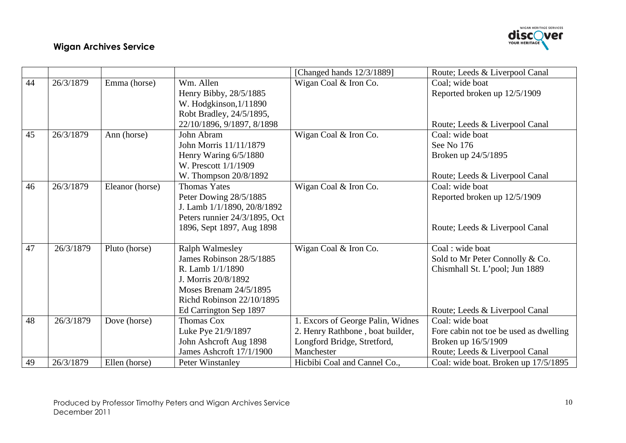

|    |           |                 |                               | [Changed hands 12/3/1889]         | Route; Leeds & Liverpool Canal         |
|----|-----------|-----------------|-------------------------------|-----------------------------------|----------------------------------------|
| 44 | 26/3/1879 | Emma (horse)    | Wm. Allen                     | Wigan Coal & Iron Co.             | Coal; wide boat                        |
|    |           |                 | Henry Bibby, 28/5/1885        |                                   | Reported broken up 12/5/1909           |
|    |           |                 | W. Hodgkinson, 1/11890        |                                   |                                        |
|    |           |                 | Robt Bradley, 24/5/1895,      |                                   |                                        |
|    |           |                 | 22/10/1896, 9/1897, 8/1898    |                                   | Route; Leeds & Liverpool Canal         |
| 45 | 26/3/1879 | Ann (horse)     | John Abram                    | Wigan Coal & Iron Co.             | Coal: wide boat                        |
|    |           |                 | John Morris 11/11/1879        |                                   | See No 176                             |
|    |           |                 | Henry Waring 6/5/1880         |                                   | Broken up 24/5/1895                    |
|    |           |                 | W. Prescott 1/1/1909          |                                   |                                        |
|    |           |                 | W. Thompson 20/8/1892         |                                   | Route; Leeds & Liverpool Canal         |
| 46 | 26/3/1879 | Eleanor (horse) | <b>Thomas Yates</b>           | Wigan Coal & Iron Co.             | Coal: wide boat                        |
|    |           |                 | Peter Dowing 28/5/1885        |                                   | Reported broken up 12/5/1909           |
|    |           |                 | J. Lamb 1/1/1890, 20/8/1892   |                                   |                                        |
|    |           |                 | Peters runnier 24/3/1895, Oct |                                   |                                        |
|    |           |                 | 1896, Sept 1897, Aug 1898     |                                   | Route; Leeds & Liverpool Canal         |
| 47 | 26/3/1879 | Pluto (horse)   | <b>Ralph Walmesley</b>        | Wigan Coal & Iron Co.             | Coal: wide boat                        |
|    |           |                 | James Robinson 28/5/1885      |                                   | Sold to Mr Peter Connolly & Co.        |
|    |           |                 | R. Lamb $1/1/1890$            |                                   | Chismhall St. L'pool; Jun 1889         |
|    |           |                 | J. Morris 20/8/1892           |                                   |                                        |
|    |           |                 | Moses Brenam 24/5/1895        |                                   |                                        |
|    |           |                 | Richd Robinson 22/10/1895     |                                   |                                        |
|    |           |                 | Ed Carrington Sep 1897        |                                   | Route; Leeds & Liverpool Canal         |
| 48 | 26/3/1879 | Dove (horse)    | <b>Thomas Cox</b>             | 1. Excors of George Palin, Widnes | Coal: wide boat                        |
|    |           |                 | Luke Pye 21/9/1897            | 2. Henry Rathbone, boat builder,  | Fore cabin not toe be used as dwelling |
|    |           |                 | John Ashcroft Aug 1898        | Longford Bridge, Stretford,       | Broken up 16/5/1909                    |
|    |           |                 | James Ashcroft 17/1/1900      | Manchester                        | Route; Leeds & Liverpool Canal         |
| 49 | 26/3/1879 | Ellen (horse)   | Peter Winstanley              | Hicbibi Coal and Cannel Co.,      | Coal: wide boat. Broken up 17/5/1895   |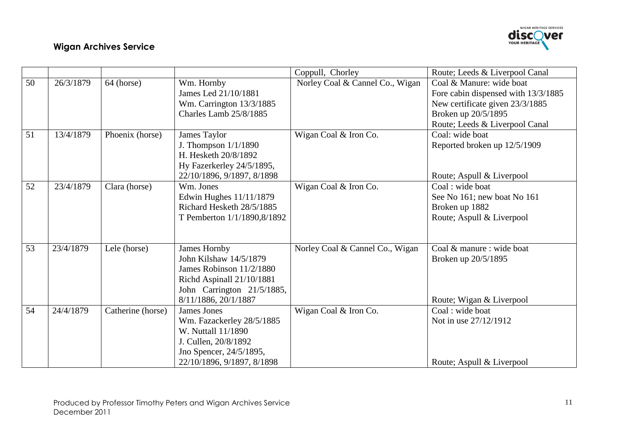

|    |           |                   |                                                                                                                                                        | Coppull, Chorley                | Route; Leeds & Liverpool Canal                                                                                                                              |
|----|-----------|-------------------|--------------------------------------------------------------------------------------------------------------------------------------------------------|---------------------------------|-------------------------------------------------------------------------------------------------------------------------------------------------------------|
| 50 | 26/3/1879 | 64 (horse)        | Wm. Hornby<br>James Led 21/10/1881<br>Wm. Carrington 13/3/1885<br>Charles Lamb 25/8/1885                                                               | Norley Coal & Cannel Co., Wigan | Coal & Manure: wide boat<br>Fore cabin dispensed with 13/3/1885<br>New certificate given 23/3/1885<br>Broken up 20/5/1895<br>Route; Leeds & Liverpool Canal |
| 51 | 13/4/1879 | Phoenix (horse)   | James Taylor<br>J. Thompson $1/1/1890$<br>H. Hesketh 20/8/1892<br>Hy Fazerkerley 24/5/1895,<br>22/10/1896, 9/1897, 8/1898                              | Wigan Coal & Iron Co.           | Coal: wide boat<br>Reported broken up 12/5/1909<br>Route; Aspull & Liverpool                                                                                |
| 52 | 23/4/1879 | Clara (horse)     | Wm. Jones<br>Edwin Hughes 11/11/1879<br>Richard Hesketh 28/5/1885<br>T Pemberton 1/1/1890,8/1892                                                       | Wigan Coal & Iron Co.           | Coal: wide boat<br>See No 161; new boat No 161<br>Broken up 1882<br>Route; Aspull & Liverpool                                                               |
| 53 | 23/4/1879 | Lele (horse)      | James Hornby<br>John Kilshaw 14/5/1879<br>James Robinson 11/2/1880<br>Richd Aspinall 21/10/1881<br>John Carrington 21/5/1885,<br>8/11/1886, 20/1/1887  | Norley Coal & Cannel Co., Wigan | Coal & manure : wide boat<br>Broken up 20/5/1895<br>Route; Wigan & Liverpool                                                                                |
| 54 | 24/4/1879 | Catherine (horse) | <b>James Jones</b><br>Wm. Fazackerley 28/5/1885<br>W. Nuttall 11/1890<br>J. Cullen, 20/8/1892<br>Jno Spencer, 24/5/1895,<br>22/10/1896, 9/1897, 8/1898 | Wigan Coal & Iron Co.           | Coal : wide boat<br>Not in use 27/12/1912<br>Route; Aspull & Liverpool                                                                                      |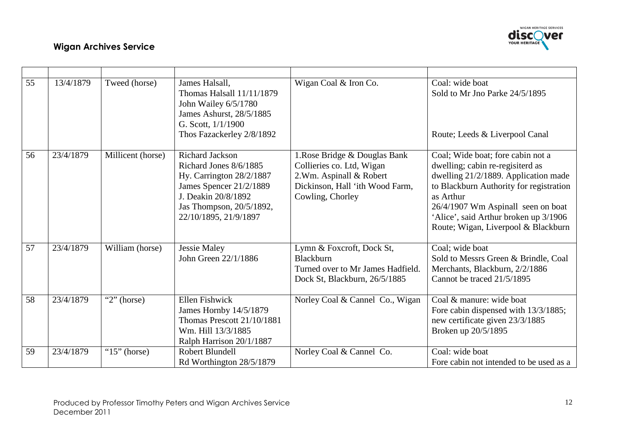

| 55 | 13/4/1879 | Tweed (horse)     | James Halsall,<br>Thomas Halsall 11/11/1879<br>John Wailey 6/5/1780<br>James Ashurst, 28/5/1885<br>G. Scott, $1/1/1900$<br>Thos Fazackerley 2/8/1892                                  | Wigan Coal & Iron Co.                                                                                                                        | Coal: wide boat<br>Sold to Mr Jno Parke 24/5/1895<br>Route; Leeds & Liverpool Canal                                                                                                                                                                                                         |
|----|-----------|-------------------|---------------------------------------------------------------------------------------------------------------------------------------------------------------------------------------|----------------------------------------------------------------------------------------------------------------------------------------------|---------------------------------------------------------------------------------------------------------------------------------------------------------------------------------------------------------------------------------------------------------------------------------------------|
| 56 | 23/4/1879 | Millicent (horse) | <b>Richard Jackson</b><br>Richard Jones 8/6/1885<br>Hy. Carrington $28/2/1887$<br>James Spencer 21/2/1889<br>J. Deakin 20/8/1892<br>Jas Thompson, 20/5/1892,<br>22/10/1895, 21/9/1897 | 1. Rose Bridge & Douglas Bank<br>Collieries co. Ltd, Wigan<br>2.Wm. Aspinall & Robert<br>Dickinson, Hall 'ith Wood Farm,<br>Cowling, Chorley | Coal; Wide boat; fore cabin not a<br>dwelling; cabin re-regisiterd as<br>dwelling 21/2/1889. Application made<br>to Blackburn Authority for registration<br>as Arthur<br>26/4/1907 Wm Aspinall seen on boat<br>'Alice', said Arthur broken up 3/1906<br>Route; Wigan, Liverpool & Blackburn |
| 57 | 23/4/1879 | William (horse)   | <b>Jessie Maley</b><br>John Green 22/1/1886                                                                                                                                           | Lymn & Foxcroft, Dock St,<br>Blackburn<br>Turned over to Mr James Hadfield.<br>Dock St, Blackburn, 26/5/1885                                 | Coal; wide boat<br>Sold to Messrs Green & Brindle, Coal<br>Merchants, Blackburn, 2/2/1886<br>Cannot be traced 21/5/1895                                                                                                                                                                     |
| 58 | 23/4/1879 | " $2$ " (horse)   | <b>Ellen Fishwick</b><br>James Hornby 14/5/1879<br>Thomas Prescott 21/10/1881<br>Wm. Hill 13/3/1885<br>Ralph Harrison 20/1/1887                                                       | Norley Coal & Cannel Co., Wigan                                                                                                              | Coal & manure: wide boat<br>Fore cabin dispensed with 13/3/1885;<br>new certificate given 23/3/1885<br>Broken up 20/5/1895                                                                                                                                                                  |
| 59 | 23/4/1879 | " $15$ " (horse)  | Robert Blundell<br>Rd Worthington 28/5/1879                                                                                                                                           | Norley Coal & Cannel Co.                                                                                                                     | Coal: wide boat<br>Fore cabin not intended to be used as a                                                                                                                                                                                                                                  |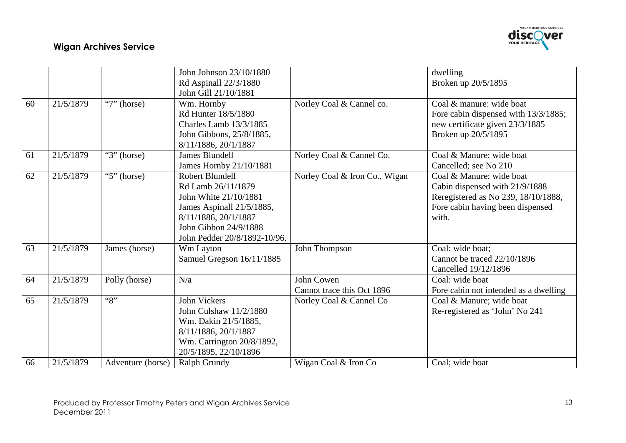

|    |           |                   | John Johnson 23/10/1880<br>Rd Aspinall 22/3/1880<br>John Gill 21/10/1881                                                                                                     |                                          | dwelling<br>Broken up 20/5/1895                                                                                                                |
|----|-----------|-------------------|------------------------------------------------------------------------------------------------------------------------------------------------------------------------------|------------------------------------------|------------------------------------------------------------------------------------------------------------------------------------------------|
| 60 | 21/5/1879 | " $7"$ (horse)    | Wm. Hornby<br>Rd Hunter 18/5/1880<br>Charles Lamb 13/3/1885<br>John Gibbons, 25/8/1885,<br>8/11/1886, 20/1/1887                                                              | Norley Coal & Cannel co.                 | Coal & manure: wide boat<br>Fore cabin dispensed with 13/3/1885;<br>new certificate given 23/3/1885<br>Broken up 20/5/1895                     |
| 61 | 21/5/1879 | " $3$ " (horse)   | James Blundell<br>James Hornby 21/10/1881                                                                                                                                    | Norley Coal & Cannel Co.                 | Coal & Manure: wide boat<br>Cancelled; see No 210                                                                                              |
| 62 | 21/5/1879 | " $5$ " (horse)   | Robert Blundell<br>Rd Lamb 26/11/1879<br>John White 21/10/1881<br>James Aspinall 21/5/1885,<br>8/11/1886, 20/1/1887<br>John Gibbon 24/9/1888<br>John Pedder 20/8/1892-10/96. | Norley Coal & Iron Co., Wigan            | Coal & Manure: wide boat<br>Cabin dispensed with 21/9/1888<br>Reregistered as No 239, 18/10/1888,<br>Fore cabin having been dispensed<br>with. |
| 63 | 21/5/1879 | James (horse)     | Wm Layton<br>Samuel Gregson 16/11/1885                                                                                                                                       | John Thompson                            | Coal: wide boat;<br>Cannot be traced 22/10/1896<br>Cancelled 19/12/1896                                                                        |
| 64 | 21/5/1879 | Polly (horse)     | N/a                                                                                                                                                                          | John Cowen<br>Cannot trace this Oct 1896 | Coal: wide boat<br>Fore cabin not intended as a dwelling                                                                                       |
| 65 | 21/5/1879 | ``8"              | <b>John Vickers</b><br>John Culshaw 11/2/1880<br>Wm. Dakin 21/5/1885,<br>8/11/1886, 20/1/1887<br>Wm. Carrington 20/8/1892,<br>20/5/1895, 22/10/1896                          | Norley Coal & Cannel Co                  | Coal & Manure; wide boat<br>Re-registered as 'John' No 241                                                                                     |
| 66 | 21/5/1879 | Adventure (horse) | Ralph Grundy                                                                                                                                                                 | Wigan Coal & Iron Co                     | Coal; wide boat                                                                                                                                |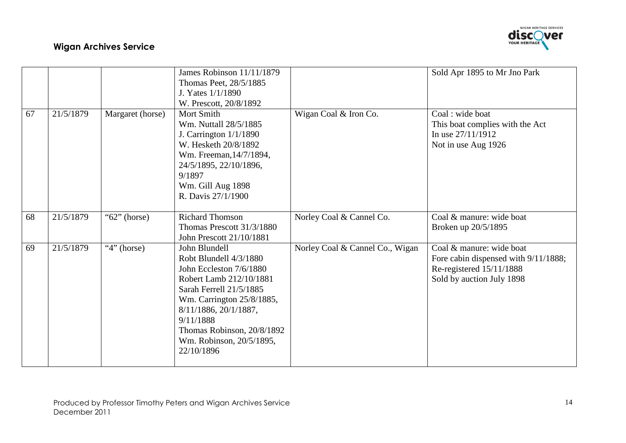

|    |           |                  | James Robinson 11/11/1879<br>Thomas Peet, 28/5/1885<br>J. Yates $1/1/1890$<br>W. Prescott, 20/8/1892                                                                                                                                                                |                                 | Sold Apr 1895 to Mr Jno Park                                                                                              |
|----|-----------|------------------|---------------------------------------------------------------------------------------------------------------------------------------------------------------------------------------------------------------------------------------------------------------------|---------------------------------|---------------------------------------------------------------------------------------------------------------------------|
| 67 | 21/5/1879 | Margaret (horse) | Mort Smith<br>Wm. Nuttall 28/5/1885<br>J. Carrington 1/1/1890<br>W. Hesketh 20/8/1892<br>Wm. Freeman, 14/7/1894,<br>24/5/1895, 22/10/1896,<br>9/1897<br>Wm. Gill Aug 1898<br>R. Davis 27/1/1900                                                                     | Wigan Coal & Iron Co.           | Coal : wide boat<br>This boat complies with the Act<br>In use $27/11/1912$<br>Not in use Aug 1926                         |
| 68 | 21/5/1879 | " $62$ " (horse) | <b>Richard Thomson</b><br>Thomas Prescott 31/3/1880<br>John Prescott 21/10/1881                                                                                                                                                                                     | Norley Coal & Cannel Co.        | Coal & manure: wide boat<br>Broken up 20/5/1895                                                                           |
| 69 | 21/5/1879 | " $4$ " (horse)  | John Blundell<br>Robt Blundell 4/3/1880<br>John Eccleston 7/6/1880<br>Robert Lamb 212/10/1881<br>Sarah Ferrell 21/5/1885<br>Wm. Carrington 25/8/1885,<br>8/11/1886, 20/1/1887,<br>9/11/1888<br>Thomas Robinson, 20/8/1892<br>Wm. Robinson, 20/5/1895,<br>22/10/1896 | Norley Coal & Cannel Co., Wigan | Coal & manure: wide boat<br>Fore cabin dispensed with 9/11/1888;<br>Re-registered 15/11/1888<br>Sold by auction July 1898 |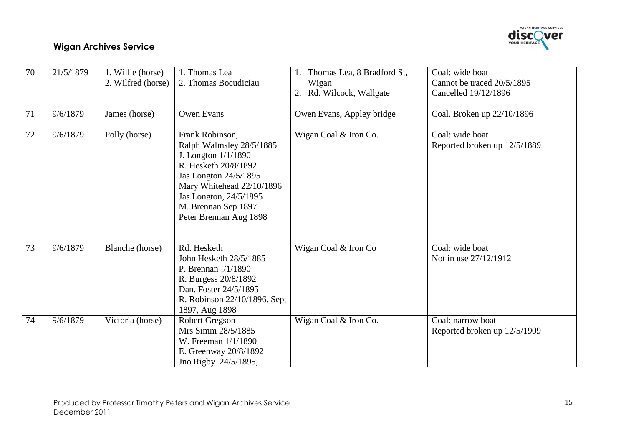

| 70 | 21/5/1879 | 1. Willie (horse)<br>2. Wilfred (horse) | 1. Thomas Lea<br>2. Thomas Bocudiciau                                                                                                                                                                                         | Thomas Lea, 8 Bradford St,<br>Wigan<br>2. Rd. Wilcock, Wallgate | Coal: wide boat<br>Cannot be traced 20/5/1895<br>Cancelled 19/12/1896 |
|----|-----------|-----------------------------------------|-------------------------------------------------------------------------------------------------------------------------------------------------------------------------------------------------------------------------------|-----------------------------------------------------------------|-----------------------------------------------------------------------|
| 71 | 9/6/1879  | James (horse)                           | <b>Owen Evans</b>                                                                                                                                                                                                             | Owen Evans, Appley bridge                                       | Coal. Broken up 22/10/1896                                            |
| 72 | 9/6/1879  | Polly (horse)                           | Frank Robinson,<br>Ralph Walmsley 28/5/1885<br>J. Longton $1/1/1890$<br>R. Hesketh 20/8/1892<br>Jas Longton 24/5/1895<br>Mary Whitehead 22/10/1896<br>Jas Longton, 24/5/1895<br>M. Brennan Sep 1897<br>Peter Brennan Aug 1898 | Wigan Coal & Iron Co.                                           | Coal: wide boat<br>Reported broken up 12/5/1889                       |
| 73 | 9/6/1879  | Blanche (horse)                         | Rd. Hesketh<br>John Hesketh 28/5/1885<br>P. Brennan $!/1/1890$<br>R. Burgess 20/8/1892<br>Dan. Foster 24/5/1895<br>R. Robinson 22/10/1896, Sept<br>1897, Aug 1898                                                             | Wigan Coal & Iron Co                                            | Coal: wide boat<br>Not in use 27/12/1912                              |
| 74 | 9/6/1879  | Victoria (horse)                        | <b>Robert Gregson</b><br>Mrs Simm 28/5/1885<br>W. Freeman 1/1/1890<br>E. Greenway 20/8/1892<br>Jno Rigby 24/5/1895,                                                                                                           | Wigan Coal & Iron Co.                                           | Coal: narrow boat<br>Reported broken up 12/5/1909                     |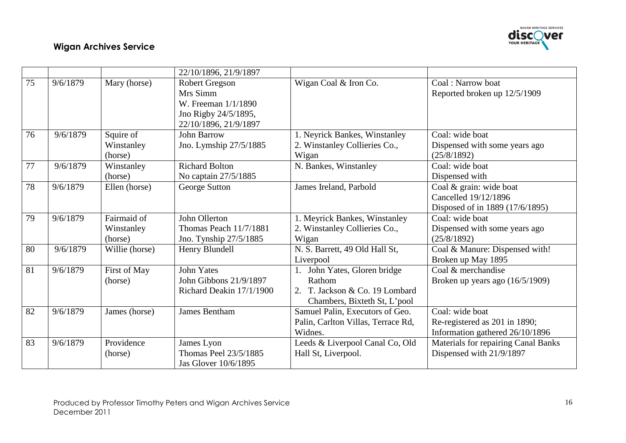

|    |          |                                      | 22/10/1896, 21/9/1897                                                                                     |                                                                                                       |                                                                                     |
|----|----------|--------------------------------------|-----------------------------------------------------------------------------------------------------------|-------------------------------------------------------------------------------------------------------|-------------------------------------------------------------------------------------|
| 75 | 9/6/1879 | Mary (horse)                         | <b>Robert Gregson</b><br>Mrs Simm<br>W. Freeman 1/1/1890<br>Jno Rigby 24/5/1895,<br>22/10/1896, 21/9/1897 | Wigan Coal & Iron Co.                                                                                 | Coal: Narrow boat<br>Reported broken up 12/5/1909                                   |
| 76 | 9/6/1879 | Squire of<br>Winstanley<br>(horse)   | <b>John Barrow</b><br>Jno. Lymship 27/5/1885                                                              | 1. Neyrick Bankes, Winstanley<br>2. Winstanley Collieries Co.,<br>Wigan                               | Coal: wide boat<br>Dispensed with some years ago<br>(25/8/1892)                     |
| 77 | 9/6/1879 | Winstanley<br>(horse)                | <b>Richard Bolton</b><br>No captain 27/5/1885                                                             | N. Bankes, Winstanley                                                                                 | Coal: wide boat<br>Dispensed with                                                   |
| 78 | 9/6/1879 | Ellen (horse)                        | George Sutton                                                                                             | James Ireland, Parbold                                                                                | Coal & grain: wide boat<br>Cancelled 19/12/1896<br>Disposed of in 1889 (17/6/1895)  |
| 79 | 9/6/1879 | Fairmaid of<br>Winstanley<br>(horse) | John Ollerton<br>Thomas Peach 11/7/1881<br>Jno. Tynship 27/5/1885                                         | 1. Meyrick Bankes, Winstanley<br>2. Winstanley Collieries Co.,<br>Wigan                               | Coal: wide boat<br>Dispensed with some years ago<br>(25/8/1892)                     |
| 80 | 9/6/1879 | Willie (horse)                       | Henry Blundell                                                                                            | N. S. Barrett, 49 Old Hall St,<br>Liverpool                                                           | Coal & Manure: Dispensed with!<br>Broken up May 1895                                |
| 81 | 9/6/1879 | First of May<br>(horse)              | <b>John Yates</b><br>John Gibbons 21/9/1897<br>Richard Deakin 17/1/1900                                   | John Yates, Gloren bridge<br>Rathom<br>2. T. Jackson & Co. 19 Lombard<br>Chambers, Bixteth St, L'pool | Coal & merchandise<br>Broken up years ago $(16/5/1909)$                             |
| 82 | 9/6/1879 | James (horse)                        | <b>James Bentham</b>                                                                                      | Samuel Palin, Executors of Geo.<br>Palin, Carlton Villas, Terrace Rd,<br>Widnes.                      | Coal: wide boat<br>Re-registered as 201 in 1890;<br>Information gathered 26/10/1896 |
| 83 | 9/6/1879 | Providence<br>(horse)                | James Lyon<br>Thomas Peel 23/5/1885<br>Jas Glover 10/6/1895                                               | Leeds & Liverpool Canal Co, Old<br>Hall St, Liverpool.                                                | Materials for repairing Canal Banks<br>Dispensed with 21/9/1897                     |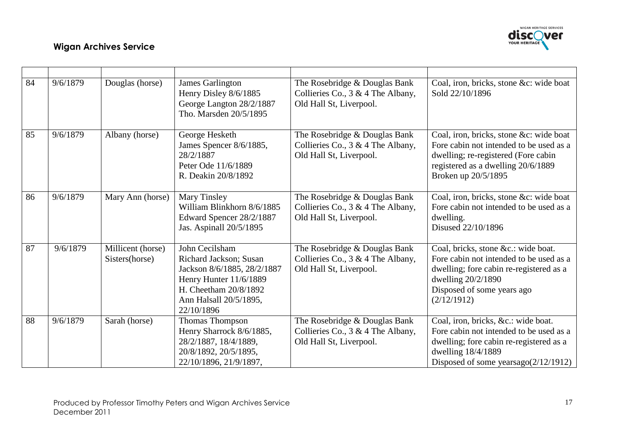

| 84 | 9/6/1879 | Douglas (horse)                     | <b>James Garlington</b><br>Henry Disley 8/6/1885<br>George Langton 28/2/1887<br>Tho. Marsden 20/5/1895                                                             | The Rosebridge & Douglas Bank<br>Collieries Co., 3 & 4 The Albany,<br>Old Hall St, Liverpool.    | Coal, iron, bricks, stone &c: wide boat<br>Sold 22/10/1896                                                                                                                                   |
|----|----------|-------------------------------------|--------------------------------------------------------------------------------------------------------------------------------------------------------------------|--------------------------------------------------------------------------------------------------|----------------------------------------------------------------------------------------------------------------------------------------------------------------------------------------------|
| 85 | 9/6/1879 | Albany (horse)                      | George Hesketh<br>James Spencer 8/6/1885,<br>28/2/1887<br>Peter Ode 11/6/1889<br>R. Deakin 20/8/1892                                                               | The Rosebridge & Douglas Bank<br>Collieries Co., 3 & 4 The Albany,<br>Old Hall St, Liverpool.    | Coal, iron, bricks, stone &c: wide boat<br>Fore cabin not intended to be used as a<br>dwelling; re-registered (Fore cabin<br>registered as a dwelling 20/6/1889<br>Broken up 20/5/1895       |
| 86 | 9/6/1879 | Mary Ann (horse)                    | Mary Tinsley<br>William Blinkhorn 8/6/1885<br>Edward Spencer 28/2/1887<br>Jas. Aspinall 20/5/1895                                                                  | The Rosebridge & Douglas Bank<br>Collieries Co., $3 \& 4$ The Albany,<br>Old Hall St, Liverpool. | Coal, iron, bricks, stone &c: wide boat<br>Fore cabin not intended to be used as a<br>dwelling.<br>Disused 22/10/1896                                                                        |
| 87 | 9/6/1879 | Millicent (horse)<br>Sisters(horse) | John Cecilsham<br>Richard Jackson; Susan<br>Jackson 8/6/1885, 28/2/1887<br>Henry Hunter 11/6/1889<br>H. Cheetham 20/8/1892<br>Ann Halsall 20/5/1895,<br>22/10/1896 | The Rosebridge & Douglas Bank<br>Collieries Co., $3 \& 4$ The Albany,<br>Old Hall St, Liverpool. | Coal, bricks, stone &c.: wide boat.<br>Fore cabin not intended to be used as a<br>dwelling; fore cabin re-registered as a<br>dwelling 20/2/1890<br>Disposed of some years ago<br>(2/12/1912) |
| 88 | 9/6/1879 | Sarah (horse)                       | Thomas Thompson<br>Henry Sharrock 8/6/1885,<br>28/2/1887, 18/4/1889,<br>20/8/1892, 20/5/1895,<br>22/10/1896, 21/9/1897,                                            | The Rosebridge & Douglas Bank<br>Collieries Co., $3 \& 4$ The Albany,<br>Old Hall St, Liverpool. | Coal, iron, bricks, &c.: wide boat.<br>Fore cabin not intended to be used as a<br>dwelling; fore cabin re-registered as a<br>dwelling 18/4/1889<br>Disposed of some yearsago $(2/12/1912)$   |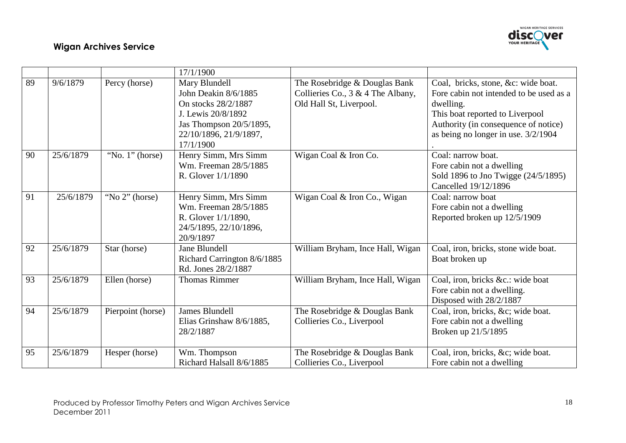

|    |           |                    | 17/1/1900                                                                                                                                            |                                                                                                  |                                                                                                                                                                                                               |
|----|-----------|--------------------|------------------------------------------------------------------------------------------------------------------------------------------------------|--------------------------------------------------------------------------------------------------|---------------------------------------------------------------------------------------------------------------------------------------------------------------------------------------------------------------|
| 89 | 9/6/1879  | Percy (horse)      | Mary Blundell<br>John Deakin 8/6/1885<br>On stocks 28/2/1887<br>J. Lewis 20/8/1892<br>Jas Thompson 20/5/1895,<br>22/10/1896, 21/9/1897,<br>17/1/1900 | The Rosebridge & Douglas Bank<br>Collieries Co., $3 \& 4$ The Albany,<br>Old Hall St, Liverpool. | Coal, bricks, stone, &c: wide boat.<br>Fore cabin not intended to be used as a<br>dwelling.<br>This boat reported to Liverpool<br>Authority (in consequence of notice)<br>as being no longer in use. 3/2/1904 |
| 90 | 25/6/1879 | "No. $1$ " (horse) | Henry Simm, Mrs Simm<br>Wm. Freeman 28/5/1885<br>R. Glover $1/1/1890$                                                                                | Wigan Coal & Iron Co.                                                                            | Coal: narrow boat.<br>Fore cabin not a dwelling<br>Sold 1896 to Jno Twigge (24/5/1895)<br>Cancelled 19/12/1896                                                                                                |
| 91 | 25/6/1879 | "No 2" (horse)     | Henry Simm, Mrs Simm<br>Wm. Freeman 28/5/1885<br>R. Glover $1/1/1890$ ,<br>24/5/1895, 22/10/1896,<br>20/9/1897                                       | Wigan Coal & Iron Co., Wigan                                                                     | Coal: narrow boat<br>Fore cabin not a dwelling<br>Reported broken up 12/5/1909                                                                                                                                |
| 92 | 25/6/1879 | Star (horse)       | <b>Jane Blundell</b><br>Richard Carrington 8/6/1885<br>Rd. Jones 28/2/1887                                                                           | William Bryham, Ince Hall, Wigan                                                                 | Coal, iron, bricks, stone wide boat.<br>Boat broken up                                                                                                                                                        |
| 93 | 25/6/1879 | Ellen (horse)      | <b>Thomas Rimmer</b>                                                                                                                                 | William Bryham, Ince Hall, Wigan                                                                 | Coal, iron, bricks &c.: wide boat<br>Fore cabin not a dwelling.<br>Disposed with 28/2/1887                                                                                                                    |
| 94 | 25/6/1879 | Pierpoint (horse)  | <b>James Blundell</b><br>Elias Grinshaw 8/6/1885,<br>28/2/1887                                                                                       | The Rosebridge & Douglas Bank<br>Collieries Co., Liverpool                                       | Coal, iron, bricks, &c wide boat.<br>Fore cabin not a dwelling<br>Broken up 21/5/1895                                                                                                                         |
| 95 | 25/6/1879 | Hesper (horse)     | Wm. Thompson<br>Richard Halsall 8/6/1885                                                                                                             | The Rosebridge & Douglas Bank<br>Collieries Co., Liverpool                                       | Coal, iron, bricks, &c wide boat.<br>Fore cabin not a dwelling                                                                                                                                                |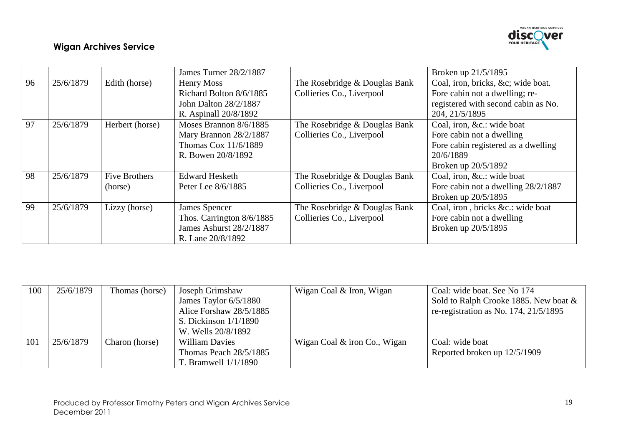

|    |           |                      | James Turner 28/2/1887    |                               | Broken up 21/5/1895                 |
|----|-----------|----------------------|---------------------------|-------------------------------|-------------------------------------|
| 96 | 25/6/1879 | Edith (horse)        | Henry Moss                | The Rosebridge & Douglas Bank | Coal, iron, bricks, &c wide boat.   |
|    |           |                      | Richard Bolton 8/6/1885   | Collieries Co., Liverpool     | Fore cabin not a dwelling; re-      |
|    |           |                      | John Dalton 28/2/1887     |                               | registered with second cabin as No. |
|    |           |                      | R. Aspinall 20/8/1892     |                               | 204, 21/5/1895                      |
| 97 | 25/6/1879 | Herbert (horse)      | Moses Brannon 8/6/1885    | The Rosebridge & Douglas Bank | Coal, iron, &c.: wide boat          |
|    |           |                      | Mary Brannon 28/2/1887    | Collieries Co., Liverpool     | Fore cabin not a dwelling           |
|    |           |                      | Thomas Cox 11/6/1889      |                               | Fore cabin registered as a dwelling |
|    |           |                      | R. Bowen 20/8/1892        |                               | 20/6/1889                           |
|    |           |                      |                           |                               | Broken up 20/5/1892                 |
| 98 | 25/6/1879 | <b>Five Brothers</b> | <b>Edward Hesketh</b>     | The Rosebridge & Douglas Bank | Coal, iron, &c.: wide boat          |
|    |           | (horse)              | Peter Lee 8/6/1885        | Collieries Co., Liverpool     | Fore cabin not a dwelling 28/2/1887 |
|    |           |                      |                           |                               | Broken up 20/5/1895                 |
| 99 | 25/6/1879 | Lizzy (horse)        | James Spencer             | The Rosebridge & Douglas Bank | Coal, iron, bricks &c.: wide boat   |
|    |           |                      | Thos. Carrington 8/6/1885 | Collieries Co., Liverpool     | Fore cabin not a dwelling           |
|    |           |                      | James Ashurst 28/2/1887   |                               | Broken up 20/5/1895                 |
|    |           |                      | R. Lane 20/8/1892         |                               |                                     |

| 100        | 25/6/1879 | Thomas (horse) | Joseph Grimshaw          | Wigan Coal & Iron, Wigan     | Coal: wide boat. See No 174                |
|------------|-----------|----------------|--------------------------|------------------------------|--------------------------------------------|
|            |           |                | James Taylor 6/5/1880    |                              | Sold to Ralph Crooke 1885. New boat &      |
|            |           |                | Alice Forshaw 28/5/1885  |                              | re-registration as No. $174$ , $21/5/1895$ |
|            |           |                | S. Dickinson $1/1/1890$  |                              |                                            |
|            |           |                | W. Wells 20/8/1892       |                              |                                            |
| <b>101</b> | 25/6/1879 | Charon (horse) | <b>William Davies</b>    | Wigan Coal & iron Co., Wigan | Coal: wide boat                            |
|            |           |                | Thomas Peach $28/5/1885$ |                              | Reported broken up 12/5/1909               |
|            |           |                | T. Bramwell $1/1/1890$   |                              |                                            |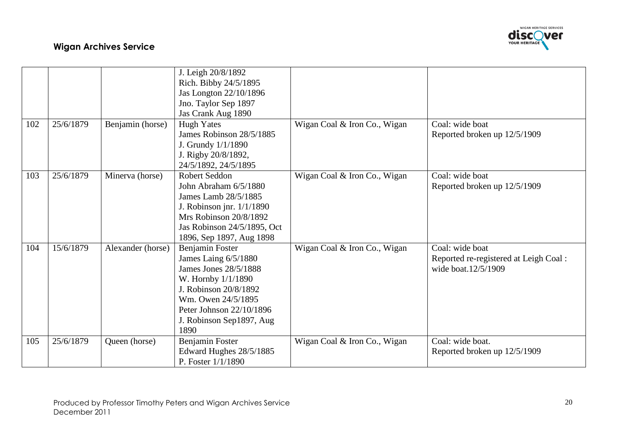

|     |           |                   | J. Leigh 20/8/1892<br>Rich. Bibby 24/5/1895 |                              |                                       |
|-----|-----------|-------------------|---------------------------------------------|------------------------------|---------------------------------------|
|     |           |                   | Jas Longton 22/10/1896                      |                              |                                       |
|     |           |                   | Jno. Taylor Sep 1897                        |                              |                                       |
|     |           |                   | Jas Crank Aug 1890                          |                              |                                       |
| 102 | 25/6/1879 | Benjamin (horse)  | <b>Hugh Yates</b>                           | Wigan Coal & Iron Co., Wigan | Coal: wide boat                       |
|     |           |                   | James Robinson 28/5/1885                    |                              | Reported broken up 12/5/1909          |
|     |           |                   | J. Grundy $1/1/1890$                        |                              |                                       |
|     |           |                   | J. Rigby 20/8/1892,                         |                              |                                       |
|     |           |                   | 24/5/1892, 24/5/1895                        |                              |                                       |
| 103 | 25/6/1879 | Minerva (horse)   | <b>Robert Seddon</b>                        | Wigan Coal & Iron Co., Wigan | Coal: wide boat                       |
|     |           |                   | John Abraham 6/5/1880                       |                              | Reported broken up 12/5/1909          |
|     |           |                   | James Lamb 28/5/1885                        |                              |                                       |
|     |           |                   | J. Robinson jnr. $1/1/1890$                 |                              |                                       |
|     |           |                   | Mrs Robinson 20/8/1892                      |                              |                                       |
|     |           |                   | Jas Robinson 24/5/1895, Oct                 |                              |                                       |
|     |           |                   | 1896, Sep 1897, Aug 1898                    |                              |                                       |
| 104 | 15/6/1879 | Alexander (horse) | Benjamin Foster                             | Wigan Coal & Iron Co., Wigan | Coal: wide boat                       |
|     |           |                   | James Laing 6/5/1880                        |                              | Reported re-registered at Leigh Coal: |
|     |           |                   | James Jones 28/5/1888                       |                              | wide boat.12/5/1909                   |
|     |           |                   | W. Hornby $1/1/1890$                        |                              |                                       |
|     |           |                   | J. Robinson 20/8/1892                       |                              |                                       |
|     |           |                   | Wm. Owen 24/5/1895                          |                              |                                       |
|     |           |                   | Peter Johnson 22/10/1896                    |                              |                                       |
|     |           |                   | J. Robinson Sep1897, Aug                    |                              |                                       |
|     |           |                   | 1890                                        |                              |                                       |
| 105 | 25/6/1879 | Queen (horse)     | Benjamin Foster                             | Wigan Coal & Iron Co., Wigan | Coal: wide boat.                      |
|     |           |                   | Edward Hughes 28/5/1885                     |                              | Reported broken up 12/5/1909          |
|     |           |                   | P. Foster 1/1/1890                          |                              |                                       |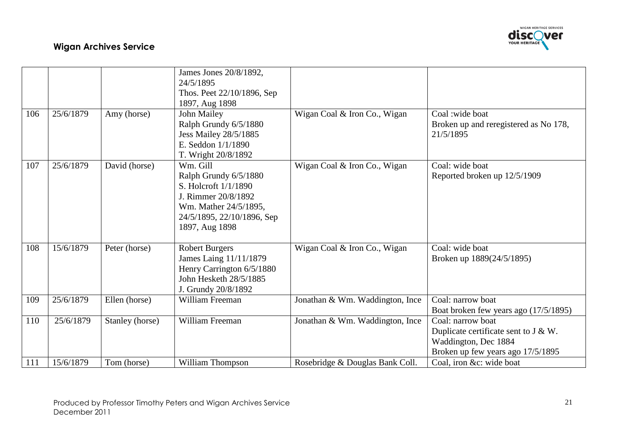

|     |           |                 | James Jones 20/8/1892,<br>24/5/1895 |                                 |                                                            |
|-----|-----------|-----------------|-------------------------------------|---------------------------------|------------------------------------------------------------|
|     |           |                 |                                     |                                 |                                                            |
|     |           |                 | Thos. Peet 22/10/1896, Sep          |                                 |                                                            |
|     |           |                 | 1897, Aug 1898                      |                                 |                                                            |
| 106 | 25/6/1879 | Amy (horse)     | John Mailey                         | Wigan Coal & Iron Co., Wigan    | Coal: wide boat                                            |
|     |           |                 | Ralph Grundy 6/5/1880               |                                 | Broken up and reregistered as No 178,                      |
|     |           |                 | <b>Jess Mailey 28/5/1885</b>        |                                 | 21/5/1895                                                  |
|     |           |                 | E. Seddon 1/1/1890                  |                                 |                                                            |
|     |           |                 | T. Wright 20/8/1892                 |                                 |                                                            |
| 107 | 25/6/1879 | David (horse)   | Wm. Gill                            | Wigan Coal & Iron Co., Wigan    | Coal: wide boat                                            |
|     |           |                 | Ralph Grundy 6/5/1880               |                                 | Reported broken up 12/5/1909                               |
|     |           |                 | S. Holcroft $1/1/1890$              |                                 |                                                            |
|     |           |                 | J. Rimmer 20/8/1892                 |                                 |                                                            |
|     |           |                 | Wm. Mather 24/5/1895,               |                                 |                                                            |
|     |           |                 | 24/5/1895, 22/10/1896, Sep          |                                 |                                                            |
|     |           |                 | 1897, Aug 1898                      |                                 |                                                            |
|     |           |                 |                                     |                                 |                                                            |
| 108 | 15/6/1879 | Peter (horse)   | <b>Robert Burgers</b>               | Wigan Coal & Iron Co., Wigan    | Coal: wide boat                                            |
|     |           |                 | James Laing 11/11/1879              |                                 | Broken up 1889(24/5/1895)                                  |
|     |           |                 | Henry Carrington 6/5/1880           |                                 |                                                            |
|     |           |                 | John Hesketh 28/5/1885              |                                 |                                                            |
|     |           |                 | J. Grundy 20/8/1892                 |                                 |                                                            |
| 109 | 25/6/1879 | Ellen (horse)   | William Freeman                     | Jonathan & Wm. Waddington, Ince | Coal: narrow boat                                          |
|     |           |                 |                                     |                                 |                                                            |
| 110 | 25/6/1879 |                 | William Freeman                     |                                 | Boat broken few years ago (17/5/1895)<br>Coal: narrow boat |
|     |           | Stanley (horse) |                                     | Jonathan & Wm. Waddington, Ince |                                                            |
|     |           |                 |                                     |                                 | Duplicate certificate sent to $J & W$ .                    |
|     |           |                 |                                     |                                 | Waddington, Dec 1884                                       |
|     |           |                 |                                     |                                 | Broken up few years ago 17/5/1895                          |
| 111 | 15/6/1879 | Tom (horse)     | William Thompson                    | Rosebridge & Douglas Bank Coll. | Coal, iron &c: wide boat                                   |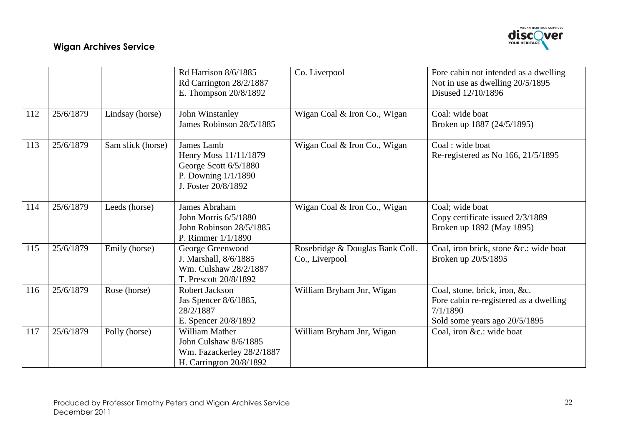

|     |           |                   | Rd Harrison 8/6/1885<br>Rd Carrington 28/2/1887<br>E. Thompson 20/8/1892                                   | Co. Liverpool                                     | Fore cabin not intended as a dwelling<br>Not in use as dwelling 20/5/1895<br>Disused 12/10/1896                      |
|-----|-----------|-------------------|------------------------------------------------------------------------------------------------------------|---------------------------------------------------|----------------------------------------------------------------------------------------------------------------------|
| 112 | 25/6/1879 | Lindsay (horse)   | John Winstanley<br>James Robinson 28/5/1885                                                                | Wigan Coal & Iron Co., Wigan                      | Coal: wide boat<br>Broken up 1887 (24/5/1895)                                                                        |
| 113 | 25/6/1879 | Sam slick (horse) | James Lamb<br>Henry Moss 11/11/1879<br>George Scott 6/5/1880<br>P. Downing 1/1/1890<br>J. Foster 20/8/1892 | Wigan Coal & Iron Co., Wigan                      | Coal: wide boat<br>Re-registered as No 166, 21/5/1895                                                                |
| 114 | 25/6/1879 | Leeds (horse)     | <b>James Abraham</b><br>John Morris 6/5/1880<br>John Robinson 28/5/1885<br>P. Rimmer $1/1/1890$            | Wigan Coal & Iron Co., Wigan                      | Coal; wide boat<br>Copy certificate issued 2/3/1889<br>Broken up 1892 (May 1895)                                     |
| 115 | 25/6/1879 | Emily (horse)     | George Greenwood<br>J. Marshall, 8/6/1885<br>Wm. Culshaw 28/2/1887<br>T. Prescott 20/8/1892                | Rosebridge & Douglas Bank Coll.<br>Co., Liverpool | Coal, iron brick, stone &c.: wide boat<br>Broken up 20/5/1895                                                        |
| 116 | 25/6/1879 | Rose (horse)      | Robert Jackson<br>Jas Spencer 8/6/1885,<br>28/2/1887<br>E. Spencer 20/8/1892                               | William Bryham Jnr, Wigan                         | Coal, stone, brick, iron, &c.<br>Fore cabin re-registered as a dwelling<br>7/1/1890<br>Sold some years ago 20/5/1895 |
| 117 | 25/6/1879 | Polly (horse)     | William Mather<br>John Culshaw 8/6/1885<br>Wm. Fazackerley 28/2/1887<br>H. Carrington 20/8/1892            | William Bryham Jnr, Wigan                         | Coal, iron &c.: wide boat                                                                                            |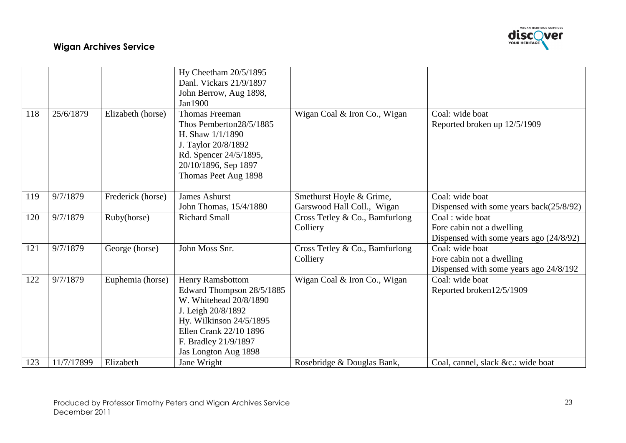

|     |            |                   | Hy Cheetham 20/5/1895     |                                |                                           |
|-----|------------|-------------------|---------------------------|--------------------------------|-------------------------------------------|
|     |            |                   | Danl. Vickars 21/9/1897   |                                |                                           |
|     |            |                   | John Berrow, Aug 1898,    |                                |                                           |
|     |            |                   | Jan1900                   |                                |                                           |
| 118 | 25/6/1879  | Elizabeth (horse) | <b>Thomas Freeman</b>     | Wigan Coal & Iron Co., Wigan   | Coal: wide boat                           |
|     |            |                   | Thos Pemberton28/5/1885   |                                | Reported broken up 12/5/1909              |
|     |            |                   | H. Shaw $1/1/1890$        |                                |                                           |
|     |            |                   | J. Taylor 20/8/1892       |                                |                                           |
|     |            |                   | Rd. Spencer 24/5/1895,    |                                |                                           |
|     |            |                   | 20/10/1896, Sep 1897      |                                |                                           |
|     |            |                   | Thomas Peet Aug 1898      |                                |                                           |
|     |            |                   |                           |                                |                                           |
| 119 | 9/7/1879   | Frederick (horse) | <b>James Ashurst</b>      | Smethurst Hoyle & Grime,       | Coal: wide boat                           |
|     |            |                   | John Thomas, 15/4/1880    | Garswood Hall Coll., Wigan     | Dispensed with some years $back(25/8/92)$ |
| 120 | 9/7/1879   | Ruby(horse)       | <b>Richard Small</b>      | Cross Tetley & Co., Bamfurlong | Coal: wide boat                           |
|     |            |                   |                           | Colliery                       | Fore cabin not a dwelling                 |
|     |            |                   |                           |                                | Dispensed with some years ago $(24/8/92)$ |
| 121 | 9/7/1879   | George (horse)    | John Moss Snr.            | Cross Tetley & Co., Bamfurlong | Coal: wide boat                           |
|     |            |                   |                           | Colliery                       | Fore cabin not a dwelling                 |
|     |            |                   |                           |                                | Dispensed with some years ago 24/8/192    |
| 122 | 9/7/1879   | Euphemia (horse)  | Henry Ramsbottom          | Wigan Coal & Iron Co., Wigan   | Coal: wide boat                           |
|     |            |                   | Edward Thompson 28/5/1885 |                                | Reported broken12/5/1909                  |
|     |            |                   | W. Whitehead 20/8/1890    |                                |                                           |
|     |            |                   | J. Leigh 20/8/1892        |                                |                                           |
|     |            |                   | Hy. Wilkinson 24/5/1895   |                                |                                           |
|     |            |                   | Ellen Crank 22/10 1896    |                                |                                           |
|     |            |                   | F. Bradley 21/9/1897      |                                |                                           |
|     |            |                   | Jas Longton Aug 1898      |                                |                                           |
| 123 | 11/7/17899 | Elizabeth         | Jane Wright               | Rosebridge & Douglas Bank,     | Coal, cannel, slack &c.: wide boat        |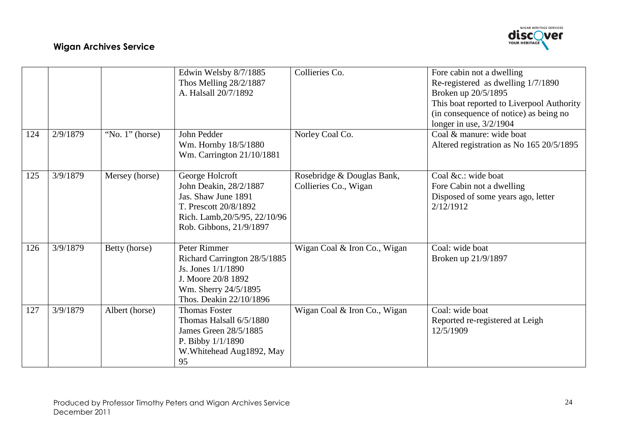

|     |          |                    | Edwin Welsby 8/7/1885<br>Thos Melling 28/2/1887<br>A. Halsall 20/7/1892                                                                               | Collieries Co.                                      | Fore cabin not a dwelling<br>Re-registered as dwelling 1/7/1890<br>Broken up 20/5/1895<br>This boat reported to Liverpool Authority<br>(in consequence of notice) as being no<br>longer in use, $3/2/1904$ |
|-----|----------|--------------------|-------------------------------------------------------------------------------------------------------------------------------------------------------|-----------------------------------------------------|------------------------------------------------------------------------------------------------------------------------------------------------------------------------------------------------------------|
| 124 | 2/9/1879 | "No. $1$ " (horse) | John Pedder<br>Wm. Hornby 18/5/1880<br>Wm. Carrington 21/10/1881                                                                                      | Norley Coal Co.                                     | Coal & manure: wide boat<br>Altered registration as No 165 20/5/1895                                                                                                                                       |
| 125 | 3/9/1879 | Mersey (horse)     | George Holcroft<br>John Deakin, 28/2/1887<br>Jas. Shaw June 1891<br>T. Prescott 20/8/1892<br>Rich. Lamb, 20/5/95, 22/10/96<br>Rob. Gibbons, 21/9/1897 | Rosebridge & Douglas Bank,<br>Collieries Co., Wigan | Coal &c.: wide boat<br>Fore Cabin not a dwelling<br>Disposed of some years ago, letter<br>2/12/1912                                                                                                        |
| 126 | 3/9/1879 | Betty (horse)      | Peter Rimmer<br>Richard Carrington 28/5/1885<br>Js. Jones 1/1/1890<br>J. Moore 20/8 1892<br>Wm. Sherry 24/5/1895<br>Thos. Deakin 22/10/1896           | Wigan Coal & Iron Co., Wigan                        | Coal: wide boat<br>Broken up 21/9/1897                                                                                                                                                                     |
| 127 | 3/9/1879 | Albert (horse)     | <b>Thomas Foster</b><br>Thomas Halsall 6/5/1880<br>James Green 28/5/1885<br>P. Bibby $1/1/1890$<br>W. Whitehead Aug1892, May<br>95                    | Wigan Coal & Iron Co., Wigan                        | Coal: wide boat<br>Reported re-registered at Leigh<br>12/5/1909                                                                                                                                            |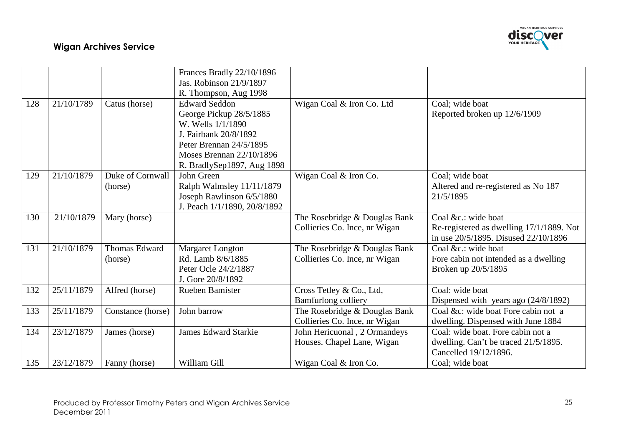

|     |            |                      | Frances Bradly 22/10/1896    |                               |                                          |
|-----|------------|----------------------|------------------------------|-------------------------------|------------------------------------------|
|     |            |                      | Jas. Robinson 21/9/1897      |                               |                                          |
|     |            |                      | R. Thompson, Aug 1998        |                               |                                          |
| 128 | 21/10/1789 | Catus (horse)        | <b>Edward Seddon</b>         | Wigan Coal & Iron Co. Ltd     | Coal; wide boat                          |
|     |            |                      | George Pickup 28/5/1885      |                               | Reported broken up 12/6/1909             |
|     |            |                      | W. Wells $1/1/1890$          |                               |                                          |
|     |            |                      | J. Fairbank 20/8/1892        |                               |                                          |
|     |            |                      | Peter Brennan 24/5/1895      |                               |                                          |
|     |            |                      | Moses Brennan $22/10/1896$   |                               |                                          |
|     |            |                      | R. BradlySep1897, Aug 1898   |                               |                                          |
| 129 | 21/10/1879 | Duke of Cornwall     | John Green                   | Wigan Coal & Iron Co.         | Coal; wide boat                          |
|     |            | (horse)              | Ralph Walmsley 11/11/1879    |                               | Altered and re-registered as No 187      |
|     |            |                      | Joseph Rawlinson 6/5/1880    |                               | 21/5/1895                                |
|     |            |                      | J. Peach 1/1/1890, 20/8/1892 |                               |                                          |
| 130 | 21/10/1879 | Mary (horse)         |                              | The Rosebridge & Douglas Bank | Coal &c.: wide boat                      |
|     |            |                      |                              | Collieries Co. Ince, nr Wigan | Re-registered as dwelling 17/1/1889. Not |
|     |            |                      |                              |                               | in use 20/5/1895. Disused 22/10/1896     |
| 131 | 21/10/1879 | <b>Thomas Edward</b> | <b>Margaret Longton</b>      | The Rosebridge & Douglas Bank | Coal &c.: wide boat                      |
|     |            | (horse)              | Rd. Lamb 8/6/1885            | Collieries Co. Ince, nr Wigan | Fore cabin not intended as a dwelling    |
|     |            |                      | Peter Ocle 24/2/1887         |                               | Broken up 20/5/1895                      |
|     |            |                      | J. Gore 20/8/1892            |                               |                                          |
| 132 | 25/11/1879 | Alfred (horse)       | Rueben Bamister              | Cross Tetley & Co., Ltd,      | Coal: wide boat                          |
|     |            |                      |                              | Bamfurlong colliery           | Dispensed with years ago $(24/8/1892)$   |
| 133 | 25/11/1879 | Constance (horse)    | John barrow                  | The Rosebridge & Douglas Bank | Coal &c: wide boat Fore cabin not a      |
|     |            |                      |                              | Collieries Co. Ince, nr Wigan | dwelling. Dispensed with June 1884       |
| 134 | 23/12/1879 | James (horse)        | <b>James Edward Starkie</b>  | John Hericuonal, 2 Ormandeys  | Coal: wide boat. Fore cabin not a        |
|     |            |                      |                              | Houses. Chapel Lane, Wigan    | dwelling. Can't be traced 21/5/1895.     |
|     |            |                      |                              |                               | Cancelled 19/12/1896.                    |
| 135 | 23/12/1879 | Fanny (horse)        | William Gill                 | Wigan Coal & Iron Co.         | Coal; wide boat                          |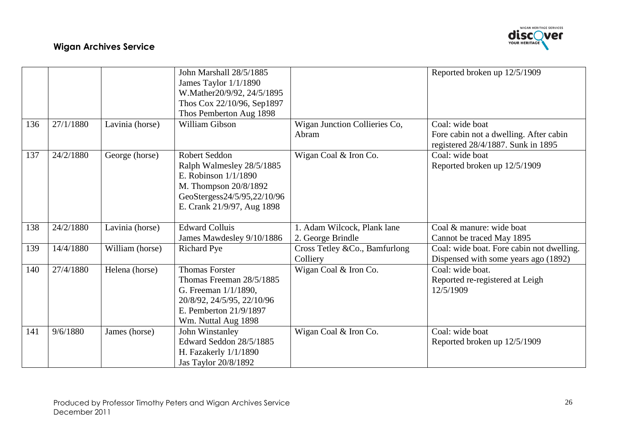

|     |           |                 | John Marshall 28/5/1885<br>James Taylor 1/1/1890<br>W.Mather20/9/92, 24/5/1895<br>Thos Cox 22/10/96, Sep1897<br>Thos Pemberton Aug 1898                     |                                                  | Reported broken up 12/5/1909                                                                    |
|-----|-----------|-----------------|-------------------------------------------------------------------------------------------------------------------------------------------------------------|--------------------------------------------------|-------------------------------------------------------------------------------------------------|
| 136 | 27/1/1880 | Lavinia (horse) | William Gibson                                                                                                                                              | Wigan Junction Collieries Co,<br>Abram           | Coal: wide boat<br>Fore cabin not a dwelling. After cabin<br>registered 28/4/1887. Sunk in 1895 |
| 137 | 24/2/1880 | George (horse)  | Robert Seddon<br>Ralph Walmesley 28/5/1885<br>E. Robinson $1/1/1890$<br>M. Thompson 20/8/1892<br>GeoStergess24/5/95,22/10/96<br>E. Crank 21/9/97, Aug 1898  | Wigan Coal & Iron Co.                            | Coal: wide boat<br>Reported broken up 12/5/1909                                                 |
| 138 | 24/2/1880 | Lavinia (horse) | <b>Edward Colluis</b><br>James Mawdesley 9/10/1886                                                                                                          | 1. Adam Wilcock, Plank lane<br>2. George Brindle | Coal & manure: wide boat<br>Cannot be traced May 1895                                           |
| 139 | 14/4/1880 | William (horse) | <b>Richard Pye</b>                                                                                                                                          | Cross Tetley &Co., Bamfurlong<br>Colliery        | Coal: wide boat. Fore cabin not dwelling.<br>Dispensed with some years ago (1892)               |
| 140 | 27/4/1880 | Helena (horse)  | <b>Thomas Forster</b><br>Thomas Freeman 28/5/1885<br>G. Freeman $1/1/1890$ ,<br>20/8/92, 24/5/95, 22/10/96<br>E. Pemberton 21/9/1897<br>Wm. Nuttal Aug 1898 | Wigan Coal & Iron Co.                            | Coal: wide boat.<br>Reported re-registered at Leigh<br>12/5/1909                                |
| 141 | 9/6/1880  | James (horse)   | John Winstanley<br>Edward Seddon 28/5/1885<br>H. Fazakerly $1/1/1890$<br>Jas Taylor 20/8/1892                                                               | Wigan Coal & Iron Co.                            | Coal: wide boat<br>Reported broken up 12/5/1909                                                 |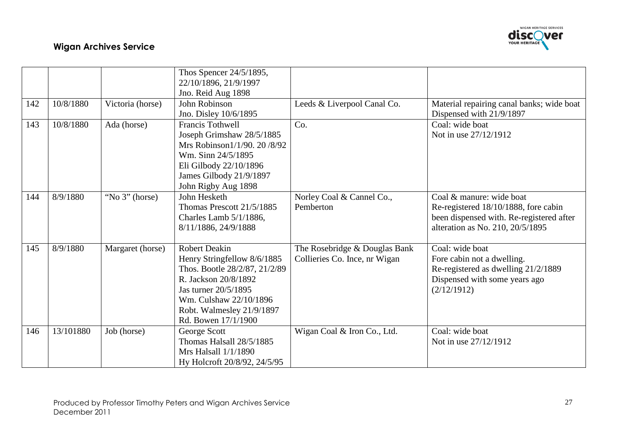

|     |           |                   | Thos Spencer 24/5/1895,       |                               |                                           |
|-----|-----------|-------------------|-------------------------------|-------------------------------|-------------------------------------------|
|     |           |                   | 22/10/1896, 21/9/1997         |                               |                                           |
|     |           |                   | Jno. Reid Aug 1898            |                               |                                           |
| 142 | 10/8/1880 | Victoria (horse)  | <b>John Robinson</b>          | Leeds & Liverpool Canal Co.   | Material repairing canal banks; wide boat |
|     |           |                   | Jno. Disley 10/6/1895         |                               | Dispensed with 21/9/1897                  |
| 143 | 10/8/1880 | Ada (horse)       | <b>Francis Tothwell</b>       | Co.                           | Coal: wide boat                           |
|     |           |                   | Joseph Grimshaw 28/5/1885     |                               | Not in use 27/12/1912                     |
|     |           |                   | Mrs Robinson1/1/90. 20/8/92   |                               |                                           |
|     |           |                   | Wm. Sinn 24/5/1895            |                               |                                           |
|     |           |                   | Eli Gilbody 22/10/1896        |                               |                                           |
|     |           |                   | James Gilbody 21/9/1897       |                               |                                           |
|     |           |                   | John Rigby Aug 1898           |                               |                                           |
| 144 | 8/9/1880  | "No $3$ " (horse) | John Hesketh                  | Norley Coal & Cannel Co.,     | Coal & manure: wide boat                  |
|     |           |                   | Thomas Prescott 21/5/1885     | Pemberton                     | Re-registered 18/10/1888, fore cabin      |
|     |           |                   | Charles Lamb 5/1/1886,        |                               | been dispensed with. Re-registered after  |
|     |           |                   | 8/11/1886, 24/9/1888          |                               | alteration as No. 210, 20/5/1895          |
|     |           |                   |                               |                               |                                           |
| 145 | 8/9/1880  | Margaret (horse)  | <b>Robert Deakin</b>          | The Rosebridge & Douglas Bank | Coal: wide boat                           |
|     |           |                   | Henry Stringfellow 8/6/1885   | Collieries Co. Ince, nr Wigan | Fore cabin not a dwelling.                |
|     |           |                   | Thos. Bootle 28/2/87, 21/2/89 |                               | Re-registered as dwelling 21/2/1889       |
|     |           |                   | R. Jackson 20/8/1892          |                               | Dispensed with some years ago             |
|     |           |                   | Jas turner 20/5/1895          |                               | (2/12/1912)                               |
|     |           |                   | Wm. Culshaw 22/10/1896        |                               |                                           |
|     |           |                   | Robt. Walmesley 21/9/1897     |                               |                                           |
|     |           |                   | Rd. Bowen 17/1/1900           |                               |                                           |
| 146 | 13/101880 | Job (horse)       | George Scott                  | Wigan Coal & Iron Co., Ltd.   | Coal: wide boat                           |
|     |           |                   | Thomas Halsall 28/5/1885      |                               | Not in use 27/12/1912                     |
|     |           |                   | Mrs Halsall 1/1/1890          |                               |                                           |
|     |           |                   | Hy Holcroft 20/8/92, 24/5/95  |                               |                                           |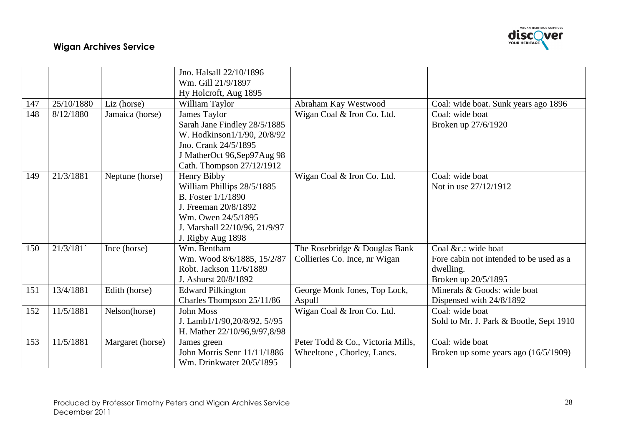

|     |            |                  | Jno. Halsall 22/10/1896       |                                   |                                         |
|-----|------------|------------------|-------------------------------|-----------------------------------|-----------------------------------------|
|     |            |                  | Wm. Gill 21/9/1897            |                                   |                                         |
|     |            |                  | Hy Holcroft, Aug 1895         |                                   |                                         |
| 147 | 25/10/1880 | Liz (horse)      | William Taylor                | Abraham Kay Westwood              | Coal: wide boat. Sunk years ago 1896    |
| 148 | 8/12/1880  | Jamaica (horse)  | James Taylor                  | Wigan Coal & Iron Co. Ltd.        | Coal: wide boat                         |
|     |            |                  | Sarah Jane Findley 28/5/1885  |                                   | Broken up 27/6/1920                     |
|     |            |                  | W. Hodkinson1/1/90, 20/8/92   |                                   |                                         |
|     |            |                  | Jno. Crank 24/5/1895          |                                   |                                         |
|     |            |                  | J MatherOct 96, Sep97Aug 98   |                                   |                                         |
|     |            |                  | Cath. Thompson 27/12/1912     |                                   |                                         |
| 149 | 21/3/1881  | Neptune (horse)  | Henry Bibby                   | Wigan Coal & Iron Co. Ltd.        | Coal: wide boat                         |
|     |            |                  | William Phillips 28/5/1885    |                                   | Not in use 27/12/1912                   |
|     |            |                  | <b>B.</b> Foster $1/1/1890$   |                                   |                                         |
|     |            |                  | J. Freeman 20/8/1892          |                                   |                                         |
|     |            |                  | Wm. Owen 24/5/1895            |                                   |                                         |
|     |            |                  | J. Marshall 22/10/96, 21/9/97 |                                   |                                         |
|     |            |                  | J. Rigby Aug 1898             |                                   |                                         |
| 150 | 21/3/181   | Ince (horse)     | Wm. Bentham                   | The Rosebridge & Douglas Bank     | Coal &c.: wide boat                     |
|     |            |                  | Wm. Wood 8/6/1885, 15/2/87    | Collieries Co. Ince, nr Wigan     | Fore cabin not intended to be used as a |
|     |            |                  | Robt. Jackson 11/6/1889       |                                   | dwelling.                               |
|     |            |                  | J. Ashurst 20/8/1892          |                                   | Broken up 20/5/1895                     |
| 151 | 13/4/1881  | Edith (horse)    | <b>Edward Pilkington</b>      | George Monk Jones, Top Lock,      | Minerals & Goods: wide boat             |
|     |            |                  | Charles Thompson 25/11/86     | Aspull                            | Dispensed with 24/8/1892                |
| 152 | 11/5/1881  | Nelson(horse)    | <b>John Moss</b>              | Wigan Coal & Iron Co. Ltd.        | Coal: wide boat                         |
|     |            |                  | J. Lamb1/1/90,20/8/92, 5//95  |                                   | Sold to Mr. J. Park & Bootle, Sept 1910 |
|     |            |                  | H. Mather 22/10/96,9/97,8/98  |                                   |                                         |
| 153 | 11/5/1881  | Margaret (horse) | James green                   | Peter Todd & Co., Victoria Mills, | Coal: wide boat                         |
|     |            |                  | John Morris Senr 11/11/1886   | Wheeltone, Chorley, Lancs.        | Broken up some years ago $(16/5/1909)$  |
|     |            |                  | Wm. Drinkwater 20/5/1895      |                                   |                                         |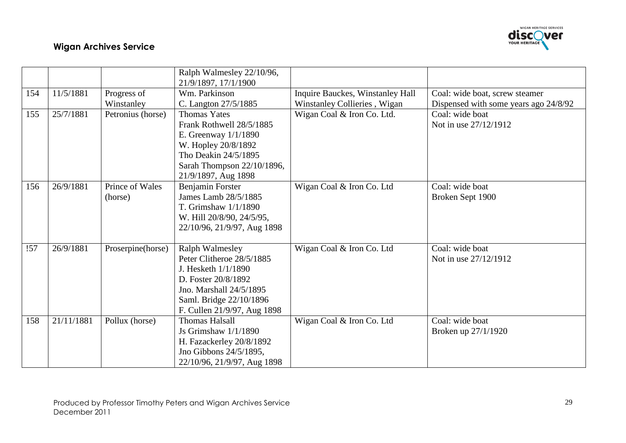

|     |            |                   | Ralph Walmesley 22/10/96,   |                                  |                                       |
|-----|------------|-------------------|-----------------------------|----------------------------------|---------------------------------------|
|     |            |                   | 21/9/1897, 17/1/1900        |                                  |                                       |
| 154 | 11/5/1881  | Progress of       | Wm. Parkinson               | Inquire Bauckes, Winstanley Hall | Coal: wide boat, screw steamer        |
|     |            | Winstanley        | C. Langton 27/5/1885        | Winstanley Collieries, Wigan     | Dispensed with some years ago 24/8/92 |
| 155 | 25/7/1881  | Petronius (horse) | <b>Thomas Yates</b>         | Wigan Coal & Iron Co. Ltd.       | Coal: wide boat                       |
|     |            |                   | Frank Rothwell 28/5/1885    |                                  | Not in use 27/12/1912                 |
|     |            |                   | E. Greenway 1/1/1890        |                                  |                                       |
|     |            |                   | W. Hopley 20/8/1892         |                                  |                                       |
|     |            |                   | Tho Deakin 24/5/1895        |                                  |                                       |
|     |            |                   | Sarah Thompson 22/10/1896,  |                                  |                                       |
|     |            |                   | 21/9/1897, Aug 1898         |                                  |                                       |
| 156 | 26/9/1881  | Prince of Wales   | Benjamin Forster            | Wigan Coal & Iron Co. Ltd        | Coal: wide boat                       |
|     |            | (horse)           | James Lamb 28/5/1885        |                                  | Broken Sept 1900                      |
|     |            |                   | T. Grimshaw $1/1/1890$      |                                  |                                       |
|     |            |                   | W. Hill 20/8/90, 24/5/95,   |                                  |                                       |
|     |            |                   | 22/10/96, 21/9/97, Aug 1898 |                                  |                                       |
|     |            |                   |                             |                                  |                                       |
| !57 | 26/9/1881  | Proserpine(horse) | <b>Ralph Walmesley</b>      | Wigan Coal & Iron Co. Ltd        | Coal: wide boat                       |
|     |            |                   | Peter Clitheroe 28/5/1885   |                                  | Not in use 27/12/1912                 |
|     |            |                   | J. Hesketh $1/1/1890$       |                                  |                                       |
|     |            |                   | D. Foster 20/8/1892         |                                  |                                       |
|     |            |                   | Jno. Marshall 24/5/1895     |                                  |                                       |
|     |            |                   | Saml. Bridge 22/10/1896     |                                  |                                       |
|     |            |                   | F. Cullen 21/9/97, Aug 1898 |                                  |                                       |
| 158 | 21/11/1881 | Pollux (horse)    | <b>Thomas Halsall</b>       | Wigan Coal & Iron Co. Ltd        | Coal: wide boat                       |
|     |            |                   | Js Grimshaw $1/1/1890$      |                                  | Broken up 27/1/1920                   |
|     |            |                   | H. Fazackerley 20/8/1892    |                                  |                                       |
|     |            |                   | Jno Gibbons 24/5/1895,      |                                  |                                       |
|     |            |                   | 22/10/96, 21/9/97, Aug 1898 |                                  |                                       |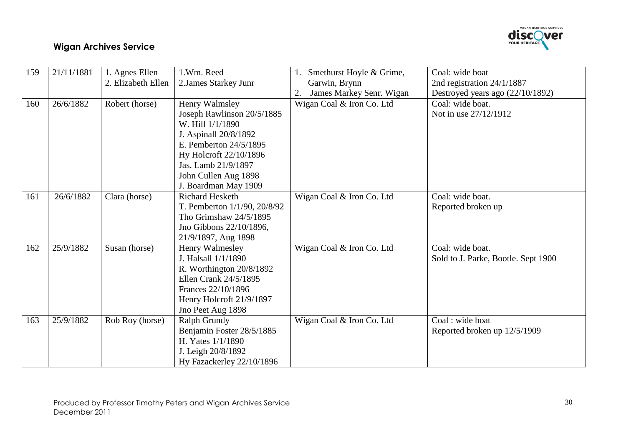

| 159 | 21/11/1881 | 1. Agnes Ellen     | 1.Wm. Reed                   | 1. Smethurst Hoyle & Grime,    | Coal: wide boat                     |
|-----|------------|--------------------|------------------------------|--------------------------------|-------------------------------------|
|     |            | 2. Elizabeth Ellen | 2. James Starkey Junr        | Garwin, Brynn                  | 2nd registration 24/1/1887          |
|     |            |                    |                              | James Markey Senr. Wigan<br>2. | Destroyed years ago (22/10/1892)    |
| 160 | 26/6/1882  | Robert (horse)     | Henry Walmsley               | Wigan Coal & Iron Co. Ltd      | Coal: wide boat.                    |
|     |            |                    | Joseph Rawlinson 20/5/1885   |                                | Not in use 27/12/1912               |
|     |            |                    | W. Hill $1/1/1890$           |                                |                                     |
|     |            |                    | J. Aspinall 20/8/1892        |                                |                                     |
|     |            |                    | E. Pemberton 24/5/1895       |                                |                                     |
|     |            |                    | Hy Holcroft 22/10/1896       |                                |                                     |
|     |            |                    | Jas. Lamb 21/9/1897          |                                |                                     |
|     |            |                    | John Cullen Aug 1898         |                                |                                     |
|     |            |                    | J. Boardman May 1909         |                                |                                     |
| 161 | 26/6/1882  | Clara (horse)      | <b>Richard Hesketh</b>       | Wigan Coal & Iron Co. Ltd      | Coal: wide boat.                    |
|     |            |                    | T. Pemberton 1/1/90, 20/8/92 |                                | Reported broken up                  |
|     |            |                    | Tho Grimshaw 24/5/1895       |                                |                                     |
|     |            |                    | Jno Gibbons 22/10/1896,      |                                |                                     |
|     |            |                    | 21/9/1897, Aug 1898          |                                |                                     |
| 162 | 25/9/1882  | Susan (horse)      | Henry Walmesley              | Wigan Coal & Iron Co. Ltd      | Coal: wide boat.                    |
|     |            |                    | J. Halsall 1/1/1890          |                                | Sold to J. Parke, Bootle. Sept 1900 |
|     |            |                    | R. Worthington 20/8/1892     |                                |                                     |
|     |            |                    | Ellen Crank 24/5/1895        |                                |                                     |
|     |            |                    | Frances 22/10/1896           |                                |                                     |
|     |            |                    | Henry Holcroft 21/9/1897     |                                |                                     |
|     |            |                    | Jno Peet Aug 1898            |                                |                                     |
| 163 | 25/9/1882  | Rob Roy (horse)    | Ralph Grundy                 | Wigan Coal & Iron Co. Ltd      | Coal: wide boat                     |
|     |            |                    | Benjamin Foster 28/5/1885    |                                | Reported broken up 12/5/1909        |
|     |            |                    | H. Yates $1/1/1890$          |                                |                                     |
|     |            |                    | J. Leigh 20/8/1892           |                                |                                     |
|     |            |                    | Hy Fazackerley 22/10/1896    |                                |                                     |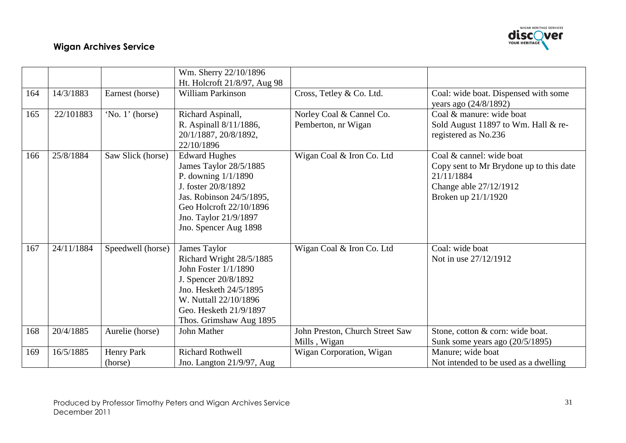

|     |            |                   | Wm. Sherry 22/10/1896                                                                                                                                                                                   |                                                 |                                                                                                                                    |
|-----|------------|-------------------|---------------------------------------------------------------------------------------------------------------------------------------------------------------------------------------------------------|-------------------------------------------------|------------------------------------------------------------------------------------------------------------------------------------|
|     |            |                   | Ht. Holcroft 21/8/97, Aug 98                                                                                                                                                                            |                                                 |                                                                                                                                    |
| 164 | 14/3/1883  | Earnest (horse)   | <b>William Parkinson</b>                                                                                                                                                                                | Cross, Tetley & Co. Ltd.                        | Coal: wide boat. Dispensed with some<br>years ago (24/8/1892)                                                                      |
| 165 | 22/101883  | 'No. 1' (horse)   | Richard Aspinall,<br>R. Aspinall 8/11/1886,<br>20/1/1887, 20/8/1892,<br>22/10/1896                                                                                                                      | Norley Coal & Cannel Co.<br>Pemberton, nr Wigan | Coal & manure: wide boat<br>Sold August 11897 to Wm. Hall & re-<br>registered as No.236                                            |
| 166 | 25/8/1884  | Saw Slick (horse) | <b>Edward Hughes</b><br>James Taylor 28/5/1885<br>P. downing $1/1/1890$<br>J. foster 20/8/1892<br>Jas. Robinson 24/5/1895,<br>Geo Holcroft 22/10/1896<br>Jno. Taylor 21/9/1897<br>Jno. Spencer Aug 1898 | Wigan Coal & Iron Co. Ltd                       | Coal & cannel: wide boat<br>Copy sent to Mr Brydone up to this date<br>21/11/1884<br>Change able 27/12/1912<br>Broken up 21/1/1920 |
| 167 | 24/11/1884 | Speedwell (horse) | James Taylor<br>Richard Wright 28/5/1885<br>John Foster 1/1/1890<br>J. Spencer 20/8/1892<br>Jno. Hesketh 24/5/1895<br>W. Nuttall 22/10/1896<br>Geo. Hesketh 21/9/1897<br>Thos. Grimshaw Aug 1895        | Wigan Coal & Iron Co. Ltd                       | Coal: wide boat<br>Not in use 27/12/1912                                                                                           |
| 168 | 20/4/1885  | Aurelie (horse)   | John Mather                                                                                                                                                                                             | John Preston, Church Street Saw<br>Mills, Wigan | Stone, cotton & corn: wide boat.<br>Sunk some years ago $(20/5/1895)$                                                              |
| 169 | 16/5/1885  | Henry Park        | <b>Richard Rothwell</b>                                                                                                                                                                                 | Wigan Corporation, Wigan                        | Manure; wide boat                                                                                                                  |
|     |            | (horse)           | Jno. Langton 21/9/97, Aug                                                                                                                                                                               |                                                 | Not intended to be used as a dwelling                                                                                              |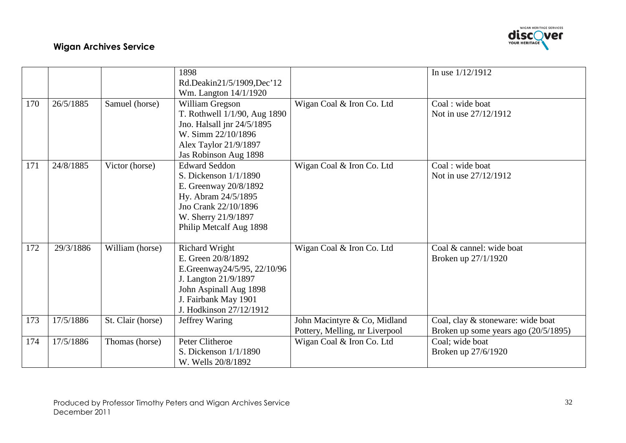

|     |           |                   | 1898<br>Rd.Deakin21/5/1909,Dec'12                                                                                                                                               |                                                                | In use $1/12/1912$                                                          |
|-----|-----------|-------------------|---------------------------------------------------------------------------------------------------------------------------------------------------------------------------------|----------------------------------------------------------------|-----------------------------------------------------------------------------|
|     |           |                   | Wm. Langton 14/1/1920                                                                                                                                                           |                                                                |                                                                             |
| 170 | 26/5/1885 | Samuel (horse)    | William Gregson<br>T. Rothwell 1/1/90, Aug 1890                                                                                                                                 | Wigan Coal & Iron Co. Ltd                                      | Coal: wide boat<br>Not in use 27/12/1912                                    |
|     |           |                   | Jno. Halsall jnr 24/5/1895<br>W. Simm 22/10/1896                                                                                                                                |                                                                |                                                                             |
|     |           |                   | Alex Taylor 21/9/1897<br>Jas Robinson Aug 1898                                                                                                                                  |                                                                |                                                                             |
| 171 | 24/8/1885 | Victor (horse)    | <b>Edward Seddon</b><br>S. Dickenson $1/1/1890$<br>E. Greenway 20/8/1892<br>Hy. Abram 24/5/1895<br>Jno Crank 22/10/1896<br>W. Sherry 21/9/1897<br>Philip Metcalf Aug 1898       | Wigan Coal & Iron Co. Ltd                                      | Coal: wide boat<br>Not in use 27/12/1912                                    |
| 172 | 29/3/1886 | William (horse)   | <b>Richard Wright</b><br>E. Green 20/8/1892<br>E.Greenway24/5/95, 22/10/96<br>J. Langton 21/9/1897<br>John Aspinall Aug 1898<br>J. Fairbank May 1901<br>J. Hodkinson 27/12/1912 | Wigan Coal & Iron Co. Ltd                                      | Coal & cannel: wide boat<br>Broken up 27/1/1920                             |
| 173 | 17/5/1886 | St. Clair (horse) | Jeffrey Waring                                                                                                                                                                  | John Macintyre & Co, Midland<br>Pottery, Melling, nr Liverpool | Coal, clay & stoneware: wide boat<br>Broken up some years ago $(20/5/1895)$ |
| 174 | 17/5/1886 | Thomas (horse)    | Peter Clitheroe<br>S. Dickenson $1/1/1890$<br>W. Wells 20/8/1892                                                                                                                | Wigan Coal & Iron Co. Ltd                                      | Coal; wide boat<br>Broken up 27/6/1920                                      |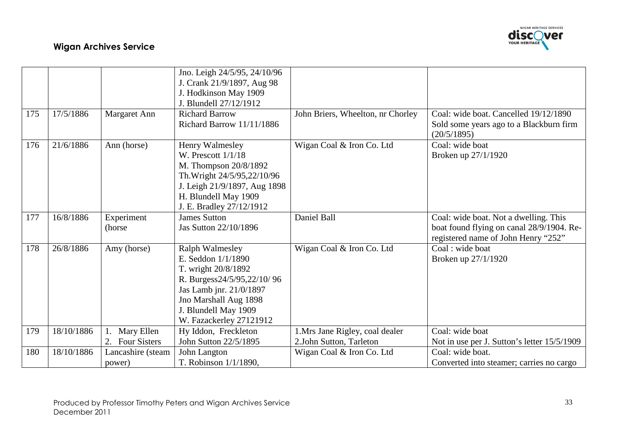

|     |            |                   | Jno. Leigh 24/5/95, 24/10/96 |                                   |                                                        |
|-----|------------|-------------------|------------------------------|-----------------------------------|--------------------------------------------------------|
|     |            |                   | J. Crank 21/9/1897, Aug 98   |                                   |                                                        |
|     |            |                   | J. Hodkinson May 1909        |                                   |                                                        |
|     |            |                   | J. Blundell 27/12/1912       |                                   |                                                        |
| 175 | 17/5/1886  | Margaret Ann      | <b>Richard Barrow</b>        | John Briers, Wheelton, nr Chorley | Coal: wide boat. Cancelled 19/12/1890                  |
|     |            |                   | Richard Barrow 11/11/1886    |                                   | Sold some years ago to a Blackburn firm<br>(20/5/1895) |
| 176 | 21/6/1886  | Ann (horse)       | Henry Walmesley              | Wigan Coal & Iron Co. Ltd         | Coal: wide boat                                        |
|     |            |                   | W. Prescott $1/1/18$         |                                   | Broken up 27/1/1920                                    |
|     |            |                   | M. Thompson 20/8/1892        |                                   |                                                        |
|     |            |                   | Th. Wright 24/5/95,22/10/96  |                                   |                                                        |
|     |            |                   | J. Leigh 21/9/1897, Aug 1898 |                                   |                                                        |
|     |            |                   | H. Blundell May 1909         |                                   |                                                        |
|     |            |                   | J. E. Bradley 27/12/1912     |                                   |                                                        |
| 177 | 16/8/1886  | Experiment        | <b>James Sutton</b>          | Daniel Ball                       | Coal: wide boat. Not a dwelling. This                  |
|     |            | (horse)           | Jas Sutton 22/10/1896        |                                   | boat found flying on canal 28/9/1904. Re-              |
|     |            |                   |                              |                                   | registered name of John Henry "252"                    |
| 178 | 26/8/1886  | Amy (horse)       | Ralph Walmesley              | Wigan Coal & Iron Co. Ltd         | Coal: wide boat                                        |
|     |            |                   | E. Seddon 1/1/1890           |                                   | Broken up 27/1/1920                                    |
|     |            |                   | T. wright 20/8/1892          |                                   |                                                        |
|     |            |                   | R. Burgess24/5/95,22/10/96   |                                   |                                                        |
|     |            |                   | Jas Lamb jnr. 21/0/1897      |                                   |                                                        |
|     |            |                   | Jno Marshall Aug 1898        |                                   |                                                        |
|     |            |                   | J. Blundell May 1909         |                                   |                                                        |
|     |            |                   | W. Fazackerley 27121912      |                                   |                                                        |
| 179 | 18/10/1886 | Mary Ellen        | Hy Iddon, Freckleton         | 1.Mrs Jane Rigley, coal dealer    | Coal: wide boat                                        |
|     |            | 2. Four Sisters   | John Sutton 22/5/1895        | 2.John Sutton, Tarleton           | Not in use per J. Sutton's letter 15/5/1909            |
| 180 | 18/10/1886 | Lancashire (steam | John Langton                 | Wigan Coal & Iron Co. Ltd         | Coal: wide boat.                                       |
|     |            | power)            | T. Robinson 1/1/1890,        |                                   | Converted into steamer; carries no cargo               |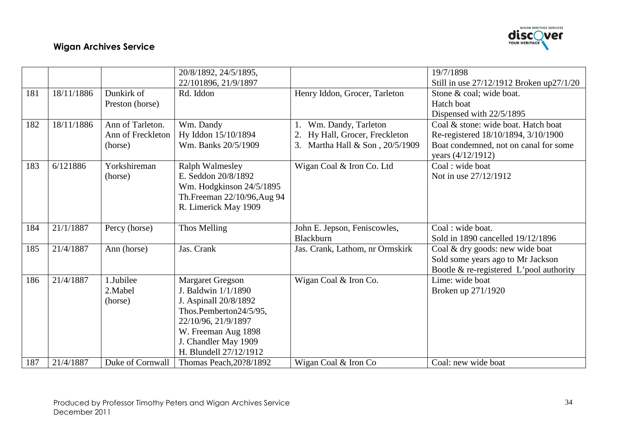

|     |            |                   | 20/8/1892, 24/5/1895,       |                                 | 19/7/1898                                  |
|-----|------------|-------------------|-----------------------------|---------------------------------|--------------------------------------------|
|     |            |                   | 22/101896, 21/9/1897        |                                 | Still in use 27/12/1912 Broken up27/1/20   |
| 181 | 18/11/1886 | Dunkirk of        | Rd. Iddon                   | Henry Iddon, Grocer, Tarleton   | Stone & coal; wide boat.                   |
|     |            | Preston (horse)   |                             |                                 | Hatch boat                                 |
|     |            |                   |                             |                                 | Dispensed with 22/5/1895                   |
| 182 | 18/11/1886 | Ann of Tarleton.  | Wm. Dandy                   | Wm. Dandy, Tarleton             | Coal & stone: wide boat. Hatch boat        |
|     |            | Ann of Freckleton | Hy Iddon 15/10/1894         | Hy Hall, Grocer, Freckleton     | Re-registered 18/10/1894, 3/10/1900        |
|     |            | (horse)           | Wm. Banks 20/5/1909         | 3. Martha Hall & Son, 20/5/1909 | Boat condemned, not on canal for some      |
|     |            |                   |                             |                                 | years (4/12/1912)                          |
| 183 | 6/121886   | Yorkshireman      | <b>Ralph Walmesley</b>      | Wigan Coal & Iron Co. Ltd       | Coal: wide boat                            |
|     |            | (horse)           | E. Seddon 20/8/1892         |                                 | Not in use 27/12/1912                      |
|     |            |                   | Wm. Hodgkinson 24/5/1895    |                                 |                                            |
|     |            |                   | Th.Freeman 22/10/96, Aug 94 |                                 |                                            |
|     |            |                   | R. Limerick May 1909        |                                 |                                            |
|     |            |                   |                             |                                 |                                            |
| 184 | 21/1/1887  | Percy (horse)     | Thos Melling                | John E. Jepson, Feniscowles,    | Coal: wide boat.                           |
|     |            |                   |                             | Blackburn                       | Sold in 1890 cancelled 19/12/1896          |
| 185 | 21/4/1887  | Ann (horse)       | Jas. Crank                  | Jas. Crank, Lathom, nr Ormskirk | Coal & dry goods: new wide boat            |
|     |            |                   |                             |                                 | Sold some years ago to Mr Jackson          |
|     |            |                   |                             |                                 | Bootle $\&$ re-registered L'pool authority |
| 186 | 21/4/1887  | 1.Jubilee         | <b>Margaret Gregson</b>     | Wigan Coal & Iron Co.           | Lime: wide boat                            |
|     |            | 2. Mabel          | J. Baldwin 1/1/1890         |                                 | Broken up 271/1920                         |
|     |            | (horse)           | J. Aspinall 20/8/1892       |                                 |                                            |
|     |            |                   | Thos.Pemberton24/5/95,      |                                 |                                            |
|     |            |                   | 22/10/96, 21/9/1897         |                                 |                                            |
|     |            |                   | W. Freeman Aug 1898         |                                 |                                            |
|     |            |                   | J. Chandler May 1909        |                                 |                                            |
|     |            |                   | H. Blundell 27/12/1912      |                                 |                                            |
| 187 | 21/4/1887  | Duke of Cornwall  | Thomas Peach, 20?8/1892     | Wigan Coal & Iron Co            | Coal: new wide boat                        |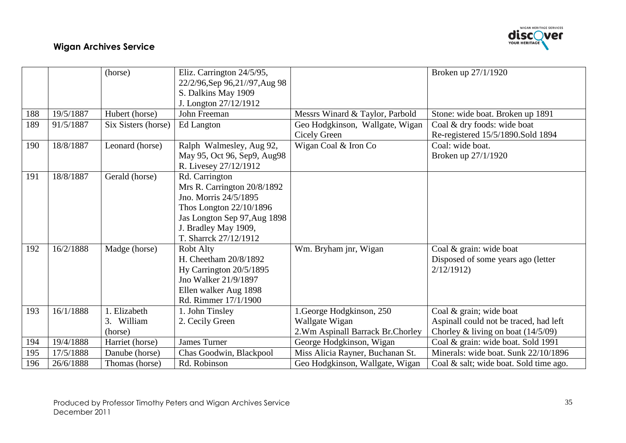

|     |           | (horse)                               | Eliz. Carrington 24/5/95,<br>22/2/96, Sep 96, 21//97, Aug 98                                                                                                                       |                                                                                   | Broken up 27/1/1920                                                                                       |
|-----|-----------|---------------------------------------|------------------------------------------------------------------------------------------------------------------------------------------------------------------------------------|-----------------------------------------------------------------------------------|-----------------------------------------------------------------------------------------------------------|
|     |           |                                       | S. Dalkins May 1909<br>J. Longton 27/12/1912                                                                                                                                       |                                                                                   |                                                                                                           |
| 188 | 19/5/1887 | Hubert (horse)                        | John Freeman                                                                                                                                                                       | Messrs Winard & Taylor, Parbold                                                   | Stone: wide boat. Broken up 1891                                                                          |
| 189 | 91/5/1887 | Six Sisters (horse)                   | Ed Langton                                                                                                                                                                         | Geo Hodgkinson, Wallgate, Wigan<br>Cicely Green                                   | Coal & dry foods: wide boat<br>Re-registered 15/5/1890.Sold 1894                                          |
| 190 | 18/8/1887 | Leonard (horse)                       | Ralph Walmesley, Aug 92,<br>May 95, Oct 96, Sep9, Aug98<br>R. Livesey 27/12/1912                                                                                                   | Wigan Coal & Iron Co                                                              | Coal: wide boat.<br>Broken up 27/1/1920                                                                   |
| 191 | 18/8/1887 | Gerald (horse)                        | Rd. Carrington<br>Mrs R. Carrington 20/8/1892<br>Jno. Morris 24/5/1895<br>Thos Longton 22/10/1896<br>Jas Longton Sep 97, Aug 1898<br>J. Bradley May 1909,<br>T. Sharrck 27/12/1912 |                                                                                   |                                                                                                           |
| 192 | 16/2/1888 | Madge (horse)                         | <b>Robt Alty</b><br>H. Cheetham 20/8/1892<br>Hy Carrington 20/5/1895<br>Jno Walker 21/9/1897<br>Ellen walker Aug 1898<br>Rd. Rimmer 17/1/1900                                      | Wm. Bryham jnr, Wigan                                                             | Coal & grain: wide boat<br>Disposed of some years ago (letter<br>2/12/1912                                |
| 193 | 16/1/1888 | 1. Elizabeth<br>3. William<br>(horse) | 1. John Tinsley<br>2. Cecily Green                                                                                                                                                 | 1. George Hodgkinson, 250<br>Wallgate Wigan<br>2. Wm Aspinall Barrack Br. Chorley | Coal & grain; wide boat<br>Aspinall could not be traced, had left<br>Chorley & living on boat $(14/5/09)$ |
| 194 | 19/4/1888 | Harriet (horse)                       | <b>James Turner</b>                                                                                                                                                                | George Hodgkinson, Wigan                                                          | Coal & grain: wide boat. Sold 1991                                                                        |
| 195 | 17/5/1888 | Danube (horse)                        | Chas Goodwin, Blackpool                                                                                                                                                            | Miss Alicia Rayner, Buchanan St.                                                  | Minerals: wide boat. Sunk 22/10/1896                                                                      |
| 196 | 26/6/1888 | Thomas (horse)                        | Rd. Robinson                                                                                                                                                                       | Geo Hodgkinson, Wallgate, Wigan                                                   | Coal & salt; wide boat. Sold time ago.                                                                    |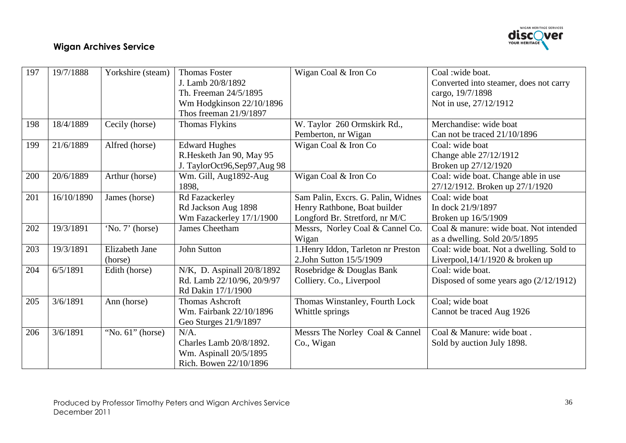

| 197 | 19/7/1888  | Yorkshire (steam)   | <b>Thomas Foster</b>        | Wigan Coal & Iron Co                | Coal: wide boat.                         |
|-----|------------|---------------------|-----------------------------|-------------------------------------|------------------------------------------|
|     |            |                     | J. Lamb 20/8/1892           |                                     | Converted into steamer, does not carry   |
|     |            |                     | Th. Freeman 24/5/1895       |                                     | cargo, 19/7/1898                         |
|     |            |                     | Wm Hodgkinson 22/10/1896    |                                     | Not in use, 27/12/1912                   |
|     |            |                     | Thos freeman 21/9/1897      |                                     |                                          |
| 198 | 18/4/1889  | Cecily (horse)      | <b>Thomas Flykins</b>       | W. Taylor 260 Ormskirk Rd.,         | Merchandise: wide boat                   |
|     |            |                     |                             | Pemberton, nr Wigan                 | Can not be traced 21/10/1896             |
| 199 | 21/6/1889  | Alfred (horse)      | <b>Edward Hughes</b>        | Wigan Coal & Iron Co                | Coal: wide boat                          |
|     |            |                     | R.Hesketh Jan 90, May 95    |                                     | Change able 27/12/1912                   |
|     |            |                     | J. TaylorOct96,Sep97,Aug 98 |                                     | Broken up 27/12/1920                     |
| 200 | 20/6/1889  | Arthur (horse)      | Wm. Gill, Aug1892-Aug       | Wigan Coal & Iron Co                | Coal: wide boat. Change able in use      |
|     |            |                     | 1898,                       |                                     | 27/12/1912. Broken up 27/1/1920          |
| 201 | 16/10/1890 | James (horse)       | Rd Fazackerley              | Sam Palin, Excrs. G. Palin, Widnes  | Coal: wide boat                          |
|     |            |                     | Rd Jackson Aug 1898         | Henry Rathbone, Boat builder        | In dock 21/9/1897                        |
|     |            |                     | Wm Fazackerley 17/1/1900    | Longford Br. Stretford, nr M/C      | Broken up 16/5/1909                      |
| 202 | 19/3/1891  | 'No. 7' (horse)     | <b>James Cheetham</b>       | Messrs, Norley Coal & Cannel Co.    | Coal & manure: wide boat. Not intended   |
|     |            |                     |                             | Wigan                               | as a dwelling. Sold $20/5/1895$          |
| 203 | 19/3/1891  | Elizabeth Jane      | <b>John Sutton</b>          | 1. Henry Iddon, Tarleton nr Preston | Coal: wide boat. Not a dwelling. Sold to |
|     |            | (horse)             |                             | 2.John Sutton 15/5/1909             | Liverpool, $14/1/1920$ & broken up       |
| 204 | 6/5/1891   | Edith (horse)       | N/K, D. Aspinall 20/8/1892  | Rosebridge & Douglas Bank           | Coal: wide boat.                         |
|     |            |                     | Rd. Lamb 22/10/96, 20/9/97  | Colliery. Co., Liverpool            | Disposed of some years ago $(2/12/1912)$ |
|     |            |                     | Rd Dakin 17/1/1900          |                                     |                                          |
| 205 | 3/6/1891   | Ann (horse)         | <b>Thomas Ashcroft</b>      | Thomas Winstanley, Fourth Lock      | Coal; wide boat                          |
|     |            |                     | Wm. Fairbank 22/10/1896     | Whittle springs                     | Cannot be traced Aug 1926                |
|     |            |                     | Geo Sturges 21/9/1897       |                                     |                                          |
| 206 | 3/6/1891   | "No. $61$ " (horse) | $N/A$ .                     | Messrs The Norley Coal & Cannel     | Coal & Manure: wide boat.                |
|     |            |                     | Charles Lamb 20/8/1892.     | Co., Wigan                          | Sold by auction July 1898.               |
|     |            |                     | Wm. Aspinall 20/5/1895      |                                     |                                          |
|     |            |                     | Rich. Bowen 22/10/1896      |                                     |                                          |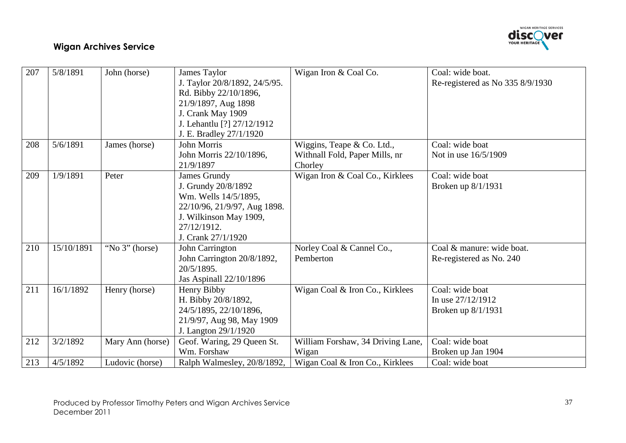

| 207 | 5/8/1891   | John (horse)     | James Taylor                  | Wigan Iron & Coal Co.             | Coal: wide boat.                 |
|-----|------------|------------------|-------------------------------|-----------------------------------|----------------------------------|
|     |            |                  | J. Taylor 20/8/1892, 24/5/95. |                                   | Re-registered as No 335 8/9/1930 |
|     |            |                  | Rd. Bibby 22/10/1896,         |                                   |                                  |
|     |            |                  | 21/9/1897, Aug 1898           |                                   |                                  |
|     |            |                  | J. Crank May 1909             |                                   |                                  |
|     |            |                  | J. Lehantlu [?] 27/12/1912    |                                   |                                  |
|     |            |                  | J. E. Bradley 27/1/1920       |                                   |                                  |
| 208 | 5/6/1891   | James (horse)    | John Morris                   | Wiggins, Teape & Co. Ltd.,        | Coal: wide boat                  |
|     |            |                  | John Morris 22/10/1896,       | Withnall Fold, Paper Mills, nr    | Not in use 16/5/1909             |
|     |            |                  | 21/9/1897                     | Chorley                           |                                  |
| 209 | 1/9/1891   | Peter            | James Grundy                  | Wigan Iron & Coal Co., Kirklees   | Coal: wide boat                  |
|     |            |                  | J. Grundy 20/8/1892           |                                   | Broken up 8/1/1931               |
|     |            |                  | Wm. Wells 14/5/1895,          |                                   |                                  |
|     |            |                  | 22/10/96, 21/9/97, Aug 1898.  |                                   |                                  |
|     |            |                  | J. Wilkinson May 1909,        |                                   |                                  |
|     |            |                  | 27/12/1912.                   |                                   |                                  |
|     |            |                  | J. Crank 27/1/1920            |                                   |                                  |
| 210 | 15/10/1891 | "No 3" (horse)   | John Carrington               | Norley Coal & Cannel Co.,         | Coal & manure: wide boat.        |
|     |            |                  | John Carrington 20/8/1892,    | Pemberton                         | Re-registered as No. 240         |
|     |            |                  | 20/5/1895.                    |                                   |                                  |
|     |            |                  | Jas Aspinall 22/10/1896       |                                   |                                  |
| 211 | 16/1/1892  | Henry (horse)    | Henry Bibby                   | Wigan Coal & Iron Co., Kirklees   | Coal: wide boat                  |
|     |            |                  | H. Bibby 20/8/1892,           |                                   | In use $27/12/1912$              |
|     |            |                  | 24/5/1895, 22/10/1896,        |                                   | Broken up 8/1/1931               |
|     |            |                  | 21/9/97, Aug 98, May 1909     |                                   |                                  |
|     |            |                  | J. Langton 29/1/1920          |                                   |                                  |
| 212 | 3/2/1892   | Mary Ann (horse) | Geof. Waring, 29 Queen St.    | William Forshaw, 34 Driving Lane, | Coal: wide boat                  |
|     |            |                  | Wm. Forshaw                   | Wigan                             | Broken up Jan 1904               |
| 213 | 4/5/1892   | Ludovic (horse)  | Ralph Walmesley, 20/8/1892,   | Wigan Coal & Iron Co., Kirklees   | Coal: wide boat                  |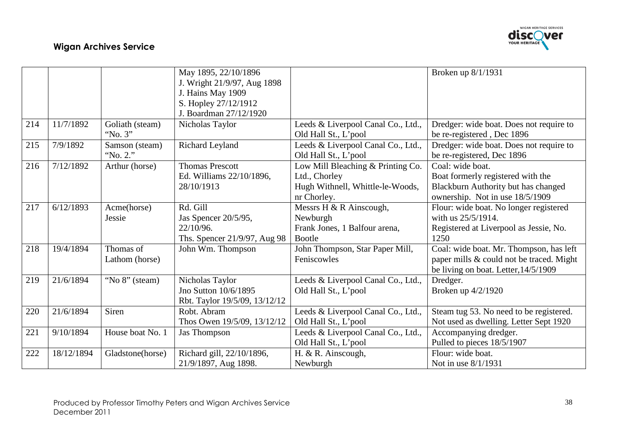

|     |            |                  | May 1895, 22/10/1896          |                                    | Broken up 8/1/1931                       |
|-----|------------|------------------|-------------------------------|------------------------------------|------------------------------------------|
|     |            |                  | J. Wright 21/9/97, Aug 1898   |                                    |                                          |
|     |            |                  | J. Hains May 1909             |                                    |                                          |
|     |            |                  | S. Hopley 27/12/1912          |                                    |                                          |
|     |            |                  | J. Boardman 27/12/1920        |                                    |                                          |
| 214 | 11/7/1892  | Goliath (steam)  | Nicholas Taylor               | Leeds & Liverpool Canal Co., Ltd., | Dredger: wide boat. Does not require to  |
|     |            | "No. 3"          |                               | Old Hall St., L'pool               | be re-registered, Dec 1896               |
| 215 | 7/9/1892   | Samson (steam)   | Richard Leyland               | Leeds & Liverpool Canal Co., Ltd., | Dredger: wide boat. Does not require to  |
|     |            | "No. 2."         |                               | Old Hall St., L'pool               | be re-registered, Dec 1896               |
| 216 | 7/12/1892  | Arthur (horse)   | <b>Thomas Prescott</b>        | Low Mill Bleaching & Printing Co.  | Coal: wide boat.                         |
|     |            |                  | Ed. Williams 22/10/1896,      | Ltd., Chorley                      | Boat formerly registered with the        |
|     |            |                  | 28/10/1913                    | Hugh Withnell, Whittle-le-Woods,   | Blackburn Authority but has changed      |
|     |            |                  |                               | nr Chorley.                        | ownership. Not in use 18/5/1909          |
| 217 | 6/12/1893  | Acme(horse)      | Rd. Gill                      | Messrs H & R Ainscough,            | Flour: wide boat. No longer registered   |
|     |            | Jessie           | Jas Spencer 20/5/95,          | Newburgh                           | with us 25/5/1914.                       |
|     |            |                  | 22/10/96.                     | Frank Jones, 1 Balfour arena,      | Registered at Liverpool as Jessie, No.   |
|     |            |                  | Ths. Spencer 21/9/97, Aug 98  | Bootle                             | 1250                                     |
| 218 | 19/4/1894  | Thomas of        | John Wm. Thompson             | John Thompson, Star Paper Mill,    | Coal: wide boat. Mr. Thompson, has left  |
|     |            | Lathom (horse)   |                               | Feniscowles                        | paper mills & could not be traced. Might |
|     |            |                  |                               |                                    | be living on boat. Letter, 14/5/1909     |
| 219 | 21/6/1894  | "No 8" (steam)   | Nicholas Taylor               | Leeds & Liverpool Canal Co., Ltd., | Dredger.                                 |
|     |            |                  | Jno Sutton 10/6/1895          | Old Hall St., L'pool               | Broken up 4/2/1920                       |
|     |            |                  | Rbt. Taylor 19/5/09, 13/12/12 |                                    |                                          |
| 220 | 21/6/1894  | Siren            | Robt. Abram                   | Leeds & Liverpool Canal Co., Ltd., | Steam tug 53. No need to be registered.  |
|     |            |                  | Thos Owen 19/5/09, 13/12/12   | Old Hall St., L'pool               | Not used as dwelling. Letter Sept 1920   |
| 221 | 9/10/1894  | House boat No. 1 | Jas Thompson                  | Leeds & Liverpool Canal Co., Ltd., | Accompanying dredger.                    |
|     |            |                  |                               | Old Hall St., L'pool               | Pulled to pieces 18/5/1907               |
| 222 | 18/12/1894 | Gladstone(horse) | Richard gill, 22/10/1896,     | H. & R. Ainscough,                 | Flour: wide boat.                        |
|     |            |                  | 21/9/1897, Aug 1898.          | Newburgh                           | Not in use 8/1/1931                      |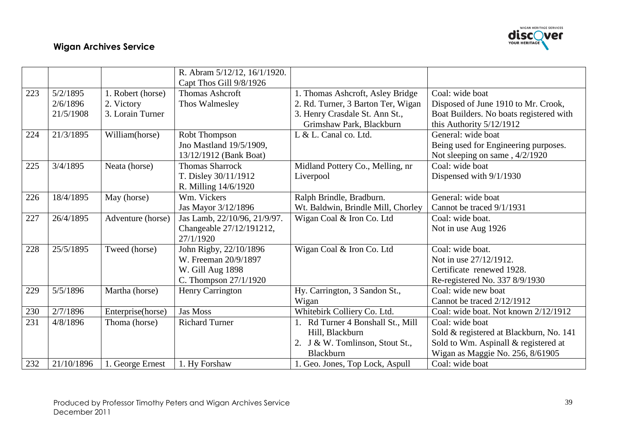

|     |            |                   | R. Abram 5/12/12, 16/1/1920. |                                    |                                         |
|-----|------------|-------------------|------------------------------|------------------------------------|-----------------------------------------|
|     |            |                   | Capt Thos Gill 9/8/1926      |                                    |                                         |
| 223 | 5/2/1895   | 1. Robert (horse) | <b>Thomas Ashcroft</b>       | 1. Thomas Ashcroft, Asley Bridge   | Coal: wide boat                         |
|     | 2/6/1896   | 2. Victory        | Thos Walmesley               | 2. Rd. Turner, 3 Barton Ter, Wigan | Disposed of June 1910 to Mr. Crook,     |
|     | 21/5/1908  | 3. Lorain Turner  |                              | 3. Henry Crasdale St. Ann St.,     | Boat Builders. No boats registered with |
|     |            |                   |                              | Grimshaw Park, Blackburn           | this Authority 5/12/1912                |
| 224 | 21/3/1895  | William(horse)    | Robt Thompson                | L & L. Canal co. Ltd.              | General: wide boat                      |
|     |            |                   | Jno Mastland 19/5/1909,      |                                    | Being used for Engineering purposes.    |
|     |            |                   | 13/12/1912 (Bank Boat)       |                                    | Not sleeping on same, 4/2/1920          |
| 225 | 3/4/1895   | Neata (horse)     | <b>Thomas Sharrock</b>       | Midland Pottery Co., Melling, nr   | Coal: wide boat                         |
|     |            |                   | T. Disley 30/11/1912         | Liverpool                          | Dispensed with 9/1/1930                 |
|     |            |                   | R. Milling 14/6/1920         |                                    |                                         |
| 226 | 18/4/1895  | May (horse)       | Wm. Vickers                  | Ralph Brindle, Bradburn.           | General: wide boat                      |
|     |            |                   | Jas Mayor 3/12/1896          | Wt. Baldwin, Brindle Mill, Chorley | Cannot be traced 9/1/1931               |
| 227 | 26/4/1895  | Adventure (horse) | Jas Lamb, 22/10/96, 21/9/97. | Wigan Coal & Iron Co. Ltd          | Coal: wide boat.                        |
|     |            |                   | Changeable 27/12/191212,     |                                    | Not in use Aug 1926                     |
|     |            |                   | 27/1/1920                    |                                    |                                         |
| 228 | 25/5/1895  | Tweed (horse)     | John Rigby, 22/10/1896       | Wigan Coal & Iron Co. Ltd          | Coal: wide boat.                        |
|     |            |                   | W. Freeman 20/9/1897         |                                    | Not in use 27/12/1912.                  |
|     |            |                   | W. Gill Aug 1898             |                                    | Certificate renewed 1928.               |
|     |            |                   | C. Thompson 27/1/1920        |                                    | Re-registered No. 337 8/9/1930          |
| 229 | 5/5/1896   | Martha (horse)    | Henry Carrington             | Hy. Carrington, 3 Sandon St.,      | Coal: wide new boat                     |
|     |            |                   |                              | Wigan                              | Cannot be traced 2/12/1912              |
| 230 | 2/7/1896   | Enterprise(horse) | <b>Jas Moss</b>              | Whitebirk Colliery Co. Ltd.        | Coal: wide boat. Not known 2/12/1912    |
| 231 | 4/8/1896   | Thoma (horse)     | <b>Richard Turner</b>        | 1. Rd Turner 4 Bonshall St., Mill  | Coal: wide boat                         |
|     |            |                   |                              | Hill, Blackburn                    | Sold & registered at Blackburn, No. 141 |
|     |            |                   |                              | 2. J & W. Tomlinson, Stout St.,    | Sold to Wm. Aspinall & registered at    |
|     |            |                   |                              | <b>Blackburn</b>                   | Wigan as Maggie No. 256, 8/61905        |
| 232 | 21/10/1896 | 1. George Ernest  | 1. Hy Forshaw                | 1. Geo. Jones, Top Lock, Aspull    | Coal: wide boat                         |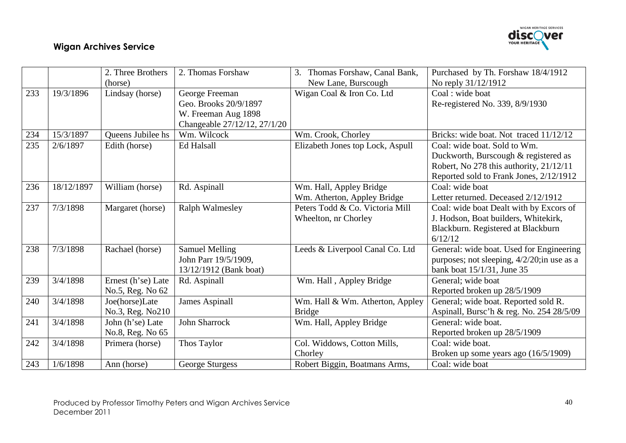

|     |            | 2. Three Brothers                      | 2. Thomas Forshaw                                                       | Thomas Forshaw, Canal Bank,<br>3.                       | Purchased by Th. Forshaw 18/4/1912                                                                                                                         |
|-----|------------|----------------------------------------|-------------------------------------------------------------------------|---------------------------------------------------------|------------------------------------------------------------------------------------------------------------------------------------------------------------|
|     |            | (horse)                                |                                                                         | New Lane, Burscough                                     | No reply 31/12/1912                                                                                                                                        |
| 233 | 19/3/1896  | Lindsay (horse)                        | George Freeman<br>Geo. Brooks 20/9/1897<br>W. Freeman Aug 1898          | Wigan Coal & Iron Co. Ltd                               | Coal: wide boat<br>Re-registered No. 339, 8/9/1930                                                                                                         |
|     |            |                                        | Changeable 27/12/12, 27/1/20                                            |                                                         |                                                                                                                                                            |
| 234 | 15/3/1897  | <b>Oueens Jubilee hs</b>               | Wm. Wilcock                                                             | Wm. Crook, Chorley                                      | Bricks: wide boat. Not traced 11/12/12                                                                                                                     |
| 235 | 2/6/1897   | Edith (horse)                          | <b>Ed Halsall</b>                                                       | Elizabeth Jones top Lock, Aspull                        | Coal: wide boat. Sold to Wm.<br>Duckworth, Burscough & registered as<br>Robert, No 278 this authority, 21/12/11<br>Reported sold to Frank Jones, 2/12/1912 |
| 236 | 18/12/1897 | William (horse)                        | Rd. Aspinall                                                            | Wm. Hall, Appley Bridge<br>Wm. Atherton, Appley Bridge  | Coal: wide boat<br>Letter returned. Deceased 2/12/1912                                                                                                     |
| 237 | 7/3/1898   | Margaret (horse)                       | <b>Ralph Walmesley</b>                                                  | Peters Todd & Co. Victoria Mill<br>Wheelton, nr Chorley | Coal: wide boat Dealt with by Excors of<br>J. Hodson, Boat builders, Whitekirk,<br>Blackburn. Registered at Blackburn<br>6/12/12                           |
| 238 | 7/3/1898   | Rachael (horse)                        | <b>Samuel Melling</b><br>John Parr 19/5/1909,<br>13/12/1912 (Bank boat) | Leeds & Liverpool Canal Co. Ltd                         | General: wide boat. Used for Engineering<br>purposes; not sleeping, 4/2/20;in use as a<br>bank boat 15/1/31, June 35                                       |
| 239 | 3/4/1898   | Ernest (h'se) Late<br>No.5, Reg. No 62 | Rd. Aspinall                                                            | Wm. Hall, Appley Bridge                                 | General; wide boat<br>Reported broken up 28/5/1909                                                                                                         |
| 240 | 3/4/1898   | Joe(horse)Late<br>No.3, Reg. No210     | <b>James Aspinall</b>                                                   | Wm. Hall & Wm. Atherton, Appley<br><b>Bridge</b>        | General; wide boat. Reported sold R.<br>Aspinall, Bursc'h & reg. No. 254 28/5/09                                                                           |
| 241 | 3/4/1898   | John (h'se) Late<br>No.8, Reg. No 65   | <b>John Sharrock</b>                                                    | Wm. Hall, Appley Bridge                                 | General: wide boat.<br>Reported broken up 28/5/1909                                                                                                        |
| 242 | 3/4/1898   | Primera (horse)                        | Thos Taylor                                                             | Col. Widdows, Cotton Mills,<br>Chorley                  | Coal: wide boat.<br>Broken up some years ago (16/5/1909)                                                                                                   |
| 243 | 1/6/1898   | Ann (horse)                            | George Sturgess                                                         | Robert Biggin, Boatmans Arms,                           | Coal: wide boat                                                                                                                                            |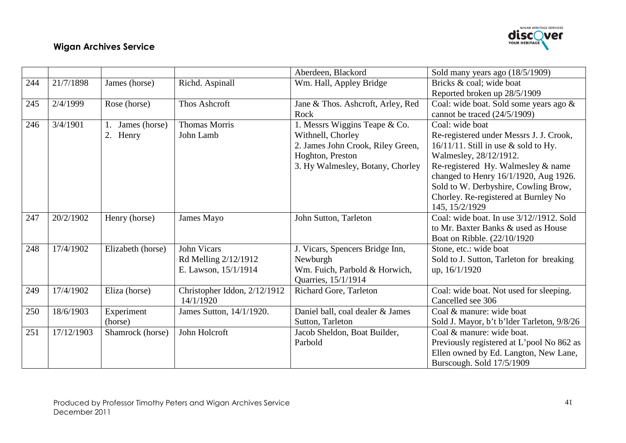

|     |            |                   |                              | Aberdeen, Blackord                | Sold many years ago (18/5/1909)             |
|-----|------------|-------------------|------------------------------|-----------------------------------|---------------------------------------------|
| 244 | 21/7/1898  | James (horse)     | Richd. Aspinall              | Wm. Hall, Appley Bridge           | Bricks & coal; wide boat                    |
|     |            |                   |                              |                                   | Reported broken up 28/5/1909                |
| 245 | 2/4/1999   | Rose (horse)      | Thos Ashcroft                | Jane & Thos. Ashcroft, Arley, Red | Coal: wide boat. Sold some years ago &      |
|     |            |                   |                              | Rock                              | cannot be traced $(24/5/1909)$              |
| 246 | 3/4/1901   | James (horse)     | <b>Thomas Morris</b>         | 1. Messrs Wiggins Teape & Co.     | Coal: wide boat                             |
|     |            | 2. Henry          | John Lamb                    | Withnell, Chorley                 | Re-registered under Messrs J. J. Crook,     |
|     |            |                   |                              | 2. James John Crook, Riley Green, | $16/11/11$ . Still in use & sold to Hy.     |
|     |            |                   |                              | Hoghton, Preston                  | Walmesley, 28/12/1912.                      |
|     |            |                   |                              | 3. Hy Walmesley, Botany, Chorley  | Re-registered Hy. Walmesley & name          |
|     |            |                   |                              |                                   | changed to Henry 16/1/1920, Aug 1926.       |
|     |            |                   |                              |                                   | Sold to W. Derbyshire, Cowling Brow,        |
|     |            |                   |                              |                                   | Chorley. Re-registered at Burnley No        |
|     |            |                   |                              |                                   | 145, 15/2/1929                              |
| 247 | 20/2/1902  | Henry (horse)     | James Mayo                   | John Sutton, Tarleton             | Coal: wide boat. In use $3/12$ //1912. Sold |
|     |            |                   |                              |                                   | to Mr. Baxter Banks & used as House         |
|     |            |                   |                              |                                   | Boat on Ribble. (22/10/1920)                |
| 248 | 17/4/1902  | Elizabeth (horse) | <b>John Vicars</b>           | J. Vicars, Spencers Bridge Inn,   | Stone, etc.: wide boat                      |
|     |            |                   | Rd Melling 2/12/1912         | Newburgh                          | Sold to J. Sutton, Tarleton for breaking    |
|     |            |                   | E. Lawson, 15/1/1914         | Wm. Fuich, Parbold & Horwich,     | up, 16/1/1920                               |
|     |            |                   |                              | Quarries, 15/1/1914               |                                             |
| 249 | 17/4/1902  | Eliza (horse)     | Christopher Iddon, 2/12/1912 | Richard Gore, Tarleton            | Coal: wide boat. Not used for sleeping.     |
|     |            |                   | 14/1/1920                    |                                   | Cancelled see 306                           |
| 250 | 18/6/1903  | Experiment        | James Sutton, 14/1/1920.     | Daniel ball, coal dealer & James  | Coal & manure: wide boat                    |
|     |            | (horse)           |                              | Sutton, Tarleton                  | Sold J. Mayor, b't b'lder Tarleton, 9/8/26  |
| 251 | 17/12/1903 | Shamrock (horse)  | John Holcroft                | Jacob Sheldon, Boat Builder,      | Coal & manure: wide boat.                   |
|     |            |                   |                              | Parbold                           | Previously registered at L'pool No 862 as   |
|     |            |                   |                              |                                   | Ellen owned by Ed. Langton, New Lane,       |
|     |            |                   |                              |                                   | Burscough. Sold 17/5/1909                   |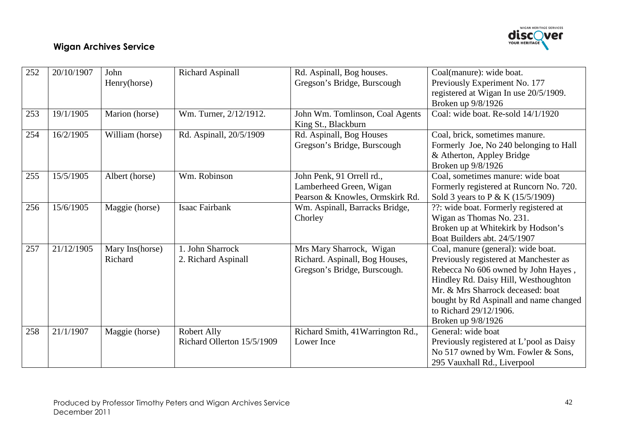

| 252 | 20/10/1907 | John            | <b>Richard Aspinall</b>    | Rd. Aspinall, Bog houses.         | Coal(manure): wide boat.                 |
|-----|------------|-----------------|----------------------------|-----------------------------------|------------------------------------------|
|     |            | Henry(horse)    |                            | Gregson's Bridge, Burscough       | Previously Experiment No. 177            |
|     |            |                 |                            |                                   | registered at Wigan In use 20/5/1909.    |
|     |            |                 |                            |                                   | Broken up 9/8/1926                       |
| 253 | 19/1/1905  | Marion (horse)  | Wm. Turner, 2/12/1912.     | John Wm. Tomlinson, Coal Agents   | Coal: wide boat. Re-sold 14/1/1920       |
|     |            |                 |                            | King St., Blackburn               |                                          |
| 254 | 16/2/1905  | William (horse) | Rd. Aspinall, 20/5/1909    | Rd. Aspinall, Bog Houses          | Coal, brick, sometimes manure.           |
|     |            |                 |                            | Gregson's Bridge, Burscough       | Formerly Joe, No 240 belonging to Hall   |
|     |            |                 |                            |                                   | & Atherton, Appley Bridge                |
|     |            |                 |                            |                                   | Broken up 9/8/1926                       |
| 255 | 15/5/1905  | Albert (horse)  | Wm. Robinson               | John Penk, 91 Orrell rd.,         | Coal, sometimes manure: wide boat        |
|     |            |                 |                            | Lamberheed Green, Wigan           | Formerly registered at Runcorn No. 720.  |
|     |            |                 |                            | Pearson & Knowles, Ormskirk Rd.   | Sold 3 years to P & K (15/5/1909)        |
| 256 | 15/6/1905  | Maggie (horse)  | <b>Isaac Fairbank</b>      | Wm. Aspinall, Barracks Bridge,    | ??: wide boat. Formerly registered at    |
|     |            |                 |                            | Chorley                           | Wigan as Thomas No. 231.                 |
|     |            |                 |                            |                                   | Broken up at Whitekirk by Hodson's       |
|     |            |                 |                            |                                   | Boat Builders abt. 24/5/1907             |
| 257 | 21/12/1905 | Mary Ins(horse) | 1. John Sharrock           | Mrs Mary Sharrock, Wigan          | Coal, manure (general): wide boat.       |
|     |            | Richard         | 2. Richard Aspinall        | Richard. Aspinall, Bog Houses,    | Previously registered at Manchester as   |
|     |            |                 |                            | Gregson's Bridge, Burscough.      | Rebecca No 606 owned by John Hayes,      |
|     |            |                 |                            |                                   | Hindley Rd. Daisy Hill, Westhoughton     |
|     |            |                 |                            |                                   | Mr. & Mrs Sharrock deceased: boat        |
|     |            |                 |                            |                                   | bought by Rd Aspinall and name changed   |
|     |            |                 |                            |                                   | to Richard 29/12/1906.                   |
|     |            |                 |                            |                                   | Broken up 9/8/1926                       |
| 258 | 21/1/1907  | Maggie (horse)  | Robert Ally                | Richard Smith, 41 Warrington Rd., | General: wide boat                       |
|     |            |                 | Richard Ollerton 15/5/1909 | Lower Ince                        | Previously registered at L'pool as Daisy |
|     |            |                 |                            |                                   | No 517 owned by Wm. Fowler & Sons,       |
|     |            |                 |                            |                                   | 295 Vauxhall Rd., Liverpool              |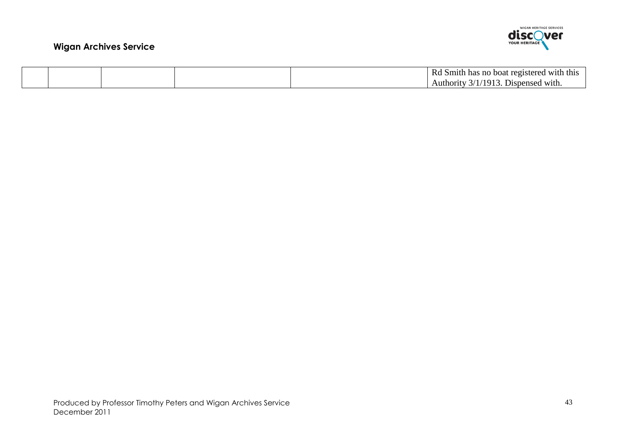

|  |  | -RC<br>l with this<br>registered<br>Smith has no<br>hoat               |
|--|--|------------------------------------------------------------------------|
|  |  | $/191^\circ$<br><b>U</b> ispensed with.<br>Authority<br>$\uparrow$ / 1 |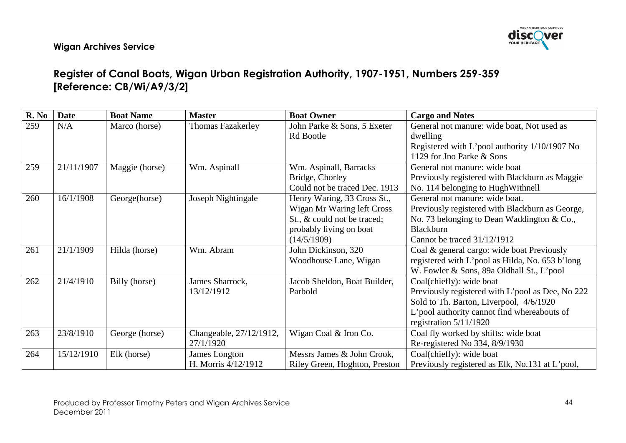

# Register of Canal Boats, Wigan Urban Registration Authority, 1907-1951, Numbers 259-359 [Reference: CB/Wi/A9/3/2]

| R. No | <b>Date</b> | <b>Boat Name</b> | <b>Master</b>            | <b>Boat Owner</b>             | <b>Cargo and Notes</b>                           |
|-------|-------------|------------------|--------------------------|-------------------------------|--------------------------------------------------|
| 259   | N/A         | Marco (horse)    | <b>Thomas Fazakerley</b> | John Parke & Sons, 5 Exeter   | General not manure: wide boat, Not used as       |
|       |             |                  |                          | Rd Bootle                     | dwelling                                         |
|       |             |                  |                          |                               | Registered with L'pool authority 1/10/1907 No    |
|       |             |                  |                          |                               | 1129 for Jno Parke & Sons                        |
| 259   | 21/11/1907  | Maggie (horse)   | Wm. Aspinall             | Wm. Aspinall, Barracks        | General not manure: wide boat                    |
|       |             |                  |                          | Bridge, Chorley               | Previously registered with Blackburn as Maggie   |
|       |             |                  |                          | Could not be traced Dec. 1913 | No. 114 belonging to HughWithnell                |
| 260   | 16/1/1908   | George(horse)    | Joseph Nightingale       | Henry Waring, 33 Cross St.,   | General not manure: wide boat.                   |
|       |             |                  |                          | Wigan Mr Waring left Cross    | Previously registered with Blackburn as George,  |
|       |             |                  |                          | St., & could not be traced;   | No. 73 belonging to Dean Waddington & Co.,       |
|       |             |                  |                          | probably living on boat       | Blackburn                                        |
|       |             |                  |                          | (14/5/1909)                   | Cannot be traced 31/12/1912                      |
| 261   | 21/1/1909   | Hilda (horse)    | Wm. Abram                | John Dickinson, 320           | Coal & general cargo: wide boat Previously       |
|       |             |                  |                          | Woodhouse Lane, Wigan         | registered with L'pool as Hilda, No. 653 b'long  |
|       |             |                  |                          |                               | W. Fowler & Sons, 89a Oldhall St., L'pool        |
| 262   | 21/4/1910   | Billy (horse)    | James Sharrock,          | Jacob Sheldon, Boat Builder,  | Coal(chiefly): wide boat                         |
|       |             |                  | 13/12/1912               | Parbold                       | Previously registered with L'pool as Dee, No 222 |
|       |             |                  |                          |                               | Sold to Th. Barton, Liverpool, 4/6/1920          |
|       |             |                  |                          |                               | L'pool authority cannot find whereabouts of      |
|       |             |                  |                          |                               | registration $5/11/1920$                         |
| 263   | 23/8/1910   | George (horse)   | Changeable, 27/12/1912,  | Wigan Coal & Iron Co.         | Coal fly worked by shifts: wide boat             |
|       |             |                  | 27/1/1920                |                               | Re-registered No 334, 8/9/1930                   |
| 264   | 15/12/1910  | Elk (horse)      | James Longton            | Messrs James & John Crook,    | Coal(chiefly): wide boat                         |
|       |             |                  | H. Morris 4/12/1912      | Riley Green, Hoghton, Preston | Previously registered as Elk, No.131 at L'pool,  |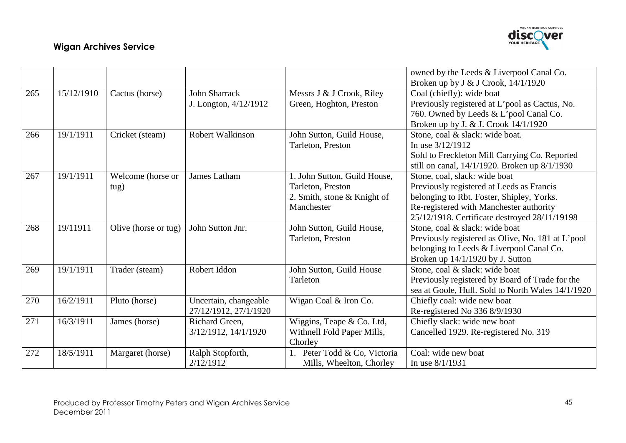

|     |            |                      |                         |                              | owned by the Leeds & Liverpool Canal Co.          |
|-----|------------|----------------------|-------------------------|------------------------------|---------------------------------------------------|
|     |            |                      |                         |                              | Broken up by J & J Crook, 14/1/1920               |
| 265 | 15/12/1910 | Cactus (horse)       | <b>John Sharrack</b>    | Messrs J & J Crook, Riley    | Coal (chiefly): wide boat                         |
|     |            |                      | J. Longton, 4/12/1912   | Green, Hoghton, Preston      | Previously registered at L'pool as Cactus, No.    |
|     |            |                      |                         |                              | 760. Owned by Leeds & L'pool Canal Co.            |
|     |            |                      |                         |                              | Broken up by J. & J. Crook 14/1/1920              |
| 266 | 19/1/1911  | Cricket (steam)      | <b>Robert Walkinson</b> | John Sutton, Guild House,    | Stone, coal & slack: wide boat.                   |
|     |            |                      |                         | Tarleton, Preston            | In use 3/12/1912                                  |
|     |            |                      |                         |                              | Sold to Freckleton Mill Carrying Co. Reported     |
|     |            |                      |                         |                              | still on canal, 14/1/1920. Broken up 8/1/1930     |
| 267 | 19/1/1911  | Welcome (horse or    | James Latham            | 1. John Sutton, Guild House, | Stone, coal, slack: wide boat                     |
|     |            | tug)                 |                         | Tarleton, Preston            | Previously registered at Leeds as Francis         |
|     |            |                      |                         | 2. Smith, stone & Knight of  | belonging to Rbt. Foster, Shipley, Yorks.         |
|     |            |                      |                         | Manchester                   | Re-registered with Manchester authority           |
|     |            |                      |                         |                              | 25/12/1918. Certificate destroyed 28/11/19198     |
| 268 | 19/11911   | Olive (horse or tug) | John Sutton Jnr.        | John Sutton, Guild House,    | Stone, coal & slack: wide boat                    |
|     |            |                      |                         | Tarleton, Preston            | Previously registered as Olive, No. 181 at L'pool |
|     |            |                      |                         |                              | belonging to Leeds & Liverpool Canal Co.          |
|     |            |                      |                         |                              | Broken up 14/1/1920 by J. Sutton                  |
| 269 | 19/1/1911  | Trader (steam)       | Robert Iddon            | John Sutton, Guild House     | Stone, coal & slack: wide boat                    |
|     |            |                      |                         | Tarleton                     | Previously registered by Board of Trade for the   |
|     |            |                      |                         |                              | sea at Goole, Hull. Sold to North Wales 14/1/1920 |
| 270 | 16/2/1911  | Pluto (horse)        | Uncertain, changeable   | Wigan Coal & Iron Co.        | Chiefly coal: wide new boat                       |
|     |            |                      | 27/12/1912, 27/1/1920   |                              | Re-registered No 336 8/9/1930                     |
| 271 | 16/3/1911  | James (horse)        | Richard Green,          | Wiggins, Teape & Co. Ltd,    | Chiefly slack: wide new boat                      |
|     |            |                      | 3/12/1912, 14/1/1920    | Withnell Fold Paper Mills,   | Cancelled 1929. Re-registered No. 319             |
|     |            |                      |                         | Chorley                      |                                                   |
| 272 | 18/5/1911  | Margaret (horse)     | Ralph Stopforth,        | 1. Peter Todd & Co, Victoria | Coal: wide new boat                               |
|     |            |                      | 2/12/1912               | Mills, Wheelton, Chorley     | In use $8/1/1931$                                 |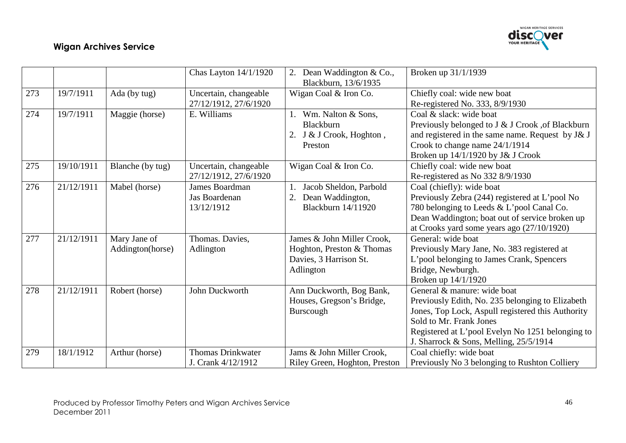

|     |            |                                  | Chas Layton $14/1/1920$                              | 2. Dean Waddington & Co.,<br>Blackburn, 13/6/1935                                              | Broken up 31/1/1939                                                                                                                                                                                                                                           |
|-----|------------|----------------------------------|------------------------------------------------------|------------------------------------------------------------------------------------------------|---------------------------------------------------------------------------------------------------------------------------------------------------------------------------------------------------------------------------------------------------------------|
| 273 | 19/7/1911  | Ada (by tug)                     | Uncertain, changeable<br>27/12/1912, 27/6/1920       | Wigan Coal & Iron Co.                                                                          | Chiefly coal: wide new boat<br>Re-registered No. 333, 8/9/1930                                                                                                                                                                                                |
| 274 | 19/7/1911  | Maggie (horse)                   | E. Williams                                          | Wm. Nalton & Sons,<br>Blackburn<br>2. J & J Crook, Hoghton,<br>Preston                         | Coal & slack: wide boat<br>Previously belonged to J & J Crook , of Blackburn<br>and registered in the same name. Request by J& J<br>Crook to change name 24/1/1914<br>Broken up 14/1/1920 by J& J Crook                                                       |
| 275 | 19/10/1911 | Blanche (by tug)                 | Uncertain, changeable<br>27/12/1912, 27/6/1920       | Wigan Coal & Iron Co.                                                                          | Chiefly coal: wide new boat<br>Re-registered as No 332 8/9/1930                                                                                                                                                                                               |
| 276 | 21/12/1911 | Mabel (horse)                    | <b>James Boardman</b><br>Jas Boardenan<br>13/12/1912 | Jacob Sheldon, Parbold<br>Dean Waddington,<br>2.<br>Blackburn 14/11920                         | Coal (chiefly): wide boat<br>Previously Zebra (244) registered at L'pool No<br>780 belonging to Leeds & L'pool Canal Co.<br>Dean Waddington; boat out of service broken up<br>at Crooks yard some years ago $(27/10/1920)$                                    |
| 277 | 21/12/1911 | Mary Jane of<br>Addington(horse) | Thomas. Davies,<br>Adlington                         | James & John Miller Crook,<br>Hoghton, Preston & Thomas<br>Davies, 3 Harrison St.<br>Adlington | General: wide boat<br>Previously Mary Jane, No. 383 registered at<br>L'pool belonging to James Crank, Spencers<br>Bridge, Newburgh.<br>Broken up 14/1/1920                                                                                                    |
| 278 | 21/12/1911 | Robert (horse)                   | John Duckworth                                       | Ann Duckworth, Bog Bank,<br>Houses, Gregson's Bridge,<br>Burscough                             | General & manure: wide boat<br>Previously Edith, No. 235 belonging to Elizabeth<br>Jones, Top Lock, Aspull registered this Authority<br>Sold to Mr. Frank Jones<br>Registered at L'pool Evelyn No 1251 belonging to<br>J. Sharrock & Sons, Melling, 25/5/1914 |
| 279 | 18/1/1912  | Arthur (horse)                   | <b>Thomas Drinkwater</b><br>J. Crank 4/12/1912       | Jams & John Miller Crook,<br>Riley Green, Hoghton, Preston                                     | Coal chiefly: wide boat<br>Previously No 3 belonging to Rushton Colliery                                                                                                                                                                                      |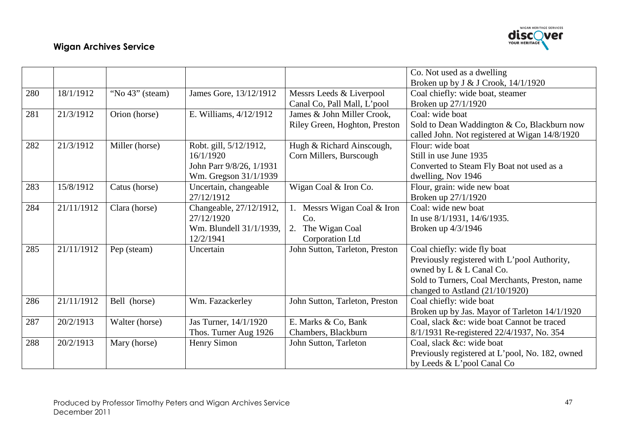

|     |            |                 |                          |                                | Co. Not used as a dwelling                      |
|-----|------------|-----------------|--------------------------|--------------------------------|-------------------------------------------------|
|     |            |                 |                          |                                | Broken up by J & J Crook, 14/1/1920             |
| 280 | 18/1/1912  | "No 43" (steam) | James Gore, 13/12/1912   | Messrs Leeds & Liverpool       | Coal chiefly: wide boat, steamer                |
|     |            |                 |                          | Canal Co, Pall Mall, L'pool    | Broken up 27/1/1920                             |
| 281 | 21/3/1912  | Orion (horse)   | E. Williams, 4/12/1912   | James & John Miller Crook,     | Coal: wide boat                                 |
|     |            |                 |                          | Riley Green, Hoghton, Preston  | Sold to Dean Waddington & Co, Blackburn now     |
|     |            |                 |                          |                                | called John. Not registered at Wigan 14/8/1920  |
| 282 | 21/3/1912  | Miller (horse)  | Robt. gill, 5/12/1912,   | Hugh & Richard Ainscough,      | Flour: wide boat                                |
|     |            |                 | 16/1/1920                | Corn Millers, Burscough        | Still in use June 1935                          |
|     |            |                 | John Parr 9/8/26, 1/1931 |                                | Converted to Steam Fly Boat not used as a       |
|     |            |                 | Wm. Gregson 31/1/1939    |                                | dwelling, Nov 1946                              |
| 283 | 15/8/1912  | Catus (horse)   | Uncertain, changeable    | Wigan Coal & Iron Co.          | Flour, grain: wide new boat                     |
|     |            |                 | 27/12/1912               |                                | Broken up 27/1/1920                             |
| 284 | 21/11/1912 | Clara (horse)   | Changeable, 27/12/1912,  | Messrs Wigan Coal & Iron       | Coal: wide new boat                             |
|     |            |                 | 27/12/1920               | Co.                            | In use $8/1/1931$ , $14/6/1935$ .               |
|     |            |                 | Wm. Blundell 31/1/1939,  | The Wigan Coal<br>2.           | Broken up 4/3/1946                              |
|     |            |                 | 12/2/1941                | Corporation Ltd                |                                                 |
| 285 | 21/11/1912 | Pep (steam)     | Uncertain                | John Sutton, Tarleton, Preston | Coal chiefly: wide fly boat                     |
|     |            |                 |                          |                                | Previously registered with L'pool Authority,    |
|     |            |                 |                          |                                | owned by L & L Canal Co.                        |
|     |            |                 |                          |                                | Sold to Turners, Coal Merchants, Preston, name  |
|     |            |                 |                          |                                | changed to Astland $(21/10/1920)$               |
| 286 | 21/11/1912 | Bell (horse)    | Wm. Fazackerley          | John Sutton, Tarleton, Preston | Coal chiefly: wide boat                         |
|     |            |                 |                          |                                | Broken up by Jas. Mayor of Tarleton 14/1/1920   |
| 287 | 20/2/1913  | Walter (horse)  | Jas Turner, 14/1/1920    | E. Marks & Co, Bank            | Coal, slack &c: wide boat Cannot be traced      |
|     |            |                 | Thos. Turner Aug 1926    | Chambers, Blackburn            | 8/1/1931 Re-registered 22/4/1937, No. 354       |
| 288 | 20/2/1913  | Mary (horse)    | Henry Simon              | John Sutton, Tarleton          | Coal, slack &c: wide boat                       |
|     |            |                 |                          |                                | Previously registered at L'pool, No. 182, owned |
|     |            |                 |                          |                                | by Leeds & L'pool Canal Co                      |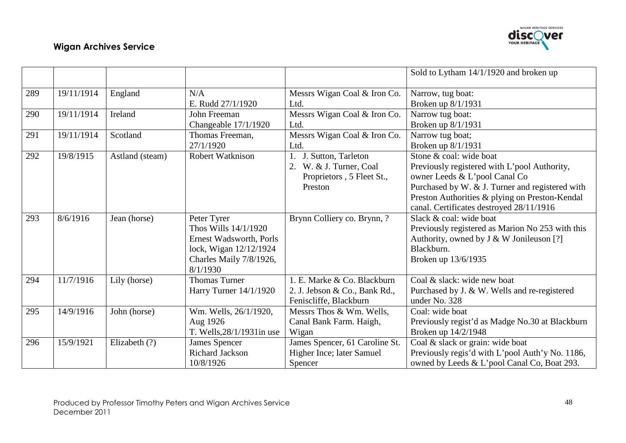

|     |            |                 |                            |                                | Sold to Lytham 14/1/1920 and broken up           |
|-----|------------|-----------------|----------------------------|--------------------------------|--------------------------------------------------|
| 289 | 19/11/1914 | England         | N/A                        | Messrs Wigan Coal & Iron Co.   | Narrow, tug boat:                                |
|     |            |                 | E. Rudd 27/1/1920          | Ltd.                           | Broken up 8/1/1931                               |
| 290 | 19/11/1914 | Ireland         | John Freeman               | Messrs Wigan Coal & Iron Co.   | Narrow tug boat:                                 |
|     |            |                 | Changeable 17/1/1920       | Ltd.                           | Broken up 8/1/1931                               |
| 291 | 19/11/1914 | Scotland        | Thomas Freeman,            | Messrs Wigan Coal & Iron Co.   | Narrow tug boat;                                 |
|     |            |                 | 27/1/1920                  | Ltd.                           | Broken up 8/1/1931                               |
| 292 | 19/8/1915  | Astland (steam) | <b>Robert Watknison</b>    | J. Sutton, Tarleton            | Stone & coal: wide boat                          |
|     |            |                 |                            | 2. W. & J. Turner, Coal        | Previously registered with L'pool Authority,     |
|     |            |                 |                            | Proprietors, 5 Fleet St.,      | owner Leeds & L'pool Canal Co                    |
|     |            |                 |                            | Preston                        | Purchased by W. & J. Turner and registered with  |
|     |            |                 |                            |                                | Preston Authorities & plying on Preston-Kendal   |
|     |            |                 |                            |                                | canal. Certificates destroyed 28/11/1916         |
| 293 | 8/6/1916   | Jean (horse)    | Peter Tyrer                | Brynn Colliery co. Brynn, ?    | Slack & coal: wide boat                          |
|     |            |                 | Thos Wills 14/1/1920       |                                | Previously registered as Marion No 253 with this |
|     |            |                 | Ernest Wadsworth, Porls    |                                | Authority, owned by J & W Jonileuson [?]         |
|     |            |                 | lock, Wigan 12/12/1924     |                                | Blackburn.                                       |
|     |            |                 | Charles Maily 7/8/1926,    |                                | Broken up 13/6/1935                              |
|     |            |                 | 8/1/1930                   |                                |                                                  |
| 294 | 11/7/1916  | Lily (horse)    | <b>Thomas Turner</b>       | 1. E. Marke & Co. Blackburn    | Coal & slack: wide new boat                      |
|     |            |                 | Harry Turner 14/1/1920     | 2. J. Jebson & Co., Bank Rd.,  | Purchased by J. & W. Wells and re-registered     |
|     |            |                 |                            | Feniscliffe, Blackburn         | under No. 328                                    |
| 295 | 14/9/1916  | John (horse)    | Wm. Wells, 26/1/1920,      | Messrs Thos & Wm. Wells,       | Coal: wide boat                                  |
|     |            |                 | Aug 1926                   | Canal Bank Farm. Haigh,        | Previously regist'd as Madge No.30 at Blackburn  |
|     |            |                 | T. Wells, 28/1/1931 in use | Wigan                          | Broken up 14/2/1948                              |
| 296 | 15/9/1921  | Elizabeth (?)   | James Spencer              | James Spencer, 61 Caroline St. | Coal & slack or grain: wide boat                 |
|     |            |                 | <b>Richard Jackson</b>     | Higher Ince; later Samuel      | Previously regis'd with L'pool Auth'y No. 1186,  |
|     |            |                 | 10/8/1926                  | Spencer                        | owned by Leeds & L'pool Canal Co, Boat 293.      |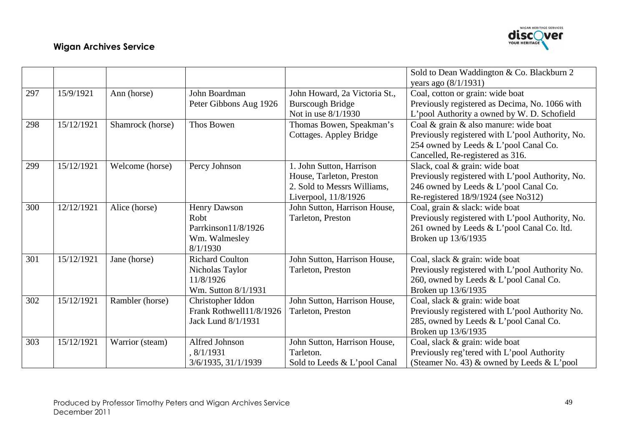

|     |            |                  |                         |                               | Sold to Dean Waddington & Co. Blackburn 2        |
|-----|------------|------------------|-------------------------|-------------------------------|--------------------------------------------------|
|     |            |                  |                         |                               | years ago $(8/1/1931)$                           |
| 297 | 15/9/1921  | Ann (horse)      | John Boardman           | John Howard, 2a Victoria St., | Coal, cotton or grain: wide boat                 |
|     |            |                  | Peter Gibbons Aug 1926  | <b>Burscough Bridge</b>       | Previously registered as Decima, No. 1066 with   |
|     |            |                  |                         | Not in use 8/1/1930           | L'pool Authority a owned by W. D. Schofield      |
| 298 | 15/12/1921 | Shamrock (horse) | Thos Bowen              | Thomas Bowen, Speakman's      | Coal & grain & also manure: wide boat            |
|     |            |                  |                         | Cottages. Appley Bridge       | Previously registered with L'pool Authority, No. |
|     |            |                  |                         |                               | 254 owned by Leeds & L'pool Canal Co.            |
|     |            |                  |                         |                               | Cancelled, Re-registered as 316.                 |
| 299 | 15/12/1921 | Welcome (horse)  | Percy Johnson           | 1. John Sutton, Harrison      | Slack, coal & grain: wide boat                   |
|     |            |                  |                         | House, Tarleton, Preston      | Previously registered with L'pool Authority, No. |
|     |            |                  |                         | 2. Sold to Messrs Williams,   | 246 owned by Leeds & L'pool Canal Co.            |
|     |            |                  |                         | Liverpool, 11/8/1926          | Re-registered 18/9/1924 (see No312)              |
| 300 | 12/12/1921 | Alice (horse)    | <b>Henry Dawson</b>     | John Sutton, Harrison House,  | Coal, grain & slack: wide boat                   |
|     |            |                  | Robt                    | Tarleton, Preston             | Previously registered with L'pool Authority, No. |
|     |            |                  | Parrkinson11/8/1926     |                               | 261 owned by Leeds & L'pool Canal Co. ltd.       |
|     |            |                  | Wm. Walmesley           |                               | Broken up 13/6/1935                              |
|     |            |                  | 8/1/1930                |                               |                                                  |
| 301 | 15/12/1921 | Jane (horse)     | <b>Richard Coulton</b>  | John Sutton, Harrison House,  | Coal, slack & grain: wide boat                   |
|     |            |                  | Nicholas Taylor         | Tarleton, Preston             | Previously registered with L'pool Authority No.  |
|     |            |                  | 11/8/1926               |                               | 260, owned by Leeds & L'pool Canal Co.           |
|     |            |                  | Wm. Sutton 8/1/1931     |                               | Broken up 13/6/1935                              |
| 302 | 15/12/1921 | Rambler (horse)  | Christopher Iddon       | John Sutton, Harrison House,  | Coal, slack & grain: wide boat                   |
|     |            |                  | Frank Rothwell11/8/1926 | Tarleton, Preston             | Previously registered with L'pool Authority No.  |
|     |            |                  | Jack Lund 8/1/1931      |                               | 285, owned by Leeds & L'pool Canal Co.           |
|     |            |                  |                         |                               | Broken up 13/6/1935                              |
| 303 | 15/12/1921 | Warrior (steam)  | Alfred Johnson          | John Sutton, Harrison House,  | Coal, slack & grain: wide boat                   |
|     |            |                  | , 8/1/1931              | Tarleton.                     | Previously reg'tered with L'pool Authority       |
|     |            |                  | 3/6/1935, 31/1/1939     | Sold to Leeds & L'pool Canal  | (Steamer No. 43) $\&$ owned by Leeds $\&$ L'pool |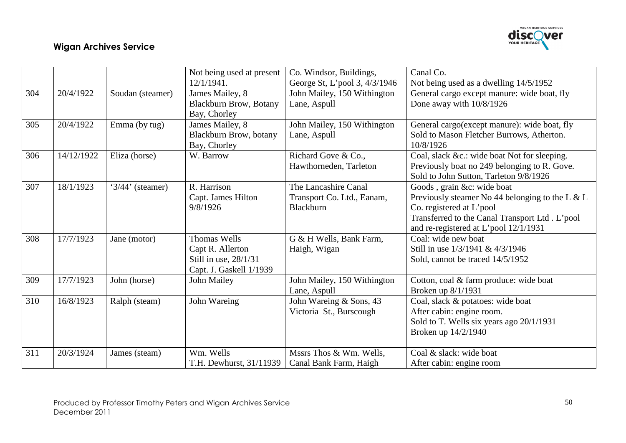

|     |            |                      | Not being used at present     | Co. Windsor, Buildings,       | Canal Co.                                       |
|-----|------------|----------------------|-------------------------------|-------------------------------|-------------------------------------------------|
|     |            |                      | 12/1/1941.                    | George St, L'pool 3, 4/3/1946 | Not being used as a dwelling 14/5/1952          |
| 304 | 20/4/1922  | Soudan (steamer)     | James Mailey, 8               | John Mailey, 150 Withington   | General cargo except manure: wide boat, fly     |
|     |            |                      | <b>Blackburn Brow, Botany</b> | Lane, Aspull                  | Done away with 10/8/1926                        |
|     |            |                      | Bay, Chorley                  |                               |                                                 |
| 305 | 20/4/1922  | Emma (by tug)        | James Mailey, 8               | John Mailey, 150 Withington   | General cargo(except manure): wide boat, fly    |
|     |            |                      | Blackburn Brow, botany        | Lane, Aspull                  | Sold to Mason Fletcher Burrows, Atherton.       |
|     |            |                      | Bay, Chorley                  |                               | 10/8/1926                                       |
| 306 | 14/12/1922 | Eliza (horse)        | W. Barrow                     | Richard Gove & Co.,           | Coal, slack &c.: wide boat Not for sleeping.    |
|     |            |                      |                               | Hawthorneden, Tarleton        | Previously boat no 249 belonging to R. Gove.    |
|     |            |                      |                               |                               | Sold to John Sutton, Tarleton 9/8/1926          |
| 307 | 18/1/1923  | ' $3/44$ ' (steamer) | R. Harrison                   | The Lancashire Canal          | Goods, grain &c: wide boat                      |
|     |            |                      | Capt. James Hilton            | Transport Co. Ltd., Eanam,    | Previously steamer No 44 belonging to the L & L |
|     |            |                      | 9/8/1926                      | Blackburn                     | Co. registered at L'pool                        |
|     |            |                      |                               |                               | Transferred to the Canal Transport Ltd. L'pool  |
|     |            |                      |                               |                               | and re-registered at L'pool 12/1/1931           |
| 308 | 17/7/1923  | Jane (motor)         | <b>Thomas Wells</b>           | G & H Wells, Bank Farm,       | Coal: wide new boat                             |
|     |            |                      | Capt R. Allerton              | Haigh, Wigan                  | Still in use 1/3/1941 & 4/3/1946                |
|     |            |                      | Still in use, 28/1/31         |                               | Sold, cannot be traced 14/5/1952                |
|     |            |                      | Capt. J. Gaskell 1/1939       |                               |                                                 |
| 309 | 17/7/1923  | John (horse)         | John Mailey                   | John Mailey, 150 Withington   | Cotton, coal & farm produce: wide boat          |
|     |            |                      |                               | Lane, Aspull                  | Broken up 8/1/1931                              |
| 310 | 16/8/1923  | Ralph (steam)        | John Wareing                  | John Wareing & Sons, 43       | Coal, slack & potatoes: wide boat               |
|     |            |                      |                               | Victoria St., Burscough       | After cabin: engine room.                       |
|     |            |                      |                               |                               | Sold to T. Wells six years ago 20/1/1931        |
|     |            |                      |                               |                               | Broken up 14/2/1940                             |
|     |            |                      |                               |                               |                                                 |
| 311 | 20/3/1924  | James (steam)        | Wm. Wells                     | Mssrs Thos & Wm. Wells,       | Coal & slack: wide boat                         |
|     |            |                      | T.H. Dewhurst, 31/11939       | Canal Bank Farm, Haigh        | After cabin: engine room                        |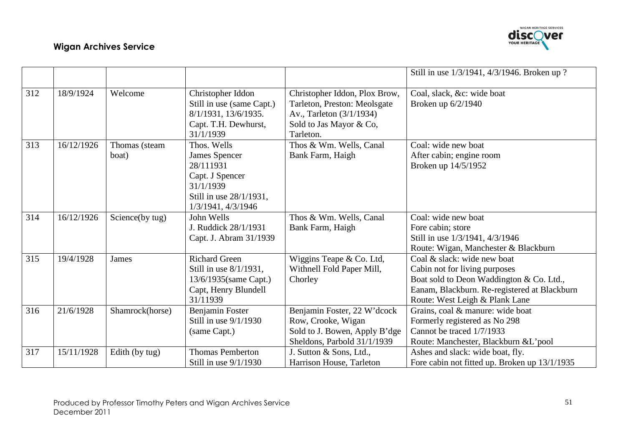

|     |            |                 |                           |                               | Still in use 1/3/1941, 4/3/1946. Broken up ?  |
|-----|------------|-----------------|---------------------------|-------------------------------|-----------------------------------------------|
| 312 | 18/9/1924  | Welcome         | Christopher Iddon         | Christopher Iddon, Plox Brow, | Coal, slack, &c: wide boat                    |
|     |            |                 | Still in use (same Capt.) | Tarleton, Preston: Meolsgate  | Broken up 6/2/1940                            |
|     |            |                 | 8/1/1931, 13/6/1935.      | Av., Tarleton (3/1/1934)      |                                               |
|     |            |                 | Capt. T.H. Dewhurst,      | Sold to Jas Mayor & Co,       |                                               |
|     |            |                 | 31/1/1939                 | Tarleton.                     |                                               |
| 313 | 16/12/1926 | Thomas (steam   | Thos. Wells               | Thos & Wm. Wells, Canal       | Coal: wide new boat                           |
|     |            | boat)           | <b>James Spencer</b>      | Bank Farm, Haigh              | After cabin; engine room                      |
|     |            |                 | 28/111931                 |                               | Broken up 14/5/1952                           |
|     |            |                 | Capt. J Spencer           |                               |                                               |
|     |            |                 | 31/1/1939                 |                               |                                               |
|     |            |                 | Still in use 28/1/1931,   |                               |                                               |
|     |            |                 | 1/3/1941, 4/3/1946        |                               |                                               |
| 314 | 16/12/1926 | Science(by tug) | John Wells                | Thos & Wm. Wells, Canal       | Coal: wide new boat                           |
|     |            |                 | J. Ruddick 28/1/1931      | Bank Farm, Haigh              | Fore cabin; store                             |
|     |            |                 | Capt. J. Abram 31/1939    |                               | Still in use 1/3/1941, 4/3/1946               |
|     |            |                 |                           |                               | Route: Wigan, Manchester & Blackburn          |
| 315 | 19/4/1928  | <b>James</b>    | <b>Richard Green</b>      | Wiggins Teape & Co. Ltd,      | Coal & slack: wide new boat                   |
|     |            |                 | Still in use 8/1/1931,    | Withnell Fold Paper Mill,     | Cabin not for living purposes                 |
|     |            |                 | 13/6/1935 (same Capt.)    | Chorley                       | Boat sold to Deon Waddington & Co. Ltd.,      |
|     |            |                 | Capt, Henry Blundell      |                               | Eanam, Blackburn. Re-registered at Blackburn  |
|     |            |                 | 31/11939                  |                               | Route: West Leigh & Plank Lane                |
| 316 | 21/6/1928  | Shamrock(horse) | Benjamin Foster           | Benjamin Foster, 22 W'dcock   | Grains, coal & manure: wide boat              |
|     |            |                 | Still in use $9/1/1930$   | Row, Crooke, Wigan            | Formerly registered as No 298                 |
|     |            |                 | (same Capt.)              | Sold to J. Bowen, Apply B'dge | Cannot be traced 1/7/1933                     |
|     |            |                 |                           | Sheldons, Parbold 31/1/1939   | Route: Manchester, Blackburn & L'pool         |
| 317 | 15/11/1928 | Edith (by tug)  | <b>Thomas Pemberton</b>   | J. Sutton & Sons, Ltd.,       | Ashes and slack: wide boat, fly.              |
|     |            |                 | Still in use $9/1/1930$   | Harrison House, Tarleton      | Fore cabin not fitted up. Broken up 13/1/1935 |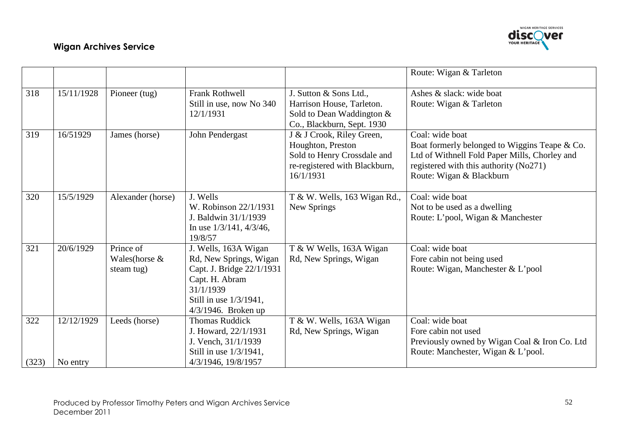

|              |                        |                                           |                                                                                                                                                                |                                                                                                                             | Route: Wigan & Tarleton                                                                                                                                                                 |
|--------------|------------------------|-------------------------------------------|----------------------------------------------------------------------------------------------------------------------------------------------------------------|-----------------------------------------------------------------------------------------------------------------------------|-----------------------------------------------------------------------------------------------------------------------------------------------------------------------------------------|
| 318          | 15/11/1928             | Pioneer (tug)                             | <b>Frank Rothwell</b><br>Still in use, now No 340<br>12/1/1931                                                                                                 | J. Sutton & Sons Ltd.,<br>Harrison House, Tarleton.<br>Sold to Dean Waddington $\&$<br>Co., Blackburn, Sept. 1930           | Ashes & slack: wide boat<br>Route: Wigan & Tarleton                                                                                                                                     |
| 319          | 16/51929               | James (horse)                             | John Pendergast                                                                                                                                                | J & J Crook, Riley Green,<br>Houghton, Preston<br>Sold to Henry Crossdale and<br>re-registered with Blackburn,<br>16/1/1931 | Coal: wide boat<br>Boat formerly belonged to Wiggins Teape & Co.<br>Ltd of Withnell Fold Paper Mills, Chorley and<br>registered with this authority (No271)<br>Route: Wigan & Blackburn |
| 320          | 15/5/1929              | Alexander (horse)                         | J. Wells<br>W. Robinson 22/1/1931<br>J. Baldwin 31/1/1939<br>In use $1/3/141$ , $4/3/46$ ,<br>19/8/57                                                          | T & W. Wells, 163 Wigan Rd.,<br>New Springs                                                                                 | Coal: wide boat<br>Not to be used as a dwelling<br>Route: L'pool, Wigan & Manchester                                                                                                    |
| 321          | 20/6/1929              | Prince of<br>Wales (horse &<br>steam tug) | J. Wells, 163A Wigan<br>Rd, New Springs, Wigan<br>Capt. J. Bridge 22/1/1931<br>Capt. H. Abram<br>31/1/1939<br>Still in use 1/3/1941,<br>$4/3/1946$ . Broken up | T & W Wells, 163A Wigan<br>Rd, New Springs, Wigan                                                                           | Coal: wide boat<br>Fore cabin not being used<br>Route: Wigan, Manchester & L'pool                                                                                                       |
| 322<br>(323) | 12/12/1929<br>No entry | Leeds (horse)                             | <b>Thomas Ruddick</b><br>J. Howard, 22/1/1931<br>J. Vench, 31/1/1939<br>Still in use 1/3/1941,<br>4/3/1946, 19/8/1957                                          | T & W. Wells, 163A Wigan<br>Rd, New Springs, Wigan                                                                          | Coal: wide boat<br>Fore cabin not used<br>Previously owned by Wigan Coal & Iron Co. Ltd<br>Route: Manchester, Wigan & L'pool.                                                           |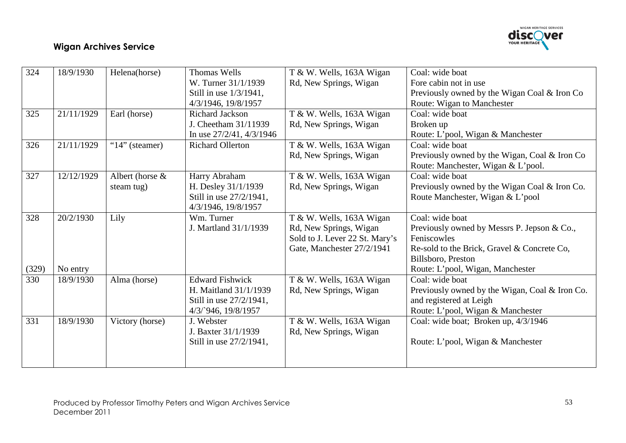

| 324   | 18/9/1930  | Helena(horse)      | <b>Thomas Wells</b>           | T & W. Wells, 163A Wigan       | Coal: wide boat                                |
|-------|------------|--------------------|-------------------------------|--------------------------------|------------------------------------------------|
|       |            |                    | W. Turner 31/1/1939           | Rd, New Springs, Wigan         | Fore cabin not in use                          |
|       |            |                    | Still in use 1/3/1941,        |                                | Previously owned by the Wigan Coal & Iron Co   |
|       |            |                    | 4/3/1946, 19/8/1957           |                                | Route: Wigan to Manchester                     |
| 325   | 21/11/1929 | Earl (horse)       | <b>Richard Jackson</b>        | T & W. Wells, 163A Wigan       | Coal: wide boat                                |
|       |            |                    | J. Cheetham 31/11939          | Rd, New Springs, Wigan         | Broken up                                      |
|       |            |                    | In use $27/2/41$ , $4/3/1946$ |                                | Route: L'pool, Wigan & Manchester              |
| 326   | 21/11/1929 | "14" (steamer)     | <b>Richard Ollerton</b>       | T & W. Wells, 163A Wigan       | Coal: wide boat                                |
|       |            |                    |                               | Rd, New Springs, Wigan         | Previously owned by the Wigan, Coal & Iron Co  |
|       |            |                    |                               |                                | Route: Manchester, Wigan & L'pool.             |
| 327   | 12/12/1929 | Albert (horse $\&$ | Harry Abraham                 | T & W. Wells, 163A Wigan       | Coal: wide boat                                |
|       |            | steam tug)         | H. Desley 31/1/1939           | Rd, New Springs, Wigan         | Previously owned by the Wigan Coal & Iron Co.  |
|       |            |                    | Still in use 27/2/1941,       |                                | Route Manchester, Wigan & L'pool               |
|       |            |                    | 4/3/1946, 19/8/1957           |                                |                                                |
| 328   | 20/2/1930  | Lily               | Wm. Turner                    | T & W. Wells, 163A Wigan       | Coal: wide boat                                |
|       |            |                    | J. Martland 31/1/1939         | Rd, New Springs, Wigan         | Previously owned by Messrs P. Jepson & Co.,    |
|       |            |                    |                               | Sold to J. Lever 22 St. Mary's | Feniscowles                                    |
|       |            |                    |                               | Gate, Manchester 27/2/1941     | Re-sold to the Brick, Gravel & Concrete Co,    |
|       |            |                    |                               |                                | Billsboro, Preston                             |
| (329) | No entry   |                    |                               |                                | Route: L'pool, Wigan, Manchester               |
| 330   | 18/9/1930  | Alma (horse)       | <b>Edward Fishwick</b>        | T & W. Wells, 163A Wigan       | Coal: wide boat                                |
|       |            |                    | H. Maitland 31/1/1939         | Rd, New Springs, Wigan         | Previously owned by the Wigan, Coal & Iron Co. |
|       |            |                    | Still in use 27/2/1941,       |                                | and registered at Leigh                        |
|       |            |                    | 4/3/946, 19/8/1957            |                                | Route: L'pool, Wigan & Manchester              |
| 331   | 18/9/1930  | Victory (horse)    | J. Webster                    | T & W. Wells, 163A Wigan       | Coal: wide boat; Broken up, 4/3/1946           |
|       |            |                    | J. Baxter 31/1/1939           | Rd, New Springs, Wigan         |                                                |
|       |            |                    | Still in use 27/2/1941,       |                                | Route: L'pool, Wigan & Manchester              |
|       |            |                    |                               |                                |                                                |
|       |            |                    |                               |                                |                                                |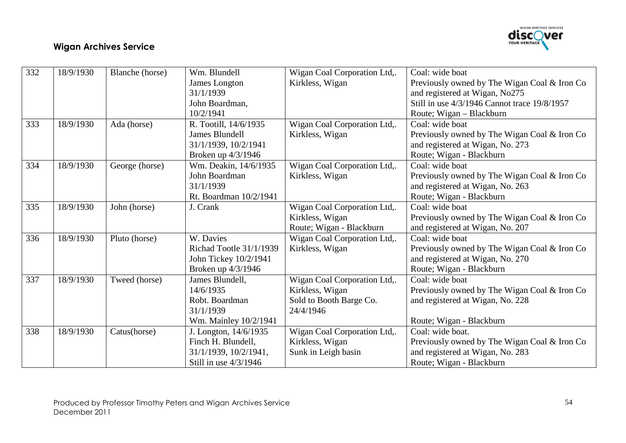

| 332 | 18/9/1930 | Blanche (horse) | Wm. Blundell            | Wigan Coal Corporation Ltd,. | Coal: wide boat                              |
|-----|-----------|-----------------|-------------------------|------------------------------|----------------------------------------------|
|     |           |                 | James Longton           | Kirkless, Wigan              | Previously owned by The Wigan Coal & Iron Co |
|     |           |                 | 31/1/1939               |                              | and registered at Wigan, No275               |
|     |           |                 | John Boardman,          |                              | Still in use 4/3/1946 Cannot trace 19/8/1957 |
|     |           |                 | 10/2/1941               |                              | Route; Wigan - Blackburn                     |
| 333 | 18/9/1930 | Ada (horse)     | R. Tootill, 14/6/1935   | Wigan Coal Corporation Ltd,. | Coal: wide boat                              |
|     |           |                 | <b>James Blundell</b>   | Kirkless, Wigan              | Previously owned by The Wigan Coal & Iron Co |
|     |           |                 | 31/1/1939, 10/2/1941    |                              | and registered at Wigan, No. 273             |
|     |           |                 | Broken up 4/3/1946      |                              | Route; Wigan - Blackburn                     |
| 334 | 18/9/1930 | George (horse)  | Wm. Deakin, 14/6/1935   | Wigan Coal Corporation Ltd,. | Coal: wide boat                              |
|     |           |                 | John Boardman           | Kirkless, Wigan              | Previously owned by The Wigan Coal & Iron Co |
|     |           |                 | 31/1/1939               |                              | and registered at Wigan, No. 263             |
|     |           |                 | Rt. Boardman 10/2/1941  |                              | Route; Wigan - Blackburn                     |
| 335 | 18/9/1930 | John (horse)    | J. Crank                | Wigan Coal Corporation Ltd,. | Coal: wide boat                              |
|     |           |                 |                         | Kirkless, Wigan              | Previously owned by The Wigan Coal & Iron Co |
|     |           |                 |                         | Route; Wigan - Blackburn     | and registered at Wigan, No. 207             |
| 336 | 18/9/1930 | Pluto (horse)   | W. Davies               | Wigan Coal Corporation Ltd,. | Coal: wide boat                              |
|     |           |                 | Richad Tootle 31/1/1939 | Kirkless, Wigan              | Previously owned by The Wigan Coal & Iron Co |
|     |           |                 | John Tickey 10/2/1941   |                              | and registered at Wigan, No. 270             |
|     |           |                 | Broken up 4/3/1946      |                              | Route; Wigan - Blackburn                     |
| 337 | 18/9/1930 | Tweed (horse)   | James Blundell,         | Wigan Coal Corporation Ltd,. | Coal: wide boat                              |
|     |           |                 | 14/6/1935               | Kirkless, Wigan              | Previously owned by The Wigan Coal & Iron Co |
|     |           |                 | Robt. Boardman          | Sold to Booth Barge Co.      | and registered at Wigan, No. 228             |
|     |           |                 | 31/1/1939               | 24/4/1946                    |                                              |
|     |           |                 | Wm. Mainley 10/2/1941   |                              | Route; Wigan - Blackburn                     |
| 338 | 18/9/1930 | Catus(horse)    | J. Longton, 14/6/1935   | Wigan Coal Corporation Ltd,. | Coal: wide boat.                             |
|     |           |                 | Finch H. Blundell,      | Kirkless, Wigan              | Previously owned by The Wigan Coal & Iron Co |
|     |           |                 | 31/1/1939, 10/2/1941,   | Sunk in Leigh basin          | and registered at Wigan, No. 283             |
|     |           |                 | Still in use $4/3/1946$ |                              | Route; Wigan - Blackburn                     |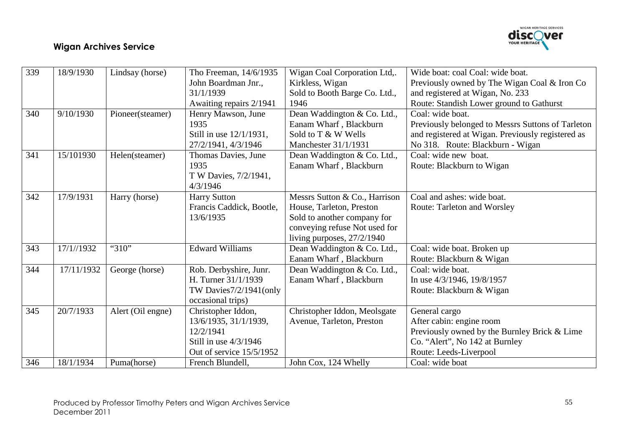

| 339 | 18/9/1930  | Lindsay (horse)   | Tho Freeman, 14/6/1935   | Wigan Coal Corporation Ltd,.  | Wide boat: coal Coal: wide boat.                  |
|-----|------------|-------------------|--------------------------|-------------------------------|---------------------------------------------------|
|     |            |                   | John Boardman Jnr.,      | Kirkless, Wigan               | Previously owned by The Wigan Coal & Iron Co      |
|     |            |                   | 31/1/1939                | Sold to Booth Barge Co. Ltd., | and registered at Wigan, No. 233                  |
|     |            |                   | Awaiting repairs 2/1941  | 1946                          | Route: Standish Lower ground to Gathurst          |
| 340 | 9/10/1930  | Pioneer(steamer)  | Henry Mawson, June       | Dean Waddington & Co. Ltd.,   | Coal: wide boat.                                  |
|     |            |                   | 1935                     | Eanam Wharf, Blackburn        | Previously belonged to Messrs Suttons of Tarleton |
|     |            |                   | Still in use 12/1/1931,  | Sold to T & W Wells           | and registered at Wigan. Previously registered as |
|     |            |                   | 27/2/1941, 4/3/1946      | Manchester 31/1/1931          | No 318. Route: Blackburn - Wigan                  |
| 341 | 15/101930  | Helen(steamer)    | Thomas Davies, June      | Dean Waddington & Co. Ltd.,   | Coal: wide new boat.                              |
|     |            |                   | 1935                     | Eanam Wharf, Blackburn        | Route: Blackburn to Wigan                         |
|     |            |                   | T W Davies, 7/2/1941,    |                               |                                                   |
|     |            |                   | 4/3/1946                 |                               |                                                   |
| 342 | 17/9/1931  | Harry (horse)     | <b>Harry Sutton</b>      | Messrs Sutton & Co., Harrison | Coal and ashes: wide boat.                        |
|     |            |                   | Francis Caddick, Bootle, | House, Tarleton, Preston      | <b>Route: Tarleton and Worsley</b>                |
|     |            |                   | 13/6/1935                | Sold to another company for   |                                                   |
|     |            |                   |                          | conveying refuse Not used for |                                                   |
|     |            |                   |                          | living purposes, 27/2/1940    |                                                   |
| 343 | 17/1//1932 | "310"             | Edward Williams          | Dean Waddington & Co. Ltd.,   | Coal: wide boat. Broken up                        |
|     |            |                   |                          | Eanam Wharf, Blackburn        | Route: Blackburn & Wigan                          |
| 344 | 17/11/1932 | George (horse)    | Rob. Derbyshire, Junr.   | Dean Waddington & Co. Ltd.,   | Coal: wide boat.                                  |
|     |            |                   | H. Turner 31/1/1939      | Eanam Wharf, Blackburn        | In use 4/3/1946, 19/8/1957                        |
|     |            |                   | TW Davies 7/2/1941(only  |                               | Route: Blackburn & Wigan                          |
|     |            |                   | occasional trips)        |                               |                                                   |
| 345 | 20/7/1933  | Alert (Oil engne) | Christopher Iddon,       | Christopher Iddon, Meolsgate  | General cargo                                     |
|     |            |                   | 13/6/1935, 31/1/1939,    | Avenue, Tarleton, Preston     | After cabin: engine room                          |
|     |            |                   | 12/2/1941                |                               | Previously owned by the Burnley Brick & Lime      |
|     |            |                   | Still in use $4/3/1946$  |                               | Co. "Alert", No 142 at Burnley                    |
|     |            |                   | Out of service 15/5/1952 |                               | Route: Leeds-Liverpool                            |
| 346 | 18/1/1934  | Puma(horse)       | French Blundell,         | John Cox, 124 Whelly          | Coal: wide boat                                   |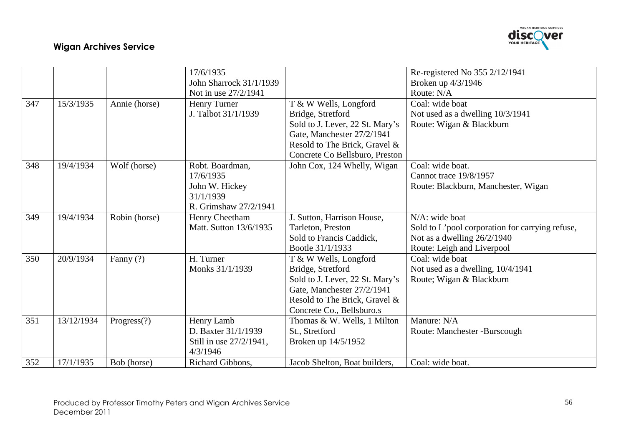

|     |            |               | 17/6/1935               |                                 | Re-registered No 355 2/12/1941                  |
|-----|------------|---------------|-------------------------|---------------------------------|-------------------------------------------------|
|     |            |               | John Sharrock 31/1/1939 |                                 | Broken up 4/3/1946                              |
|     |            |               | Not in use 27/2/1941    |                                 | Route: N/A                                      |
| 347 | 15/3/1935  | Annie (horse) | Henry Turner            | T & W Wells, Longford           | Coal: wide boat                                 |
|     |            |               | J. Talbot 31/1/1939     | Bridge, Stretford               | Not used as a dwelling 10/3/1941                |
|     |            |               |                         | Sold to J. Lever, 22 St. Mary's | Route: Wigan & Blackburn                        |
|     |            |               |                         | Gate, Manchester 27/2/1941      |                                                 |
|     |            |               |                         | Resold to The Brick, Gravel &   |                                                 |
|     |            |               |                         | Concrete Co Bellsburo, Preston  |                                                 |
| 348 | 19/4/1934  | Wolf (horse)  | Robt. Boardman,         | John Cox, 124 Whelly, Wigan     | Coal: wide boat.                                |
|     |            |               | 17/6/1935               |                                 | Cannot trace 19/8/1957                          |
|     |            |               | John W. Hickey          |                                 | Route: Blackburn, Manchester, Wigan             |
|     |            |               | 31/1/1939               |                                 |                                                 |
|     |            |               | R. Grimshaw 27/2/1941   |                                 |                                                 |
| 349 | 19/4/1934  | Robin (horse) | Henry Cheetham          | J. Sutton, Harrison House,      | N/A: wide boat                                  |
|     |            |               | Matt. Sutton 13/6/1935  | Tarleton, Preston               | Sold to L'pool corporation for carrying refuse, |
|     |            |               |                         | Sold to Francis Caddick,        | Not as a dwelling $26/2/1940$                   |
|     |            |               |                         | Bootle 31/1/1933                | Route: Leigh and Liverpool                      |
| 350 | 20/9/1934  | Fanny (?)     | H. Turner               | T & W Wells, Longford           | Coal: wide boat                                 |
|     |            |               | Monks 31/1/1939         | Bridge, Stretford               | Not used as a dwelling, $10/4/1941$             |
|     |            |               |                         | Sold to J. Lever, 22 St. Mary's | Route; Wigan & Blackburn                        |
|     |            |               |                         | Gate, Manchester 27/2/1941      |                                                 |
|     |            |               |                         | Resold to The Brick, Gravel &   |                                                 |
|     |            |               |                         | Concrete Co., Bellsburo.s       |                                                 |
| 351 | 13/12/1934 | Progress(?)   | Henry Lamb              | Thomas & W. Wells, 1 Milton     | Manure: N/A                                     |
|     |            |               | D. Baxter 31/1/1939     | St., Stretford                  | Route: Manchester -Burscough                    |
|     |            |               | Still in use 27/2/1941, | Broken up 14/5/1952             |                                                 |
|     |            |               | 4/3/1946                |                                 |                                                 |
| 352 | 17/1/1935  | Bob (horse)   | Richard Gibbons,        | Jacob Shelton, Boat builders,   | Coal: wide boat.                                |